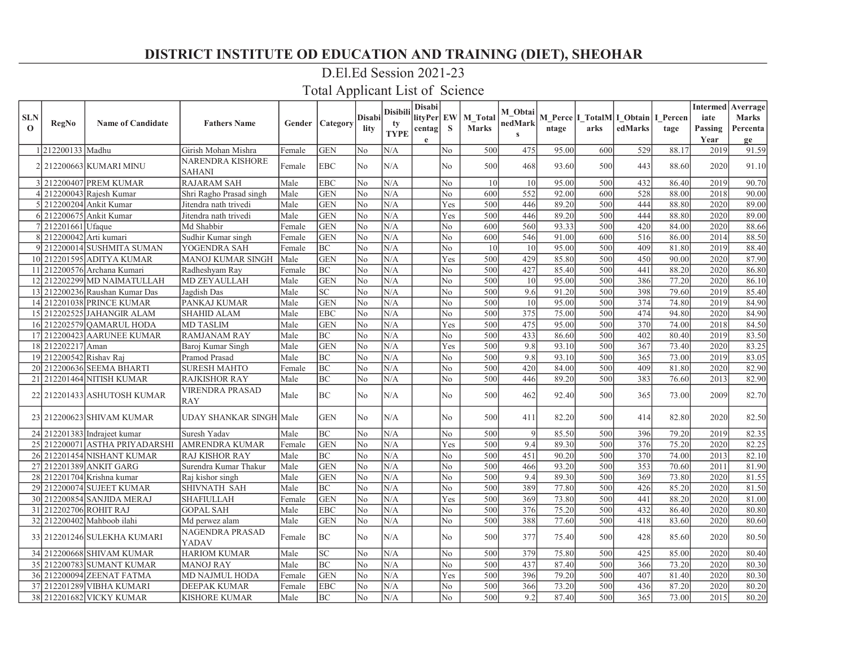### D.El.Ed Session 2021-23

|             |                         |                                |                                      |        |                            |                | Disibili    | Disabi      |                |              | M_Obtai      |       |                                          |         |       |         | <b>Intermed</b> Averrage |
|-------------|-------------------------|--------------------------------|--------------------------------------|--------|----------------------------|----------------|-------------|-------------|----------------|--------------|--------------|-------|------------------------------------------|---------|-------|---------|--------------------------|
| <b>SLN</b>  | RegNo                   | <b>Name of Candidate</b>       | <b>Fathers Name</b>                  | Gender | Category                   | Disabil        | ty          | lityPer EW  |                | M Total      | nedMark      |       | M Perce   I_TotalM   I_Obtain   I_Percen |         |       | iate    | <b>Marks</b>             |
| $\mathbf 0$ |                         |                                |                                      |        |                            | lity           | <b>TYPE</b> | centag      | <sub>S</sub>   | <b>Marks</b> | $\mathbf{s}$ | ntage | arks                                     | edMarks | tage  | Passing | Percenta                 |
|             |                         |                                |                                      |        |                            |                |             | $\mathbf e$ |                |              |              |       |                                          |         |       | Year    | ge                       |
|             | 212200133 Madhu         |                                | Girish Mohan Mishra                  | Female | <b>GEN</b>                 | No             | N/A         |             | No             | 500          | 475          | 95.00 | 600                                      | 529     | 88.17 | 2019    | 91.59                    |
|             |                         | 2   212200663   KUMARI MINU    | NARENDRA KISHORE                     | Female | <b>EBC</b>                 | N <sub>0</sub> | N/A         |             | N <sub>o</sub> | 500          | 468          | 93.60 | 500                                      | 443     | 88.60 | 2020    | 91.10                    |
|             |                         | 3 212200407 PREM KUMAR         | <b>SAHANI</b><br><b>RAJARAM SAH</b>  | Male   | <b>EBC</b>                 | No             | N/A         |             | No             | 10           | 10           | 95.00 | 500                                      | 432     | 86.40 | 2019    | 90.70                    |
|             |                         | $4 212200043 $ Rajesh Kumar    | Shri Ragho Prasad singh              | Male   | <b>GEN</b>                 | No             | N/A         |             | N <sub>o</sub> | 600          | 552          | 92.00 | 600                                      | 528     | 88.00 | 2018    | 90.00                    |
|             |                         | 5 212200204 Ankit Kumar        | Jitendra nath trivedi                | Male   | <b>GEN</b>                 | No             | N/A         |             | Yes            | 500          | 446          | 89.20 | 500                                      | 444     | 88.80 | 2020    | 89.00                    |
|             |                         | 6 212200675 Ankit Kumar        | Jitendra nath trivedi                | Male   | <b>GEN</b>                 | No             | N/A         |             | Yes            | 500          | 446          | 89.20 | 500                                      | 444     | 88.80 | 2020    | 89.00                    |
|             | 7 212201661 Ufaque      |                                | Md Shabbir                           | Female | <b>GEN</b>                 | No             | N/A         |             | No             | 600          | 560          | 93.33 | 500                                      | 420     | 84.00 | 2020    | 88.66                    |
|             | 8 212200042 Arti kumari |                                | Sudhir Kumar singh                   | Female | <b>GEN</b>                 | No             | N/A         |             | No             | 600          | 546          | 91.00 | 600                                      | 516     | 86.00 | 2014    | 88.50                    |
|             |                         | 9 212200014 SUSHMITA SUMAN     | YOGENDRA SAH                         | Female | <b>BC</b>                  | No             | N/A         |             | No             | 10           | 10           | 95.00 | 500                                      | 409     | 81.80 | 2019    | 88.40                    |
|             |                         | 10 212201595 ADITYA KUMAR      | MANOJ KUMAR SINGH                    | Male   | <b>GEN</b>                 | No             | N/A         |             | Yes            | 500          | 429          | 85.80 | 500                                      | 450     | 90.00 | 2020    | 87.90                    |
| -11         |                         | 212200576 Archana Kumari       | Radheshyam Ray                       | Female | <b>BC</b>                  | No             | N/A         |             | $\rm No$       | 500          | 427          | 85.40 | 500                                      | 441     | 88.20 | 2020    | 86.80                    |
|             |                         | 12 212202299 MD NAIMATULLAH    | MD ZEYAULLAH                         | Male   | <b>GEN</b>                 | No             | N/A         |             | N <sub>o</sub> | 500          | 10           | 95.00 | 500                                      | 386     | 77.20 | 2020    | 86.10                    |
|             |                         | 13 212200236 Raushan Kumar Das | Jagdish Das                          | Male   | $\ensuremath{\mathbf{SC}}$ | No             | N/A         |             | No             | 500          | 9.6          | 91.20 | 500                                      | 398     | 79.60 | 2019    | 85.40                    |
|             |                         | 14 212201038 PRINCE KUMAR      | PANKAJ KUMAR                         | Male   | <b>GEN</b>                 | No             | N/A         |             | No             | 500          | 10           | 95.00 | 500                                      | 374     | 74.80 | 2019    | 84.90                    |
|             |                         | 15 212202525 JAHANGIR ALAM     | <b>SHAHID ALAM</b>                   | Male   | <b>EBC</b>                 | No             | N/A         |             | No             | 500          | 375          | 75.00 | 500                                      | 474     | 94.80 | 2020    | 84.90                    |
|             |                         | 16 212202579 OAMARUL HODA      | <b>MD TASLIM</b>                     | Male   | <b>GEN</b>                 | No             | N/A         |             | Yes            | 500          | 475          | 95.00 | 500                                      | 370     | 74.00 | 2018    | 84.50                    |
|             |                         | 17 212200423 AARUNEE KUMAR     | <b>RAMJANAM RAY</b>                  | Male   | BC                         | No             | N/A         |             | N <sub>o</sub> | 500          | 433          | 86.60 | 500                                      | 402     | 80.40 | 2019    | 83.50                    |
|             | 18 212202217 Aman       |                                | Baroj Kumar Singh                    | Male   | <b>GEN</b>                 | No             | N/A         |             | Yes            | 500          | 9.8          | 93.10 | 500                                      | 367     | 73.40 | 2020    | 83.25                    |
|             | 19 212200542 Rishav Raj |                                | Pramod Prasad                        | Male   | BC                         | No             | N/A         |             | $\rm No$       | 500          | 9.8          | 93.10 | 500                                      | 365     | 73.00 | 2019    | 83.05                    |
|             |                         | 20 212200636 SEEMA BHARTI      | <b>SURESH MAHTO</b>                  | Female | <b>BC</b>                  | No             | N/A         |             | N <sub>o</sub> | 500          | 420          | 84.00 | 500                                      | 409     | 81.80 | 2020    | 82.90                    |
| 21          |                         | 212201464 NITISH KUMAR         | RAJKISHOR RAY                        | Male   | BC                         | No             | N/A         |             | No             | 500          | 446          | 89.20 | 500                                      | 383     | 76.60 | 2013    | 82.90                    |
|             |                         | 22 212201433 ASHUTOSH KUMAR    | <b>VIRENDRA PRASAD</b><br><b>RAY</b> | Male   | BC                         | N <sub>0</sub> | N/A         |             | No             | 500          | 462          | 92.40 | 500                                      | 365     | 73.00 | 2009    | 82.70                    |
|             |                         | 23 212200623 SHIVAM KUMAR      | UDAY SHANKAR SINGH Male              |        | <b>GEN</b>                 | No             | N/A         |             | N <sub>o</sub> | 500          | 411          | 82.20 | 500                                      | 414     | 82.80 | 2020    | 82.50                    |
|             |                         | 24 212201383 Indraject kumar   | Suresh Yadav                         | Male   | BC                         | No             | N/A         |             | No             | 500          | 9            | 85.50 | 500                                      | 396     | 79.20 | 2019    | 82.35                    |
|             |                         | 25 212200071 ASTHA PRIYADARSHI | <b>AMRENDRA KUMAR</b>                | Female | <b>GEN</b>                 | No             | N/A         |             | Yes            | 500          | 9.4          | 89.30 | 500                                      | 376     | 75.20 | 2020    | 82.25                    |
|             |                         | 26 212201454 NISHANT KUMAR     | RAJ KISHOR RAY                       | Male   | BC                         | No             | N/A         |             | No             | 500          | 451          | 90.20 | 500                                      | 370     | 74.00 | 2013    | 82.10                    |
|             |                         | 27 212201389 ANKIT GARG        | Surendra Kumar Thakur                | Male   | <b>GEN</b>                 | No             | N/A         |             | No             | 500          | 466          | 93.20 | 500                                      | 353     | 70.60 | 2011    | 81.90                    |
|             |                         | 28 212201704 Krishna kumar     | Raj kishor singh                     | Male   | <b>GEN</b>                 | No             | N/A         |             | No.            | 500          | 9.4          | 89.30 | 500                                      | 369     | 73.80 | 2020    | 81.55                    |
|             |                         | 29 212200074 SUJEET KUMAR      | SHIVNATH SAH                         | Male   | BC                         | No             | N/A         |             | No             | 500          | 389          | 77.80 | 500                                      | 426     | 85.20 | 2020    | 81.50                    |
|             |                         | 30 212200854 SANJIDA MERAJ     | <b>SHAFIULLAH</b>                    | Female | <b>GEN</b>                 | No             | N/A         |             | Yes            | 500          | 369          | 73.80 | 500                                      | 441     | 88.20 | 2020    | 81.00                    |
|             |                         | 31 212202706 ROHIT RAJ         | <b>GOPAL SAH</b>                     | Male   | <b>EBC</b>                 | No             | N/A         |             | N <sub>o</sub> | 500          | 376          | 75.20 | 500                                      | 432     | 86.40 | 2020    | 80.80                    |
|             |                         | 32 212200402 Mahboob ilahi     | Md perwez alam                       | Male   | <b>GEN</b>                 | No             | N/A         |             | No             | 500          | 388          | 77.60 | 500                                      | 418     | 83.60 | 2020    | 80.60                    |
|             |                         | 33 212201246 SULEKHA KUMARI    | NAGENDRA PRASAD<br>YADAV             | Female | <b>BC</b>                  | No             | N/A         |             | No             | 500          | 377          | 75.40 | 500                                      | 428     | 85.60 | 2020    | 80.50                    |
|             |                         | 34 212200668 SHIVAM KUMAR      | <b>HARIOM KUMAR</b>                  | Male   | <b>SC</b>                  | No             | N/A         |             | No             | 500          | 379          | 75.80 | 500                                      | 425     | 85.00 | 2020    | 80.40                    |
|             |                         | 35 212200783 SUMANT KUMAR      | <b>MANOJ RAY</b>                     | Male   | BC                         | No             | N/A         |             | No             | 500          | 437          | 87.40 | 500                                      | 366     | 73.20 | 2020    | 80.30                    |
|             |                         | 36 212200094 ZEENAT FATMA      | <b>MD NAJMUL HODA</b>                | Female | <b>GEN</b>                 | No             | N/A         |             | Yes            | 500          | 396          | 79.20 | 500                                      | 407     | 81.40 | 2020    | 80.30                    |
|             |                         | 37 212201289 VIBHA KUMARI      | DEEPAK KUMAR                         | Female | <b>EBC</b>                 | No             | N/A         |             | $\rm No$       | 500          | 366          | 73.20 | 500                                      | 436     | 87.20 | 2020    | 80.20                    |
|             |                         | 38 212201682 VICKY KUMAR       | <b>KISHORE KUMAR</b>                 | Male   | <b>BC</b>                  | No             | N/A         |             | No             | 500          | 9.2          | 87.40 | 500                                      | 365     | 73.00 | 2015    | 80.20                    |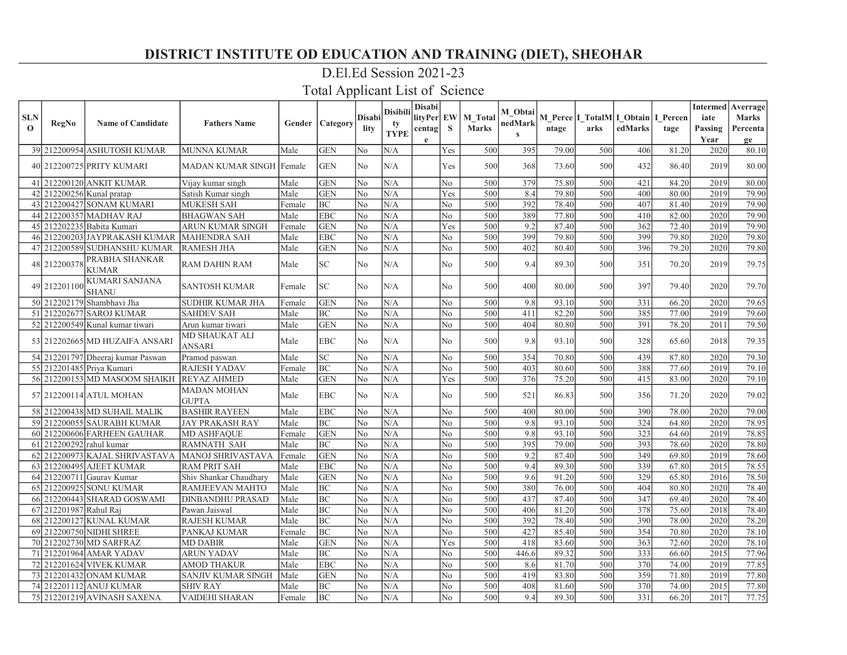### D.El.Ed Session 2021-23

| <b>SLN</b>   |                        |                                       |                                    |        |                             | <b>Disabi</b>  | <b>Disibili</b>   | <b>Disabi</b><br>lityPer EW |                | M Total      | M Obtai                 |       | M Perce   I_TotalM  I_Obtain   I_Percen |         |       | iate         | <b>Intermed</b> Averrage<br><b>Marks</b> |
|--------------|------------------------|---------------------------------------|------------------------------------|--------|-----------------------------|----------------|-------------------|-----------------------------|----------------|--------------|-------------------------|-------|-----------------------------------------|---------|-------|--------------|------------------------------------------|
| $\mathbf{o}$ | RegNo                  | <b>Name of Candidate</b>              | <b>Fathers Name</b>                | Gender | Category                    | lity           | ty<br><b>TYPE</b> | centag                      | S              | <b>Marks</b> | nedMark<br>$\mathbf{s}$ | ntage | arks                                    | edMarks | tage  | Passing      | Percenta                                 |
|              |                        | 39 212200954 ASHUTOSH KUMAR           | <b>MUNNA KUMAR</b>                 | Male   | <b>GEN</b>                  | No             | N/A               | e                           | Yes            | 500          | 395                     | 79.00 | 500                                     | 406     | 81.20 | Year<br>2020 | ge<br>80.10                              |
|              |                        | 40 212200725 PRITY KUMARI             | MADAN KUMAR SINGH Female           |        | <b>GEN</b>                  | No             | N/A               |                             | Yes            | 500          | 368                     | 73.60 | 500                                     | 432     | 86.40 | 2019         | 80.00                                    |
|              |                        | 41 212200120 ANKIT KUMAR              | Vijay kumar singh                  | Male   | <b>GEN</b>                  | No             | N/A               |                             | No             | 500          | 379                     | 75.80 | 500                                     | 421     | 84.20 | 2019         | 80.00                                    |
|              |                        | 42 212200256 Kunal pratap             | Satish Kumar singh                 | Male   | <b>GEN</b>                  | No             | N/A               |                             | Yes            | 500          | 8.4                     | 79.80 | 500                                     | 400     | 80.00 | 2019         | 79.90                                    |
|              |                        | 43 212200427 SONAM KUMARI             | <b>MUKESH SAH</b>                  | Female | BC                          | No             | N/A               |                             | No             | 500          | 392                     | 78.40 | 500                                     | 407     | 81.40 | 2019         | 79.90                                    |
|              |                        | 44 212200357 MADHAV RAJ               | <b>BHAGWAN SAH</b>                 | Male   | <b>EBC</b>                  | No             | N/A               |                             | No             | 500          | 389                     | 77.80 | 500                                     | 410     | 82.00 | 2020         | 79.90                                    |
|              |                        | 45 212202235 Babita Kumari            | ARUN KUMAR SINGH                   | Female | <b>GEN</b>                  | N <sub>0</sub> | N/A               |                             | Yes            | 500          | 9.2                     | 87.40 | 500                                     | 362     | 72.40 | 2019         | 79.90                                    |
|              |                        | 46 212200203 JAYPRAKASH KUMAR         | <b>MAHENDRA SAH</b>                | Male   | <b>EBC</b>                  | No             | N/A               |                             | No             | 500          | 399                     | 79.80 | 500                                     | 399     | 79.80 | 2020         | 79.80                                    |
|              |                        | 47 212200589 SUDHANSHU KUMAR          | <b>RAMESH JHA</b>                  | Male   | <b>GEN</b>                  | No             | N/A               |                             | N <sub>o</sub> | 500          | 402                     | 80.40 | 500                                     | 396     | 79.20 | 2020         | 79.80                                    |
|              | 48 212200378           | PRABHA SHANKAR<br><b>KUMAR</b>        | <b>RAM DAHIN RAM</b>               | Male   | $\protect\operatorname{SC}$ | No             | N/A               |                             | No             | 500          | 9.4                     | 89.30 | 500                                     | 351     | 70.20 | 2019         | 79.75                                    |
|              | 49 212201100           | <b>KUMARI SANJANA</b><br><b>SHANU</b> | <b>SANTOSH KUMAR</b>               | Female | SC.                         | No             | N/A               |                             | No             | 500          | 400                     | 80.00 | 500                                     | 397     | 79.40 | 2020         | 79.70                                    |
|              |                        | 50 212202179 Shambhavi Jha            | <b>SUDHIR KUMAR JHA</b>            | Female | <b>GEN</b>                  | No             | N/A               |                             | No             | 500          | 9.8                     | 93.10 | 500                                     | 331     | 66.20 | 2020         | 79.65                                    |
|              |                        | 51 212202677 SAROJ KUMAR              | <b>SAHDEV SAH</b>                  | Male   | BC                          | No             | N/A               |                             | N <sub>o</sub> | 500          | 411                     | 82.20 | 500                                     | 385     | 77.00 | 2019         | 79.60                                    |
|              |                        | 52 212200549 Kunal kumar tiwari       | Arun kumar tiwari                  | Male   | <b>GEN</b>                  | No             | N/A               |                             | No             | 500          | 404                     | 80.80 | 500                                     | 391     | 78.20 | 2011         | 79.50                                    |
|              |                        | 53 212202665 MD HUZAIFA ANSARI        | MD SHAUKAT ALI<br><b>ANSARI</b>    | Male   | <b>EBC</b>                  | No.            | N/A               |                             | No             | 500          | 9.8                     | 93.10 | 500                                     | 328     | 65.60 | 2018         | 79.35                                    |
|              |                        | 54 212201797 Dheeraj kumar Paswan     | Pramod paswan                      | Male   | SC.                         | No             | N/A               |                             | N <sub>o</sub> | 500          | 354                     | 70.80 | 500                                     | 439     | 87.80 | 2020         | 79.30                                    |
|              |                        | 55 212201485 Priya Kumari             | <b>RAJESH YADAV</b>                | Female | <b>BC</b>                   | No             | N/A               |                             | N <sub>o</sub> | 500          | 403                     | 80.60 | 500                                     | 388     | 77.60 | 2019         | 79.10                                    |
|              |                        | 56 212200153 MD MASOOM SHAIKH         | <b>REYAZ AHMED</b>                 | Male   | <b>GEN</b>                  | No             | N/A               |                             | Yes            | 500          | 376                     | 75.20 | 500                                     | 415     | 83.00 | 2020         | 79.10                                    |
|              |                        | 57 212200114 ATUL MOHAN               | <b>MADAN MOHAN</b><br><b>GUPTA</b> | Male   | <b>EBC</b>                  | No             | N/A               |                             | N <sub>o</sub> | 500          | 521                     | 86.83 | 500                                     | 356     | 71.20 | 2020         | 79.02                                    |
|              |                        | 58 212200438 MD SUHAIL MALIK          | <b>BASHIR RAYEEN</b>               | Male   | <b>EBC</b>                  | No             | N/A               |                             | N <sub>o</sub> | 500          | 400                     | 80.00 | 500                                     | 390     | 78.00 | 2020         | 79.00                                    |
|              |                        | 59 212200055 SAURABH KUMAR            | <b>JAY PRAKASH RAY</b>             | Male   | BC                          | No             | N/A               |                             | N <sub>o</sub> | 500          | 9.8                     | 93.10 | 500                                     | 324     | 64.80 | 2020         | 78.95                                    |
|              |                        | 60 212200606 FARHEEN GAUHAR           | <b>MD ASHFAQUE</b>                 | Female | <b>GEN</b>                  | No             | N/A               |                             | No             | 500          | 9.8                     | 93.10 | 500                                     | 323     | 64.60 | 2019         | 78.85                                    |
| 61           |                        | 212200292 rahul kumar                 | <b>RAMNATH SAH</b>                 | Male   | BC                          | No             | N/A               |                             | No             | 500          | 395                     | 79.00 | 500                                     | 393     | 78.60 | 2020         | 78.80                                    |
| 62           |                        | 212200973  KAJAL SHRIVASTAVA          | <b>MANOJ SHRIVASTAVA</b>           | Female | <b>GEN</b>                  | No             | N/A               |                             | N <sub>o</sub> | 500          | 9.2                     | 87.40 | 500                                     | 349     | 69.80 | 2019         | 78.60                                    |
| 63           |                        | 212200495 AJEET KUMAR                 | <b>RAM PRIT SAH</b>                | Male   | <b>EBC</b>                  | No             | N/A               |                             | No             | 500          | 9.4                     | 89.30 | 500                                     | 339     | 67.80 | 2015         | 78.55                                    |
|              |                        | 64 212200711 Gauray Kumar             | Shiv Shankar Chaudhary             | Male   | <b>GEN</b>                  | No             | N/A               |                             | No             | 500          | 9.6                     | 91.20 | 500                                     | 329     | 65.80 | 2016         | 78.50                                    |
|              |                        | 65 212200925 SONU KUMAR               | RAMJEEVAN MAHTO                    | Male   | BC                          | No             | N/A               |                             | No             | 500          | 380                     | 76.00 | 500                                     | 404     | 80.80 | 2020         | 78.40                                    |
|              |                        | 66 212200443 SHARAD GOSWAMI           | DINBANDHU PRASAD                   | Male   | <b>BC</b>                   | No             | N/A               |                             | No             | 500          | 437                     | 87.40 | 500                                     | 347     | 69.40 | 2020         | 78.40                                    |
|              | 67 212201987 Rahul Raj |                                       | Pawan Jaiswal                      | Male   | BC                          | No             | N/A               |                             | N <sub>o</sub> | 500          | 406                     | 81.20 | 500                                     | 378     | 75.60 | 2018         | 78.40                                    |
|              |                        | 68 212200127 KUNAL KUMAR              | <b>RAJESH KUMAR</b>                | Male   | <b>BC</b>                   | No             | N/A               |                             | N <sub>o</sub> | 500          | 392                     | 78.40 | 500                                     | 390     | 78.00 | 2020         | 78.20                                    |
|              |                        | 69 212200750 NIDHI SHREE              | PANKAJ KUMAR                       | Female | <b>BC</b>                   | No             | N/A               |                             | No             | 500          | 427                     | 85.40 | 500                                     | 354     | 70.80 | 2020         | 78.10                                    |
|              |                        | 70 212202730 MD SARFRAZ               | <b>MD DABIR</b>                    | Male   | <b>GEN</b>                  | No             | N/A               |                             | Yes            | 500          | 418                     | 83.60 | 500                                     | 363     | 72.60 | 2020         | 78.10                                    |
| 71           |                        | 212201964  AMAR YADAV                 | ARUN YADAV                         | Male   | <b>BC</b>                   | No             | N/A               |                             | N <sub>o</sub> | 500          | 446.6                   | 89.32 | 500                                     | 333     | 66.60 | 2015         | 77.96                                    |
|              |                        | 72 212201624 VIVEK KUMAR              | <b>AMOD THAKUR</b>                 | Male   | <b>EBC</b>                  | No             | N/A               |                             | No             | 500          | 8.6                     | 81.70 | 500                                     | 370     | 74.00 | 2019         | 77.85                                    |
|              |                        | 73 212201432 ONAM KUMAR               | SANJIV KUMAR SINGH                 | Male   | <b>GEN</b>                  | No             | N/A               |                             | No             | 500          | 419                     | 83.80 | 500                                     | 359     | 71.80 | 2019         | 77.80                                    |
|              |                        | 74 212201112 ANUJ KUMAR               | <b>SHIV RAY</b>                    | Male   | BC                          | No             | N/A               |                             | No             | 500          | 408                     | 81.60 | 500                                     | 370     | 74.00 | 2015         | 77.80                                    |
|              |                        | 75 212201219 AVINASH SAXENA           | <b>VAIDEHI SHARAN</b>              | Female | BC                          | No             | N/A               |                             | N <sub>o</sub> | 500          | 9.4                     | 89.30 | 500                                     | 331     | 66.20 | 2017         | 77.75                                    |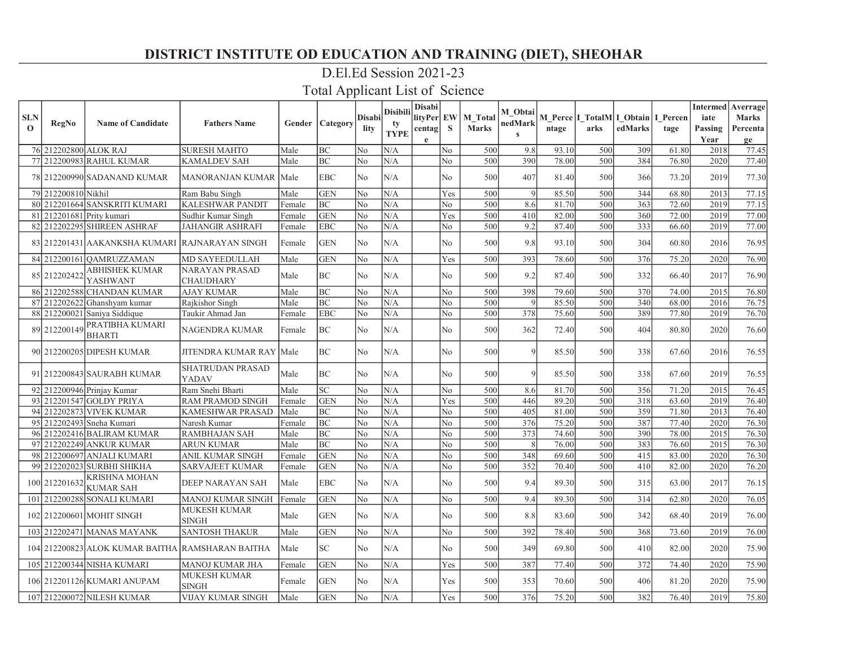### D.El.Ed Session 2021-23

| <b>SLN</b> |                       |                                                  |                                           |        |                          | Disabil        | <b>Disibili</b> | Disabi<br>lityPer EW |                | M Total      | M Obtai         |       |      | M Perce I TotalM I Obtain I Percen |       | iate    | <b>Intermed</b> Averrage<br><b>Marks</b> |
|------------|-----------------------|--------------------------------------------------|-------------------------------------------|--------|--------------------------|----------------|-----------------|----------------------|----------------|--------------|-----------------|-------|------|------------------------------------|-------|---------|------------------------------------------|
| $\Omega$   | RegNo                 | <b>Name of Candidate</b>                         | <b>Fathers Name</b>                       |        | <b>Gender   Category</b> | lity           | tv              | centag               | S              | <b>Marks</b> | nedMark         | ntage | arks | edMarks                            | tage  | Passing | Percenta                                 |
|            |                       |                                                  |                                           |        |                          |                | <b>TYPE</b>     | $\mathbf e$          |                |              | $\mathbf{s}$    |       |      |                                    |       | Year    | ge                                       |
|            | 76 212202800 ALOK RAJ |                                                  | <b>SURESH MAHTO</b>                       | Male   | BC                       | N <sub>o</sub> | N/A             |                      | No             | 500          | 9.8             | 93.10 | 500  | 309                                | 61.80 | 2018    | 77.45                                    |
|            |                       | 77 212200983 RAHUL KUMAR                         | <b>KAMALDEV SAH</b>                       | Male   | BC                       | No             | N/A             |                      | $\rm No$       | 500          | 390             | 78.00 | 500  | 384                                | 76.80 | 2020    | 77.40                                    |
|            |                       | 78 212200990 SADANAND KUMAR                      | <b>MANORANJAN KUMAR  Male</b>             |        | <b>EBC</b>               | N <sub>0</sub> | N/A             |                      | N <sub>o</sub> | 500          | 407             | 81.40 | 500  | 366                                | 73.20 | 2019    | 77.30                                    |
|            | 79 212200810 Nikhil   |                                                  | Ram Babu Singh                            | Male   | <b>GEN</b>               | No             | N/A             |                      | Yes            | 500          | $\vert 9 \vert$ | 85.50 | 500  | 344                                | 68.80 | 2013    | 77.15                                    |
|            |                       | 80 212201664 SANSKRITI KUMARI                    | <b>KALESHWAR PANDIT</b>                   | Female | BC                       | N <sub>o</sub> | N/A             |                      | No             | 500          | 8.6             | 81.70 | 500  | 363                                | 72.60 | 2019    | 77.15                                    |
| 81         |                       | 212201681 Prity kumari                           | Sudhir Kumar Singh                        | Female | <b>GEN</b>               | No             | N/A             |                      | Yes            | 500          | 410             | 82.00 | 500  | 360                                | 72.00 | 2019    | 77.00                                    |
|            |                       | 82 212202295 SHIREEN ASHRAF                      | <b>JAHANGIR ASHRAFI</b>                   | Female | <b>EBC</b>               | N <sub>0</sub> | N/A             |                      | No.            | 500          | 9.2             | 87.40 | 500  | 333                                | 66.60 | 2019    | 77.00                                    |
|            |                       | 83 212201431 AAKANKSHA KUMARI RAJNARAYAN SINGH   |                                           | Female | <b>GEN</b>               | No             | N/A             |                      | N <sub>o</sub> | 500          | 9.8             | 93.10 | 500  | 304                                | 60.80 | 2016    | 76.95                                    |
|            |                       | 84 212200161 OAMRUZZAMAN                         | <b>MD SAYEEDULLAH</b>                     | Male   | <b>GEN</b>               | No             | N/A             |                      | Yes            | 500          | 393             | 78.60 | 500  | 376                                | 75.20 | 2020    | 76.90                                    |
|            | 85 212202422          | <b>ABHISHEK KUMAR</b><br>YASHWANT                | <b>NARAYAN PRASAD</b><br><b>CHAUDHARY</b> | Male   | BC                       | No             | N/A             |                      | No             | 500          | 9.2             | 87.40 | 500  | 332                                | 66.40 | 2017    | 76.90                                    |
|            |                       | 86 212202588 CHANDAN KUMAR                       | <b>AJAY KUMAR</b>                         | Male   | BC                       | No             | N/A             |                      | No.            | 500          | 398             | 79.60 | 500  | 370                                | 74.00 | 2015    | 76.80                                    |
|            |                       | 87 212202622 Ghanshyam kumar                     | Rajkishor Singh                           | Male   | BC                       | N <sub>o</sub> | N/A             |                      | No             | 500          | $\mathbf Q$     | 85.50 | 500  | 340                                | 68.00 | 2016    | 76.75                                    |
|            |                       | 88 212200021 Saniya Siddique                     | Taukir Ahmad Jan                          | Female | <b>EBC</b>               | No             | N/A             |                      | No             | 500          | 378             | 75.60 | 500  | 389                                | 77.80 | 2019    | 76.70                                    |
|            | 89 212200149          | PRATIBHA KUMARI<br><b>BHARTI</b>                 | <b>NAGENDRA KUMAR</b>                     | Female | BC                       | N <sub>o</sub> | N/A             |                      | N <sub>o</sub> | 500          | 362             | 72.40 | 500  | 404                                | 80.80 | 2020    | 76.60                                    |
|            |                       | 90 212200205 DIPESH KUMAR                        | JITENDRA KUMAR RAY   Male                 |        | <b>BC</b>                | No             | N/A             |                      | No             | 500          | $\vert$         | 85.50 | 500  | 338                                | 67.60 | 2016    | 76.55                                    |
|            |                       | 91 212200843 SAURABH KUMAR                       | <b>SHATRUDAN PRASAD</b><br>YADAV          | Male   | BC                       | No             | N/A             |                      | No.            | 500          | $\mathbf Q$     | 85.50 | 500  | 338                                | 67.60 | 2019    | 76.55                                    |
|            |                       | 92 212200946 Prinjay Kumar                       | Ram Snehi Bharti                          | Male   | <b>SC</b>                | No             | N/A             |                      | No.            | 500          | 8.6             | 81.70 | 500  | 356                                | 71.20 | 2015    | 76.45                                    |
|            |                       | 93 212201547 GOLDY PRIYA                         | <b>RAM PRAMOD SINGH</b>                   | Female | <b>GEN</b>               | No             | N/A             |                      | Yes            | 500          | 446             | 89.20 | 500  | 318                                | 63.60 | 2019    | 76.40                                    |
|            |                       | 94 212202873 VIVEK KUMAR                         | <b>KAMESHWAR PRASAD</b>                   | Male   | BC                       | No             | N/A             |                      | N <sub>o</sub> | 500          | 405             | 81.00 | 500  | 359                                | 71.80 | 2013    | 76.40                                    |
|            |                       | 95 212202493 Sneha Kumari                        | Naresh Kumar                              | Female | <b>BC</b>                | No             | N/A             |                      | N <sub>o</sub> | 500          | 376             | 75.20 | 500  | 387                                | 77.40 | 2020    | 76.30                                    |
|            |                       | 96 212202416 BALIRAM KUMAR                       | <b>RAMBHAJAN SAH</b>                      | Male   | <b>BC</b>                | No             | N/A             |                      | No             | 500          | 373             | 74.60 | 500  | 390                                | 78.00 | 2015    | 76.30                                    |
| 97         |                       | 212202249 ANKUR KUMAR                            | <b>ARUN KUMAR</b>                         | Male   | <b>BC</b>                | N <sub>o</sub> | N/A             |                      | No             | 500          | 8               | 76.00 | 500  | 383                                | 76.60 | 2015    | 76.30                                    |
|            |                       | 98 212200697 ANJALI KUMARI                       | ANIL KUMAR SINGH                          | Female | <b>GEN</b>               | No             | N/A             |                      | N <sub>o</sub> | 500          | 348             | 69.60 | 500  | 415                                | 83.00 | 2020    | 76.30                                    |
|            |                       | 99 212202023 SURBHI SHIKHA                       | <b>SARVAJEET KUMAR</b>                    | Female | <b>GEN</b>               | No             | N/A             |                      | No             | 500          | 352             | 70.40 | 500  | 410                                | 82.00 | 2020    | 76.20                                    |
|            | 100 212201632         | <b>KRISHNA MOHAN</b><br><b>KUMAR SAH</b>         | <b>DEEP NARAYAN SAH</b>                   | Male   | <b>EBC</b>               | N <sub>o</sub> | N/A             |                      | N <sub>o</sub> | 500          | 9.4             | 89.30 | 500  | 315                                | 63.00 | 2017    | 76.15                                    |
|            |                       | 101 212200288 SONALI KUMARI                      | <b>MANOJ KUMAR SINGH</b>                  | Female | <b>GEN</b>               | No             | N/A             |                      | No             | 500          | 9.4             | 89.30 | 500  | 314                                | 62.80 | 2020    | 76.05                                    |
|            |                       | 102 212200601 MOHIT SINGH                        | <b>MUKESH KUMAR</b><br><b>SINGH</b>       | Male   | <b>GEN</b>               | No             | N/A             |                      | No             | 500          | 8.8             | 83.60 | 500  | 342                                | 68.40 | 2019    | 76.00                                    |
|            |                       | 103 212202471 MANAS MAYANK                       | <b>SANTOSH THAKUR</b>                     | Male   | <b>GEN</b>               | No             | N/A             |                      | No             | 500          | 392             | 78.40 | 500  | 368                                | 73.60 | 2019    | 76.00                                    |
|            |                       | 104 212200823 ALOK KUMAR BAITHA RAMSHARAN BAITHA |                                           | Male   | SC                       | No             | N/A             |                      | No             | 500          | 349             | 69.80 | 500  | 410                                | 82.00 | 2020    | 75.90                                    |
|            |                       | 105 212200344 NISHA KUMARI                       | <b>MANOJ KUMAR JHA</b>                    | Female | <b>GEN</b>               | No             | N/A             |                      | Yes            | 500          | 387             | 77.40 | 500  | 372                                | 74.40 | 2020    | 75.90                                    |
|            |                       | 106 212201126 KUMARI ANUPAM                      | <b>MUKESH KUMAR</b><br><b>SINGH</b>       | Female | <b>GEN</b>               | N <sub>o</sub> | N/A             |                      | Yes            | 500          | 353             | 70.60 | 500  | 406                                | 81.20 | 2020    | 75.90                                    |
|            |                       | 107 212200072 NILESH KUMAR                       | <b>VIJAY KUMAR SINGH</b>                  | Male   | <b>GEN</b>               | No             | N/A             |                      | Yes            | 500          | 376             | 75.20 | 500  | 382                                | 76.40 | 2019    | 75.80                                    |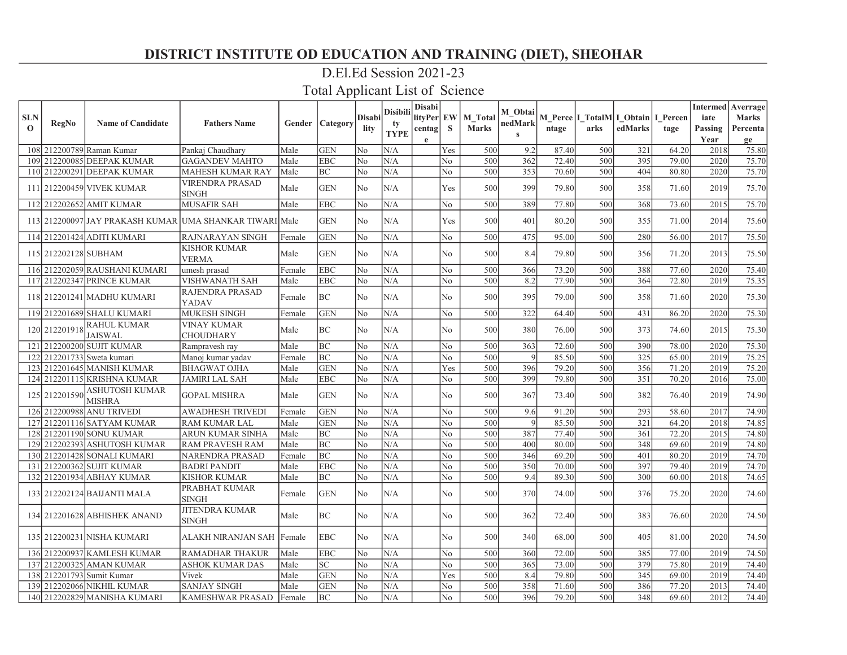### D.El.Ed Session 2021-23

| <b>SLN</b>  |                      |                                        |                                                         |        |                 | Disabil        | <b>Disibili</b> | Disabi<br>lityPer EW |                | M Total      | M Obtai      |       | M Perce   I_TotalM   I_Obtain   I_Percen |         |       | iate    | <b>Intermed</b> Averrage<br><b>Marks</b> |
|-------------|----------------------|----------------------------------------|---------------------------------------------------------|--------|-----------------|----------------|-----------------|----------------------|----------------|--------------|--------------|-------|------------------------------------------|---------|-------|---------|------------------------------------------|
| $\mathbf 0$ | RegNo                | <b>Name of Candidate</b>               | <b>Fathers Name</b>                                     | Gender | Category        | lity           | tv              | centag               | <sub>S</sub>   | <b>Marks</b> | nedMark      | ntage | arks                                     | edMarks | tage  | Passing | Percenta                                 |
|             |                      |                                        |                                                         |        |                 |                | <b>TYPE</b>     | $\mathbf e$          |                |              | $\mathbf{s}$ |       |                                          |         |       | Year    | ge                                       |
|             |                      | 108 212200789 Raman Kumar              | Pankaj Chaudhary                                        | Male   | <b>GEN</b>      | No             | N/A             |                      | Yes            | 500          | 9.2          | 87.40 | 500                                      | 321     | 64.20 | 2018    | 75.80                                    |
| 109         |                      | 212200085 DEEPAK KUMAR                 | <b>GAGANDEV MAHTO</b>                                   | Male   | <b>EBC</b>      | No             | N/A             |                      | No             | 500          | 362          | 72.40 | 500                                      | 395     | 79.00 | 2020    | 75.70                                    |
|             |                      | 110 212200291 DEEPAK KUMAR             | MAHESH KUMAR RAY                                        | Male   | BC              | No             | N/A             |                      | $\rm No$       | 500          | 353          | 70.60 | 500                                      | 404     | 80.80 | 2020    | 75.70                                    |
|             |                      | 111 212200459 VIVEK KUMAR              | <b>VIRENDRA PRASAD</b><br><b>SINGH</b>                  | Male   | <b>GEN</b>      | N <sub>0</sub> | N/A             |                      | Yes            | 500          | 399          | 79.80 | 500                                      | 358     | 71.60 | 2019    | 75.70                                    |
|             |                      | 112 212202652 AMIT KUMAR               | <b>MUSAFIR SAH</b>                                      | Male   | <b>EBC</b>      | No             | N/A             |                      | No.            | 500          | 389          | 77.80 | 500                                      | 368     | 73.60 | 2015    | 75.70                                    |
|             |                      |                                        | 113 212200097 JAY PRAKASH KUMAR UMA SHANKAR TIWARI Male |        | GEN             | No             | N/A             |                      | Yes            | 500          | 401          | 80.20 | 500                                      | 355     | 71.00 | 2014    | 75.60                                    |
|             |                      | 114 212201424 ADITI KUMARI             | RAJNARAYAN SINGH                                        | Female | <b>GEN</b>      | No             | N/A             |                      | No             | 500          | 475          | 95.00 | 500                                      | 280     | 56.00 | 2017    | 75.50                                    |
|             | 115 212202128 SUBHAM |                                        | KISHOR KUMAR<br><b>VERMA</b>                            | Male   | <b>GEN</b>      | N <sub>0</sub> | N/A             |                      | No             | 500          | 8.4          | 79.80 | 500                                      | 356     | 71.20 | 2013    | 75.50                                    |
|             |                      | 116 212202059 RAUSHANI KUMARI          | umesh prasad                                            | Female | <b>EBC</b>      | No             | N/A             |                      | No             | 500          | 366          | 73.20 | 500                                      | 388     | 77.60 | 2020    | 75.40                                    |
|             |                      | 117 212202347 PRINCE KUMAR             | VISHWANATH SAH                                          | Male   | <b>EBC</b>      | No             | N/A             |                      | N <sub>o</sub> | 500          | 8.2          | 77.90 | 500                                      | 364     | 72.80 | 2019    | 75.35                                    |
|             |                      | 118 212201241 MADHU KUMARI             | RAJENDRA PRASAD<br>YADAV                                | Female | BC              | No             | N/A             |                      | N <sub>o</sub> | 500          | 395          | 79.00 | 500                                      | 358     | 71.60 | 2020    | 75.30                                    |
|             |                      | 119 212201689 SHALU KUMARI             | <b>MUKESH SINGH</b>                                     | Female | <b>GEN</b>      | No             | N/A             |                      | No             | 500          | 322          | 64.40 | 500                                      | 431     | 86.20 | 2020    | 75.30                                    |
|             | 120 212201918        | <b>RAHUL KUMAR</b><br><b>JAISWAL</b>   | <b>VINAY KUMAR</b><br><b>CHOUDHARY</b>                  | Male   | BC              | No             | N/A             |                      | N <sub>o</sub> | 500          | 380          | 76.00 | 500                                      | 373     | 74.60 | 2015    | 75.30                                    |
|             |                      | 121 212200200 SUJIT KUMAR              | Rampravesh ray                                          | Male   | BC              | No             | N/A             |                      | No             | 500          | 363          | 72.60 | 500                                      | 390     | 78.00 | 2020    | 75.30                                    |
|             |                      | 122 212201733 Sweta kumari             | Manoj kumar yadav                                       | Female | <b>BC</b>       | No             | N/A             |                      | No             | 500          | 9            | 85.50 | 500                                      | 325     | 65.00 | 2019    | 75.25                                    |
|             |                      | 123 212201645 MANISH KUMAR             | <b>BHAGWAT OJHA</b>                                     | Male   | <b>GEN</b>      | No             | N/A             |                      | Yes            | 500          | 396          | 79.20 | 500                                      | 356     | 71.20 | 2019    | 75.20                                    |
|             |                      | 124 212201115 KRISHNA KUMAR            | <b>JAMIRI LAL SAH</b>                                   | Male   | <b>EBC</b>      | No             | N/A             |                      | No             | 500          | 399          | 79.80 | 500                                      | 351     | 70.20 | 2016    | 75.00                                    |
|             | 125 212201590        | <b>ASHUTOSH KUMAR</b><br><b>MISHRA</b> | <b>GOPAL MISHRA</b>                                     | Male   | <b>GEN</b>      | N <sub>0</sub> | N/A             |                      | No             | 500          | 367          | 73.40 | 500                                      | 382     | 76.40 | 2019    | 74.90                                    |
|             |                      | 126 212200988 ANU TRIVEDI              | AWADHESH TRIVEDI                                        | Female | <b>GEN</b>      | No             | N/A             |                      | N <sub>o</sub> | 500          | 9.6          | 91.20 | 500                                      | 293     | 58.60 | 2017    | 74.90                                    |
| 127         |                      | 212201116 SATYAM KUMAR                 | <b>RAM KUMAR LAL</b>                                    | Male   | <b>GEN</b>      | No             | N/A             |                      | No             | 500          | $\vert$      | 85.50 | 500                                      | 321     | 64.20 | 2018    | 74.85                                    |
|             |                      | 128 212201190 SONU KUMAR               | ARUN KUMAR SINHA                                        | Male   | BC              | No             | N/A             |                      | No             | 500          | 387          | 77.40 | 500                                      | 361     | 72.20 | 2015    | 74.80                                    |
| 1291        |                      | 212202393 ASHUTOSH KUMAR               | RAM PRAVESH RAM                                         | Male   | BC              | No             | N/A             |                      | No             | 500          | 400          | 80.00 | 500                                      | 348     | 69.60 | 2019    | 74.80                                    |
| 130         |                      | 212201428 SONALI KUMARI                | NARENDRA PRASAD                                         | Female | <b>BC</b>       | No             | N/A             |                      | No             | 500          | 346          | 69.20 | 500                                      | 401     | 80.20 | 2019    | 74.70                                    |
|             |                      | 131 212200362 SUJIT KUMAR              | <b>BADRI PANDIT</b>                                     | Male   | <b>EBC</b>      | No             | N/A             |                      | No             | 500          | 350          | 70.00 | 500                                      | 397     | 79.40 | 2019    | 74.70                                    |
|             |                      | 132 212201934 ABHAY KUMAR              | KISHOR KUMAR                                            | Male   | BC              | No             | N/A             |                      | N <sub>o</sub> | 500          | 9.4          | 89.30 | 500                                      | 300     | 60.00 | 2018    | 74.65                                    |
|             |                      | 133 212202124 BAIJANTI MALA            | PRABHAT KUMAR<br><b>SINGH</b>                           | Female | <b>GEN</b>      | No             | N/A             |                      | N <sub>o</sub> | 500          | 370          | 74.00 | 500                                      | 376     | 75.20 | 2020    | 74.60                                    |
|             |                      | 134 212201628 ABHISHEK ANAND           | <b>JITENDRA KUMAR</b><br>SINGH                          | Male   | <b>BC</b>       | No             | N/A             |                      | No             | 500          | 362          | 72.40 | 500                                      | 383     | 76.60 | 2020    | 74.50                                    |
|             |                      | 135 212200231 NISHA KUMARI             | ALAKH NIRANJAN SAH Female                               |        | <b>EBC</b>      | No             | N/A             |                      | No             | 500          | 340          | 68.00 | 500                                      | 405     | 81.00 | 2020    | 74.50                                    |
|             |                      | 136 212200937 KAMLESH KUMAR            | <b>RAMADHAR THAKUR</b>                                  | Male   | <b>EBC</b>      | No             | N/A             |                      | No             | 500          | 360          | 72.00 | 500                                      | 385     | 77.00 | 2019    | 74.50                                    |
| 137         |                      | 212200325 AMAN KUMAR                   | <b>ASHOK KUMAR DAS</b>                                  | Male   | SC <sub>1</sub> | No             | N/A             |                      | No             | 500          | 365          | 73.00 | 500                                      | 379     | 75.80 | 2019    | 74.40                                    |
| 138         |                      | 212201793 Sumit Kumar                  | Vivek                                                   | Male   | <b>GEN</b>      | No             | N/A             |                      | Yes            | 500          | 8.4          | 79.80 | 500                                      | 345     | 69.00 | 2019    | 74.40                                    |
| 139         |                      | 212202066 NIKHIL KUMAR                 | <b>SANJAY SINGH</b>                                     | Male   | <b>GEN</b>      | No             | N/A             |                      | No             | 500          | 358          | 71.60 | 500                                      | 386     | 77.20 | 2013    | 74.40                                    |
|             |                      | 140 212202829 MANISHA KUMARI           | <b>KAMESHWAR PRASAD</b>                                 | Female | <b>BC</b>       | No             | N/A             |                      | N <sub>o</sub> | 500          | 396          | 79.20 | 500                                      | 348     | 69.60 | 2012    | 74.40                                    |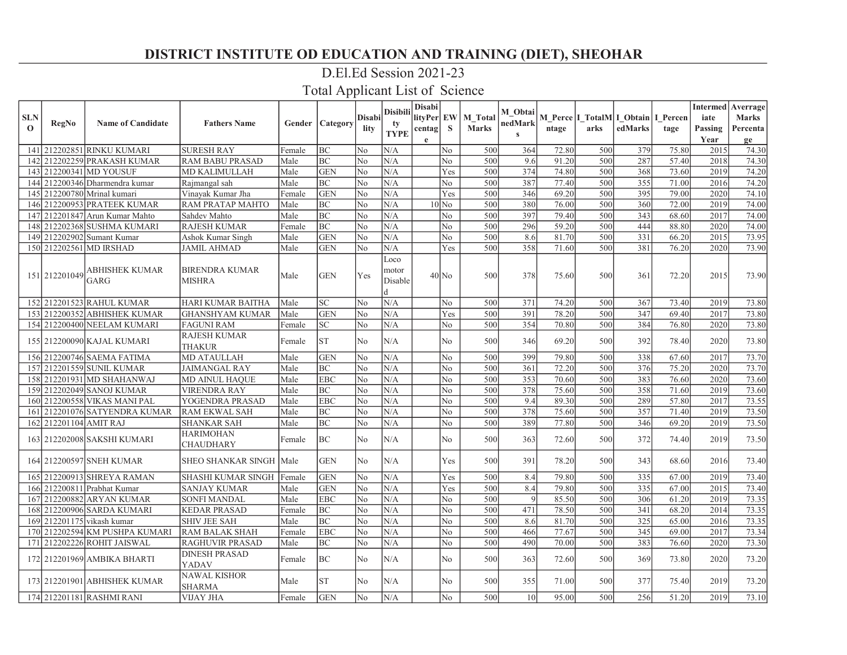### D.El.Ed Session 2021-23

|                            |                        |                                |                               |        |            |               | <b>Disibili</b>               | <b>Disabi</b> |                |                         | M Obtai         |       |      |                                               |       |                 | <b>Intermed</b> Averrage |
|----------------------------|------------------------|--------------------------------|-------------------------------|--------|------------|---------------|-------------------------------|---------------|----------------|-------------------------|-----------------|-------|------|-----------------------------------------------|-------|-----------------|--------------------------|
| <b>SLN</b><br>$\mathbf{o}$ | RegNo                  | <b>Name of Candidate</b>       | <b>Fathers Name</b>           | Gender | Category   | <b>Disabi</b> | tv                            | lityPer EW    | <sub>S</sub>   | M Total<br><b>Marks</b> | nedMark         |       | arks | M Perce I TotalM I Obtain I Percen<br>edMarks |       | iate            | <b>Marks</b>             |
|                            |                        |                                |                               |        |            | lity          | <b>TYPE</b>                   | centag<br>e   |                |                         | $\mathbf{s}$    | ntage |      |                                               | tage  | Passing<br>Year | Percenta<br>ge           |
| 141                        |                        | 212202851 RINKU KUMARI         | <b>SURESH RAY</b>             | Female | <b>BC</b>  | No            | N/A                           |               | No             | 500                     | 364             | 72.80 | 500  | 379                                           | 75.80 | 2015            | 74.30                    |
| 142                        |                        | 212202259 PRAKASH KUMAR        | RAM BABU PRASAD               | Male   | $\rm BC$   | No            | N/A                           |               | $\rm No$       | 500                     | 9.6             | 91.20 | 500  | 287                                           | 57.40 | 2018            | 74.30                    |
| 143                        |                        | 212200341 MD YOUSUF            | MD KALIMULLAH                 | Male   | <b>GEN</b> | No            | N/A                           |               | Yes            | 500                     | 374             | 74.80 | 500  | 368                                           | 73.60 | 2019            | 74.20                    |
|                            |                        | 144 212200346 Dharmendra kumar | Rajmangal sah                 | Male   | <b>BC</b>  | No            | N/A                           |               | N <sub>o</sub> | 500                     | 387             | 77.40 | 500  | 355                                           | 71.00 | 2016            | 74.20                    |
|                            |                        | 145 212200780 Mrinal kumari    | Vinayak Kumar Jha             | Female | <b>GEN</b> | No            | N/A                           |               | Yes            | 500                     | 346             | 69.20 | 500  | 395                                           | 79.00 | 2020            | 74.10                    |
| 146 <sup>I</sup>           |                        | 212200953 PRATEEK KUMAR        | RAM PRATAP MAHTO              | Male   | BC         | No            | N/A                           |               | $10$ No        | 500                     | 380             | 76.00 | 500  | 360                                           | 72.00 | 2019            | 74.00                    |
| 147                        |                        | 212201847 Arun Kumar Mahto     | Sahdev Mahto                  | Male   | BC         | No            | N/A                           |               | No             | 500                     | 397             | 79.40 | 500  | 343                                           | 68.60 | 2017            | 74.00                    |
| 148                        |                        | 212202368 SUSHMA KUMARI        | <b>RAJESH KUMAR</b>           | Female | BC         | No            | N/A                           |               | No             | 500                     | 296             | 59.20 | 500  | 444                                           | 88.80 | 2020            | 74.00                    |
|                            |                        | 149 212202902 Sumant Kumar     | Ashok Kumar Singh             | Male   | <b>GEN</b> | No            | N/A                           |               | No             | 500                     | 8.6             | 81.70 | 500  | 331                                           | 66.20 | 2015            | 73.95                    |
|                            |                        | 150 212202561 MD IRSHAD        | <b>JAMIL AHMAD</b>            | Male   | <b>GEN</b> | No            | N/A                           |               | Yes            | 500                     | 358             | 71.60 | 500  | 381                                           | 76.20 | 2020            | 73.90                    |
|                            | 151 212201049          | ABHISHEK KUMAR<br>GARG         | BIRENDRA KUMAR<br>MISHRA      | Male   | <b>GEN</b> | Yes           | Loco<br>motor<br>Disable<br>d |               | $40$ No        | 500                     | 378             | 75.60 | 500  | 361                                           | 72.20 | 2015            | 73.90                    |
|                            |                        | 152 212201523 RAHUL KUMAR      | HARI KUMAR BAITHA             | Male   | <b>SC</b>  | No            | N/A                           |               | No             | 500                     | 371             | 74.20 | 500  | 367                                           | 73.40 | 2019            | 73.80                    |
|                            |                        | 153 212200352 ABHISHEK KUMAR   | GHANSHYAM KUMAR               | Male   | <b>GEN</b> | No            | N/A                           |               | Yes            | 500                     | 391             | 78.20 | 500  | 347                                           | 69.40 | 2017            | 73.80                    |
|                            |                        | 154 212200400 NEELAM KUMARI    | <b>FAGUNI RAM</b>             | Female | <b>SC</b>  | No            | N/A                           |               | No.            | 500                     | 354             | 70.80 | 500  | 384                                           | 76.80 | 2020            | 73.80                    |
|                            |                        | 155 212200090 KAJAL KUMARI     | RAJESH KUMAR<br><b>THAKUR</b> | Female | <b>ST</b>  | No            | N/A                           |               | No             | 500                     | 346             | 69.20 | 500  | 392                                           | 78.40 | 2020            | 73.80                    |
|                            |                        | 156 212200746 SAEMA FATIMA     | <b>MD ATAULLAH</b>            | Male   | <b>GEN</b> | No            | N/A                           |               | No             | 500                     | 399             | 79.80 | 500  | 338                                           | 67.60 | 2017            | 73.70                    |
|                            |                        | 157 212201559 SUNIL KUMAR      | <b>JAIMANGAL RAY</b>          | Male   | <b>BC</b>  | No            | N/A                           |               | No             | 500                     | 361             | 72.20 | 500  | 376                                           | 75.20 | 2020            | 73.70                    |
|                            |                        | 158 212201931 MD SHAHANWAJ     | MD AINUL HAQUE                | Male   | <b>EBC</b> | No            | N/A                           |               | No             | 500                     | 353             | 70.60 | 500  | 383                                           | 76.60 | 2020            | 73.60                    |
|                            |                        | 159 212202049 SANOJ KUMAR      | <b>VIRENDRA RAY</b>           | Male   | <b>BC</b>  | No            | N/A                           |               | No             | 500                     | 378             | 75.60 | 500  | 358                                           | 71.60 | 2019            | 73.60                    |
| 160                        |                        | 212200558 VIKAS MANI PAL       | YOGENDRA PRASAD               | Male   | <b>EBC</b> | No            | N/A                           |               | N <sub>o</sub> | 500                     | 9.4             | 89.30 | 500  | 289                                           | 57.80 | 2017            | 73.55                    |
| 161                        |                        | 212201076 SATYENDRA KUMAR      | <b>RAM EKWAL SAH</b>          | Male   | BC         | No            | N/A                           |               | No             | 500                     | 378             | 75.60 | 500  | 357                                           | 71.40 | 2019            | 73.50                    |
|                            | 162 212201104 AMIT RAJ |                                | <b>SHANKAR SAH</b>            | Male   | <b>BC</b>  | No            | N/A                           |               | No             | 500                     | 389             | 77.80 | 500  | 346                                           | 69.20 | 2019            | 73.50                    |
|                            |                        | 163 212202008 SAKSHI KUMARI    | <b>HARIMOHAN</b><br>CHAUDHARY | Female | <b>BC</b>  | No            | N/A                           |               | N <sub>0</sub> | 500                     | 363             | 72.60 | 500  | 372                                           | 74.40 | 2019            | 73.50                    |
|                            |                        | 164 212200597 SNEH KUMAR       | SHEO SHANKAR SINGH  Male      |        | <b>GEN</b> | No            | N/A                           |               | Yes            | 500                     | 391             | 78.20 | 500  | 343                                           | 68.60 | 2016            | 73.40                    |
|                            |                        | 165 212200913 SHREYA RAMAN     | SHASHI KUMAR SINGH            | Female | <b>GEN</b> | No            | N/A                           |               | Yes            | 500                     | 8.4             | 79.80 | 500  | 335                                           | 67.00 | 2019            | 73.40                    |
| 166                        |                        | 212200811 Prabhat Kumar        | <b>SANJAY KUMAR</b>           | Male   | <b>GEN</b> | No            | N/A                           |               | Yes            | 500                     | 8.4             | 79.80 | 500  | 335                                           | 67.00 | 2015            | 73.40                    |
|                            |                        | 167 212200882 ARYAN KUMAR      | SONFI MANDAL                  | Male   | <b>EBC</b> | No            | N/A                           |               | No             | 500                     | $\overline{Q}$  | 85.50 | 500  | 306                                           | 61.20 | 2019            | 73.35                    |
| 168 <sup>1</sup>           |                        | 212200906 SARDA KUMARI         | <b>KEDAR PRASAD</b>           | Female | <b>BC</b>  | No            | N/A                           |               | No             | 500                     | 471             | 78.50 | 500  | 341                                           | 68.20 | 2014            | 73.35                    |
|                            |                        | 169 212201175 vikash kumar     | <b>SHIV JEE SAH</b>           | Male   | <b>BC</b>  | No            | N/A                           |               | N <sub>o</sub> | 500                     | 8.6             | 81.70 | 500  | 325                                           | 65.00 | 2016            | 73.35                    |
|                            |                        | 170 212202594 KM PUSHPA KUMARI | <b>RAM BALAK SHAH</b>         | Female | <b>EBC</b> | No            | N/A                           |               | No             | 500                     | 466             | 77.67 | 500  | 345                                           | 69.00 | 2017            | 73.34                    |
| 171                        |                        | 212202226 ROHIT JAISWAL        | RAGHUVIR PRASAD               | Male   | <b>BC</b>  | No            | N/A                           |               | No             | 500                     | 490             | 70.00 | 500  | 383                                           | 76.60 | 2020            | 73.30                    |
|                            |                        | 172 212201969 AMBIKA BHARTI    | <b>DINESH PRASAD</b><br>YADAV | Female | <b>BC</b>  | No            | N/A                           |               | No             | 500                     | 363             | 72.60 | 500  | 369                                           | 73.80 | 2020            | 73.20                    |
|                            |                        | 173 212201901 ABHISHEK KUMAR   | <b>NAWAL KISHOR</b><br>SHARMA | Male   | <b>ST</b>  | No            | N/A                           |               | No.            | 500                     | 355             | 71.00 | 500  | 377                                           | 75.40 | 2019            | 73.20                    |
|                            |                        | 174 212201181 RASHMI RANI      | <b>VIJAY JHA</b>              | Female | <b>GEN</b> | No            | N/A                           |               | No             | 500                     | 10 <sup>1</sup> | 95.00 | 500  | 256                                           | 51.20 | 2019            | 73.10                    |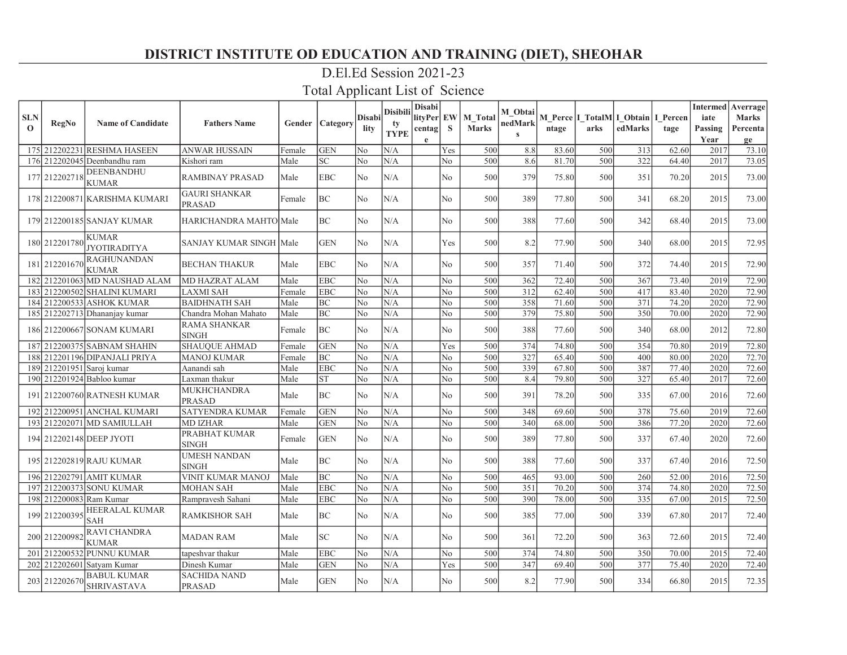### D.El.Ed Session 2021-23

| <b>SLN</b><br>$\mathbf{o}$ | RegNo                     | <b>Name of Candidate</b>                 | <b>Fathers Name</b>                   |        | <b>Gender   Category</b>   | <b>Disabi</b><br>lity | <b>Disibili</b><br>tv<br><b>TYPE</b> | <b>Disabi</b><br>lityPer EW<br>centag<br>e | <sub>S</sub>   | M Total<br><b>Marks</b> | M Obtai<br>nedMark<br>$\mathbf{s}$ | ntage | M Perce I TotalM I Obtain I Percen<br>arks | edMarks | tage  | iate<br>Passing<br>Year | <b>Intermed</b> Averrage<br><b>Marks</b><br>Percenta<br>ge |
|----------------------------|---------------------------|------------------------------------------|---------------------------------------|--------|----------------------------|-----------------------|--------------------------------------|--------------------------------------------|----------------|-------------------------|------------------------------------|-------|--------------------------------------------|---------|-------|-------------------------|------------------------------------------------------------|
|                            |                           | 175 212202231 RESHMA HASEEN              | <b>ANWAR HUSSAIN</b>                  | Female | <b>GEN</b>                 | N <sub>o</sub>        | N/A                                  |                                            | Yes            | 500                     | 8.8                                | 83.60 | 500                                        | 313     | 62.60 | 2017                    | 73.10                                                      |
|                            |                           | 176 212202045 Deenbandhu ram             | Kishori ram                           | Male   | $\ensuremath{\mathbf{SC}}$ | No                    | N/A                                  |                                            | No             | 500                     | 8.6                                | 81.70 | 500                                        | 322     | 64.40 | 2017                    | 73.05                                                      |
|                            | 177 212202718             | DEENBANDHU<br><b>KUMAR</b>               | <b>RAMBINAY PRASAD</b>                | Male   | <b>EBC</b>                 | No                    | N/A                                  |                                            | No             | 500                     | 379                                | 75.80 | 500                                        | 351     | 70.20 | 2015                    | 73.00                                                      |
|                            |                           | 178 212200871 KARISHMA KUMARI            | <b>GAURI SHANKAR</b><br><b>PRASAD</b> | Female | <b>BC</b>                  | N <sub>o</sub>        | N/A                                  |                                            | N <sub>o</sub> | 500                     | 389                                | 77.80 | 500                                        | 341     | 68.20 | 2015                    | 73.00                                                      |
|                            |                           | 179 212200185 SANJAY KUMAR               | <b>HARICHANDRA MAHTO Male</b>         |        | <b>BC</b>                  | N <sub>o</sub>        | N/A                                  |                                            | N <sub>o</sub> | 500                     | 388                                | 77.60 | 500                                        | 342     | 68.40 | 2015                    | 73.00                                                      |
|                            | 180 212201780             | <b>KUMAR</b><br><b>JYOTIRADITYA</b>      | SANJAY KUMAR SINGH   Male             |        | <b>GEN</b>                 | N <sub>o</sub>        | N/A                                  |                                            | Yes            | 500                     | 8.2                                | 77.90 | 500                                        | 340     | 68.00 | 2015                    | 72.95                                                      |
|                            | 181 212201670             | <b>RAGHUNANDAN</b><br><b>KUMAR</b>       | <b>BECHAN THAKUR</b>                  | Male   | <b>EBC</b>                 | No                    | N/A                                  |                                            | No             | 500                     | 357                                | 71.40 | 500                                        | 372     | 74.40 | 2015                    | 72.90                                                      |
|                            |                           | 182 212201063 MD NAUSHAD ALAM            | <b>MD HAZRAT ALAM</b>                 | Male   | <b>EBC</b>                 | No                    | N/A                                  |                                            | No             | 500                     | 362                                | 72.40 | 500                                        | 367     | 73.40 | 2019                    | 72.90                                                      |
|                            |                           | 183 212200502 SHALINI KUMARI             | <b>LAXMI SAH</b>                      | Female | <b>EBC</b>                 | N <sub>0</sub>        | N/A                                  |                                            | No             | 500                     | 312                                | 62.40 | 500                                        | 417     | 83.40 | 2020                    | 72.90                                                      |
|                            |                           | 184 212200533 ASHOK KUMAR                | <b>BAIDHNATH SAH</b>                  | Male   | BC                         | No                    | N/A                                  |                                            | No.            | 500                     | 358                                | 71.60 | 500                                        | 371     | 74.20 | 2020                    | 72.90                                                      |
|                            |                           | 185 212202713 Dhananjay kumar            | Chandra Mohan Mahato                  | Male   | <b>BC</b>                  | N <sub>o</sub>        | N/A                                  |                                            | No             | 500                     | 379                                | 75.80 | 500                                        | 350     | 70.00 | 2020                    | 72.90                                                      |
|                            |                           | 186 212200667 SONAM KUMARI               | <b>RAMA SHANKAR</b><br><b>SINGH</b>   | Female | <b>BC</b>                  | No                    | N/A                                  |                                            | N <sub>o</sub> | 500                     | 388                                | 77.60 | 500                                        | 340     | 68.00 | 2012                    | 72.80                                                      |
|                            |                           | 187 212200375 SABNAM SHAHIN              | <b>SHAUQUE AHMAD</b>                  | Female | <b>GEN</b>                 | N0                    | N/A                                  |                                            | Yes            | 500                     | 374                                | 74.80 | 500                                        | 354     | 70.80 | 2019                    | 72.80                                                      |
|                            |                           | 188 212201196 DIPANJALI PRIYA            | <b>MANOJ KUMAR</b>                    | Female | <b>BC</b>                  | No                    | N/A                                  |                                            | No             | 500                     | 327                                | 65.40 | 500                                        | 400     | 80.00 | 2020                    | 72.70                                                      |
|                            | 189 212201951 Saroj kumar |                                          | Aanandi sah                           | Male   | <b>EBC</b>                 | No                    | N/A                                  |                                            | No             | 500                     | 339                                | 67.80 | 500                                        | 387     | 77.40 | 2020                    | 72.60                                                      |
|                            |                           | 190 212201924 Babloo kumar               | Laxman thakur                         | Male   | <b>ST</b>                  | No                    | N/A                                  |                                            | N <sub>o</sub> | 500                     | 8.4                                | 79.80 | 500                                        | 327     | 65.40 | 2017                    | 72.60                                                      |
|                            |                           | 191 212200760 RATNESH KUMAR              | <b>MUKHCHANDRA</b><br><b>PRASAD</b>   | Male   | BC                         | N <sub>0</sub>        | N/A                                  |                                            | N <sub>o</sub> | 500                     | 391                                | 78.20 | 500                                        | 335     | 67.00 | 2016                    | 72.60                                                      |
|                            |                           | 192 212200951 ANCHAL KUMARI              | <b>SATYENDRA KUMAR</b>                | Female | <b>GEN</b>                 | lNo.                  | N/A                                  |                                            | No.            | 500                     | 348                                | 69.60 | 500                                        | 378     | 75.60 | 2019                    | 72.60                                                      |
|                            |                           | 193 212202071 MD SAMIULLAH               | <b>MD IZHAR</b>                       | Male   | <b>GEN</b>                 | No                    | N/A                                  |                                            | N <sub>o</sub> | 500                     | 340                                | 68.00 | 500                                        | 386     | 77.20 | 2020                    | 72.60                                                      |
|                            |                           | 194 212202148 DEEP JYOTI                 | PRABHAT KUMAR<br><b>SINGH</b>         | Female | <b>GEN</b>                 | N <sub>o</sub>        | N/A                                  |                                            | No.            | 500                     | 389                                | 77.80 | 500                                        | 337     | 67.40 | 2020                    | 72.60                                                      |
|                            |                           | 195 212202819 RAJU KUMAR                 | <b>UMESH NANDAN</b><br><b>SINGH</b>   | Male   | BC                         | No                    | N/A                                  |                                            | No             | 500                     | 388                                | 77.60 | 500                                        | 337     | 67.40 | 2016                    | 72.50                                                      |
|                            |                           | 196 212202791 AMIT KUMAR                 | VINIT KUMAR MANOJ                     | Male   | BC                         | No                    | N/A                                  |                                            | No.            | 500                     | 465                                | 93.00 | 500                                        | 260     | 52.00 | 2016                    | 72.50                                                      |
| 197                        |                           | 212200373 SONU KUMAR                     | <b>MOHAN SAH</b>                      | Male   | <b>EBC</b>                 | No                    | N/A                                  |                                            | No             | 500                     | 351                                | 70.20 | 500                                        | 374     | 74.80 | 2020                    | 72.50                                                      |
|                            | 198 212200083 Ram Kumar   |                                          | Rampravesh Sahani                     | Male   | <b>EBC</b>                 | No                    | N/A                                  |                                            | No.            | 500                     | 390                                | 78.00 | 500                                        | 335     | 67.00 | 2015                    | 72.50                                                      |
|                            | 199 212200395             | <b>HEERALAL KUMAR</b><br><b>SAH</b>      | <b>RAMKISHOR SAH</b>                  | Male   | <b>BC</b>                  | N <sub>o</sub>        | N/A                                  |                                            | N <sub>o</sub> | 500                     | 385                                | 77.00 | 500                                        | 339     | 67.80 | 2017                    | 72.40                                                      |
|                            | 200 212200982             | <b>RAVI CHANDRA</b><br><b>KUMAR</b>      | <b>MADAN RAM</b>                      | Male   | SC <sub>1</sub>            | N <sub>o</sub>        | N/A                                  |                                            | N <sub>o</sub> | 500                     | 361                                | 72.20 | 500                                        | 363     | 72.60 | 2015                    | 72.40                                                      |
| 201                        |                           | 212200532 PUNNU KUMAR                    | tapeshvar thakur                      | Male   | <b>EBC</b>                 | No                    | N/A                                  |                                            | N <sub>o</sub> | 500                     | 374                                | 74.80 | 500                                        | 350     | 70.00 | 2015                    | 72.40                                                      |
|                            |                           | 202 212202601 Satyam Kumar               | Dinesh Kumar                          | Male   | <b>GEN</b>                 | No                    | N/A                                  |                                            | Yes            | 500                     | 347                                | 69.40 | 500                                        | 377     | 75.40 | 2020                    | 72.40                                                      |
|                            | 203 212202670             | <b>BABUL KUMAR</b><br><b>SHRIVASTAVA</b> | <b>SACHIDA NAND</b><br><b>PRASAD</b>  | Male   | <b>GEN</b>                 | N <sub>o</sub>        | N/A                                  |                                            | No             | 500                     | 8.2                                | 77.90 | 500                                        | 334     | 66.80 | 2015                    | 72.35                                                      |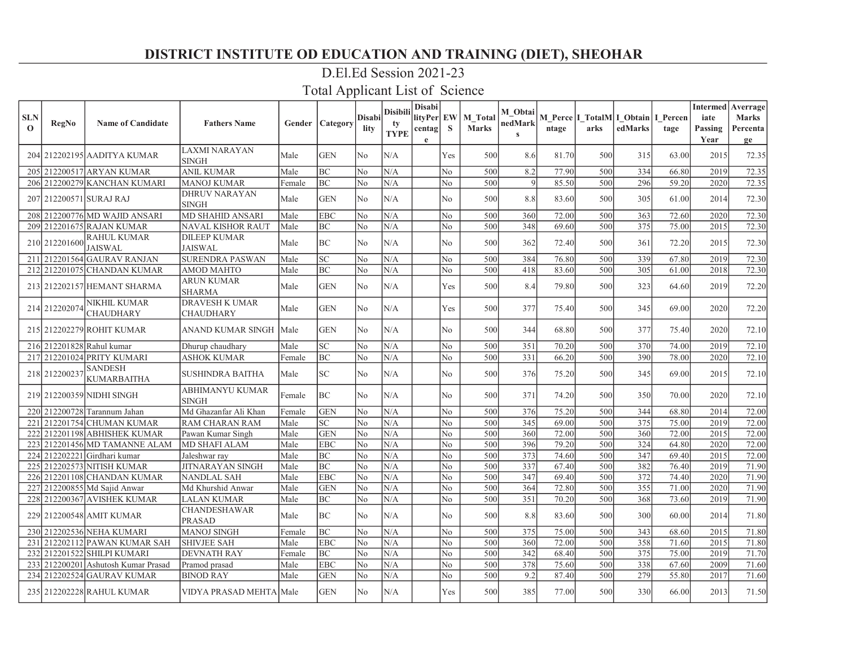# D.El.Ed Session 2021-23

| <b>SLN</b><br>$\mathbf{o}$ | RegNo         | <b>Name of Candidate</b>                | <b>Fathers Name</b>                       |        | <b>Gender   Category</b>   | <b>Disabi</b><br>lity | Disibili<br>tv<br><b>TYPE</b> | Disabi<br>lityPer EW<br>centag<br>e | <sub>S</sub>   | <b>M</b> Total<br><b>Marks</b> | M Obtai<br>nedMark<br>$\mathbf{s}$ | ntage | arks | M Perce   I_TotalM  I_Obtain   I_Percen<br>edMarks | tage  | iate<br>Passing<br>Year | <b>Intermed</b> Averrage<br><b>Marks</b><br>Percenta<br>ge |
|----------------------------|---------------|-----------------------------------------|-------------------------------------------|--------|----------------------------|-----------------------|-------------------------------|-------------------------------------|----------------|--------------------------------|------------------------------------|-------|------|----------------------------------------------------|-------|-------------------------|------------------------------------------------------------|
|                            |               | 204 212202195 AADITYA KUMAR             | <b>LAXMI NARAYAN</b><br><b>SINGH</b>      | Male   | <b>GEN</b>                 | No                    | N/A                           |                                     | Yes            | 500                            | 8.6                                | 81.70 | 500  | 315                                                | 63.00 | 2015                    | 72.35                                                      |
|                            |               | 205 212200517 ARYAN KUMAR               | <b>ANIL KUMAR</b>                         | Male   | BC                         | No                    | N/A                           |                                     | No             | 500                            | 8.2                                | 77.90 | 500  | 334                                                | 66.80 | 2019                    | 72.35                                                      |
|                            |               | 206 212200279 KANCHAN KUMARI            | <b>MANOJ KUMAR</b>                        | Female | BC                         | N <sub>o</sub>        | N/A                           |                                     | N <sub>o</sub> | 500                            | -9                                 | 85.50 | 500  | 296                                                | 59.20 | 2020                    | 72.35                                                      |
|                            |               | 207 212200571 SURAJ RAJ                 | <b>DHRUV NARAYAN</b><br><b>SINGH</b>      | Male   | <b>GEN</b>                 | No                    | N/A                           |                                     | No             | 500                            | 8.8                                | 83.60 | 500  | 305                                                | 61.00 | 2014                    | 72.30                                                      |
|                            |               | 208 212200776 MD WAJID ANSARI           | <b>MD SHAHID ANSARI</b>                   | Male   | <b>EBC</b>                 | No                    | N/A                           |                                     | N <sub>o</sub> | 500                            | 360                                | 72.00 | 500  | 363                                                | 72.60 | 2020                    | 72.30                                                      |
|                            |               | 209 212201675 RAJAN KUMAR               | NAVAL KISHOR RAUT                         | Male   | BC                         | No                    | N/A                           |                                     | No             | 500                            | 348                                | 69.60 | 500  | 375                                                | 75.00 | 2015                    | 72.30                                                      |
|                            | 210 212201600 | RAHUL KUMAR<br><b>JAISWAL</b>           | <b>DILEEP KUMAR</b><br><b>JAISWAL</b>     | Male   | BC                         | N <sub>0</sub>        | N/A                           |                                     | N <sub>0</sub> | 500                            | 362                                | 72.40 | 500  | 361                                                | 72.20 | 2015                    | 72.30                                                      |
| 211                        |               | 212201564 GAURAV RANJAN                 | <b>SURENDRA PASWAN</b>                    | Male   | $\ensuremath{\mathbf{SC}}$ | No                    | N/A                           |                                     | No             | 500                            | 384                                | 76.80 | 500  | 339                                                | 67.80 | 2019                    | 72.30                                                      |
|                            |               | 212 212201075 CHANDAN KUMAR             | <b>AMOD MAHTO</b>                         | Male   | BC                         | No                    | N/A                           |                                     | N <sub>o</sub> | 500                            | 418                                | 83.60 | 500  | 305                                                | 61.00 | 2018                    | 72.30                                                      |
|                            |               | 213 212202157 HEMANT SHARMA             | <b>ARUN KUMAR</b><br><b>SHARMA</b>        | Male   | <b>GEN</b>                 | N <sub>0</sub>        | N/A                           |                                     | Yes            | 500                            | 8.4                                | 79.80 | 500  | 323                                                | 64.60 | 2019                    | 72.20                                                      |
|                            | 214 212202074 | <b>NIKHIL KUMAR</b><br><b>CHAUDHARY</b> | <b>DRAVESH K UMAR</b><br><b>CHAUDHARY</b> | Male   | <b>GEN</b>                 | No                    | N/A                           |                                     | Yes            | 500                            | 377                                | 75.40 | 500  | 345                                                | 69.00 | 2020                    | 72.20                                                      |
|                            |               | 215 212202279 ROHIT KUMAR               | ANAND KUMAR SINGH   Male                  |        | <b>GEN</b>                 | N <sub>o</sub>        | N/A                           |                                     | N <sub>o</sub> | 500                            | 344                                | 68.80 | 500  | 377                                                | 75.40 | 2020                    | 72.10                                                      |
|                            |               | 216 212201828 Rahul kumar               | Dhurup chaudhary                          | Male   | SC                         | No                    | N/A                           |                                     | No             | 500                            | 351                                | 70.20 | 500  | 370                                                | 74.00 | 2019                    | 72.10                                                      |
|                            |               | 217 212201024 PRITY KUMARI              | <b>ASHOK KUMAR</b>                        | Female | <b>BC</b>                  | No                    | N/A                           |                                     | No             | 500                            | 331                                | 66.20 | 500  | 390                                                | 78.00 | 2020                    | 72.10                                                      |
|                            | 218 212200237 | <b>SANDESH</b><br><b>KUMARBAITHA</b>    | <b>SUSHINDRA BAITHA</b>                   | Male   | SC                         | N <sub>o</sub>        | N/A                           |                                     | N <sub>o</sub> | 500                            | 376                                | 75.20 | 500  | 345                                                | 69.00 | 2015                    | 72.10                                                      |
|                            |               | 219 212200359 NIDHI SINGH               | ABHIMANYU KUMAR<br><b>SINGH</b>           | Female | <b>BC</b>                  | N <sub>0</sub>        | N/A                           |                                     | N <sub>o</sub> | 500                            | 371                                | 74.20 | 500  | 350                                                | 70.00 | 2020                    | 72.10                                                      |
|                            |               | 220 212200728 Tarannum Jahan            | Md Ghazanfar Ali Khan                     | Female | <b>GEN</b>                 | No                    | N/A                           |                                     | No             | 500                            | 376                                | 75.20 | 500  | 344                                                | 68.80 | 2014                    | 72.00                                                      |
|                            |               | 221 212201754 CHUMAN KUMAR              | <b>RAM CHARAN RAM</b>                     | Male   | $\ensuremath{\mathbf{SC}}$ | N <sub>o</sub>        | N/A                           |                                     | No             | 500                            | 345                                | 69.00 | 500  | 375                                                | 75.00 | 2019                    | 72.00                                                      |
|                            |               | 222 212201198 ABHISHEK KUMAR            | Pawan Kumar Singh                         | Male   | <b>GEN</b>                 | No                    | N/A                           |                                     | No.            | 500                            | 360                                | 72.00 | 500  | 360                                                | 72.00 | 2015                    | 72.00                                                      |
|                            |               | 223 212201456 MD TAMANNE ALAM           | <b>MD SHAFI ALAM</b>                      | Male   | <b>EBC</b>                 | No                    | N/A                           |                                     | N <sub>o</sub> | 500                            | 396                                | 79.20 | 500  | 324                                                | 64.80 | 2020                    | 72.00                                                      |
|                            |               | 224 212202221 Girdhari kumar            | Jaleshwar ray                             | Male   | BC                         | No                    | N/A                           |                                     | No             | 500                            | 373                                | 74.60 | 500  | 347                                                | 69.40 | 2015                    | 72.00                                                      |
|                            |               | 225 212202573 NITISH KUMAR              | <b>JITNARAYAN SINGH</b>                   | Male   | BC                         | N <sub>o</sub>        | N/A                           |                                     | No             | 500                            | 337                                | 67.40 | 500  | 382                                                | 76.40 | 2019                    | 71.90                                                      |
|                            |               | 226 212201108 CHANDAN KUMAR             | <b>NANDLAL SAH</b>                        | Male   | <b>EBC</b>                 | No                    | N/A                           |                                     | No             | 500                            | 347                                | 69.40 | 500  | 372                                                | 74.40 | 2020                    | 71.90                                                      |
|                            |               | 227 212200855 Md Sajid Anwar            | Md Khurshid Anwar                         | Male   | <b>GEN</b>                 | No                    | N/A                           |                                     | N <sub>o</sub> | 500                            | 364                                | 72.80 | 500  | 355                                                | 71.00 | 2020                    | 71.90                                                      |
|                            |               | 228 212200367 AVISHEK KUMAR             | <b>LALAN KUMAR</b>                        | Male   | BC                         | No                    | N/A                           |                                     | No.            | 500                            | 351                                | 70.20 | 500  | 368                                                | 73.60 | 2019                    | 71.90                                                      |
|                            |               | 229 212200548 AMIT KUMAR                | <b>CHANDESHAWAR</b><br><b>PRASAD</b>      | Male   | <b>BC</b>                  | No                    | N/A                           |                                     | No             | 500                            | 8.8                                | 83.60 | 500  | 300                                                | 60.00 | 2014                    | 71.80                                                      |
|                            |               | 230 212202536 NEHA KUMARI               | <b>MANOJ SINGH</b>                        | Female | <b>BC</b>                  | No                    | N/A                           |                                     | No             | 500                            | 375                                | 75.00 | 500  | 343                                                | 68.60 | 2015                    | 71.80                                                      |
| 231                        |               | 212202112 PAWAN KUMAR SAH               | <b>SHIVJEE SAH</b>                        | Male   | <b>EBC</b>                 | N <sub>o</sub>        | N/A                           |                                     | No             | 500                            | 360                                | 72.00 | 500  | 358                                                | 71.60 | 2015                    | 71.80                                                      |
|                            |               | 232 212201522 SHILPI KUMARI             | <b>DEVNATH RAY</b>                        | Female | BC                         | N <sub>o</sub>        | N/A                           |                                     | No             | 500                            | 342                                | 68.40 | 500  | 375                                                | 75.00 | 2019                    | 71.70                                                      |
|                            |               | 233 212200201 Ashutosh Kumar Prasad     | Pramod prasad                             | Male   | <b>EBC</b>                 | No                    | N/A                           |                                     | No             | 500                            | 378                                | 75.60 | 500  | 338                                                | 67.60 | 2009                    | 71.60                                                      |
|                            |               | 234 212202524 GAURAV KUMAR              | <b>BINOD RAY</b>                          | Male   | <b>GEN</b>                 | No                    | N/A                           |                                     | No             | 500                            | 9.2                                | 87.40 | 500  | 279                                                | 55.80 | 2017                    | 71.60                                                      |
|                            |               | 235 212202228 RAHUL KUMAR               | VIDYA PRASAD MEHTA Male                   |        | <b>GEN</b>                 | N <sub>0</sub>        | N/A                           |                                     | Yes            | 500                            | 385                                | 77.00 | 500  | 330                                                | 66.00 | 2013                    | 71.50                                                      |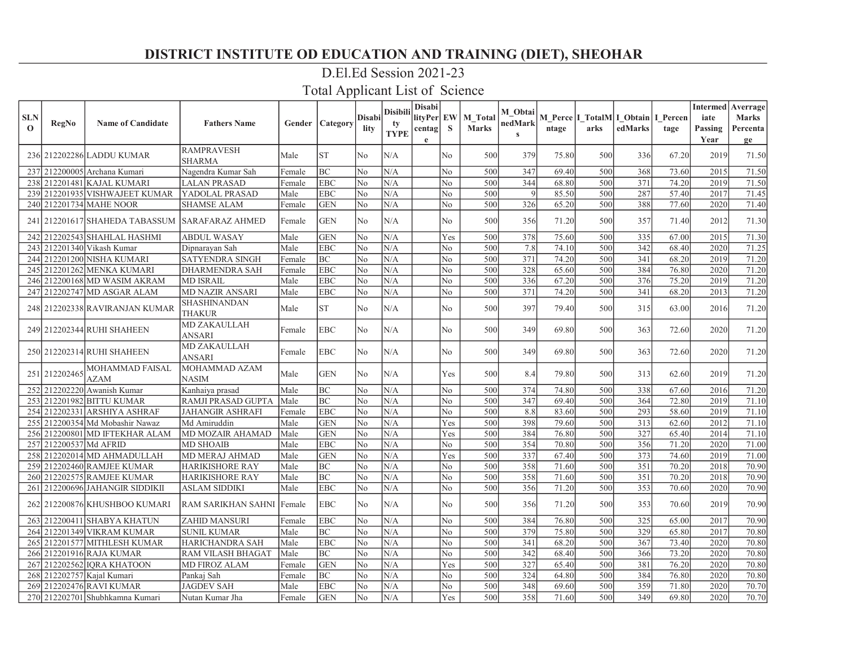# D.El.Ed Session 2021-23

| <b>SLN</b><br>$\mathbf{O}$ | RegNo                  | <b>Name of Candidate</b>                       | <b>Fathers Name</b>                  |        | <b>Gender   Category</b> | <b>Disabi</b><br>lity | <b>Disibili</b><br>ty<br><b>TYPE</b> | Disabi<br>lityPer EW<br>centag<br>e | <sub>S</sub>   | <b>M</b> Total<br><b>Marks</b> | M Obtai<br>nedMark<br>$\mathbf{s}$ | ntage | M Perce   I_TotalM   I_Obtain   I_Percen<br>arks | edMarks | tage  | iate<br>Passing<br>Year | <b>Intermed</b> Averrage<br><b>Marks</b><br>Percenta<br>ge |
|----------------------------|------------------------|------------------------------------------------|--------------------------------------|--------|--------------------------|-----------------------|--------------------------------------|-------------------------------------|----------------|--------------------------------|------------------------------------|-------|--------------------------------------------------|---------|-------|-------------------------|------------------------------------------------------------|
|                            |                        | 236 212202286 LADDU KUMAR                      | <b>RAMPRAVESH</b><br><b>SHARMA</b>   | Male   | <b>ST</b>                | No                    | N/A                                  |                                     | No             | 500                            | 379                                | 75.80 | 500                                              | 336     | 67.20 | 2019                    | 71.50                                                      |
|                            |                        | 237 212200005 Archana Kumari                   | Nagendra Kumar Sah                   | Female | BC                       | N <sub>o</sub>        | N/A                                  |                                     | No             | 500                            | 347                                | 69.40 | 500                                              | 368     | 73.60 | 2015                    | 71.50                                                      |
|                            |                        | 238 212201481 KAJAL KUMARI                     | <b>LALAN PRASAD</b>                  | Female | <b>EBC</b>               | No                    | N/A                                  |                                     | No             | 500                            | 344                                | 68.80 | 500                                              | 371     | 74.20 | 2019                    | 71.50                                                      |
|                            |                        | 239 212201935 VISHWAJEET KUMAR                 | YADOLAL PRASAD                       | Male   | <b>EBC</b>               | No                    | N/A                                  |                                     | No             | 500                            | $\vert 9 \vert$                    | 85.50 | 500                                              | 287     | 57.40 | 2017                    | 71.45                                                      |
|                            |                        | 240 212201734 MAHE NOOR                        | <b>SHAMSE ALAM</b>                   | Female | <b>GEN</b>               | No                    | N/A                                  |                                     | N <sub>o</sub> | 500                            | 326                                | 65.20 | 500                                              | 388     | 77.60 | 2020                    | 71.40                                                      |
|                            |                        | 241 212201617 SHAHEDA TABASSUM SARAFARAZ AHMED |                                      | Female | <b>GEN</b>               | N <sub>o</sub>        | N/A                                  |                                     | No             | 500                            | 356                                | 71.20 | 500                                              | 357     | 71.40 | 2012                    | 71.30                                                      |
|                            |                        | 242 212202543 SHAHLAL HASHMI                   | <b>ABDUL WASAY</b>                   | Male   | <b>GEN</b>               | N0                    | N/A                                  |                                     | Yes            | 500                            | 378                                | 75.60 | 500                                              | 335     | 67.00 | 2015                    | 71.30                                                      |
|                            |                        | 243 212201340 Vikash Kumar                     | Dipnarayan Sah                       | Male   | <b>EBC</b>               | No                    | N/A                                  |                                     | No.            | 500                            | 7.8                                | 74.10 | 500                                              | 342     | 68.40 | 2020                    | 71.25                                                      |
|                            |                        | 244 212201200 NISHA KUMARI                     | <b>SATYENDRA SINGH</b>               | Female | BC                       | N <sub>o</sub>        | N/A                                  |                                     | No             | 500                            | 371                                | 74.20 | 500                                              | 341     | 68.20 | 2019                    | 71.20                                                      |
|                            |                        | 245 212201262 MENKA KUMARI                     | DHARMENDRA SAH                       | Female | <b>EBC</b>               | No                    | N/A                                  |                                     | No             | 500                            | 328                                | 65.60 | 500                                              | 384     | 76.80 | 2020                    | 71.20                                                      |
|                            |                        | 246 212200168 MD WASIM AKRAM                   | <b>MD ISRAIL</b>                     | Male   | <b>EBC</b>               | N0                    | N/A                                  |                                     | N <sub>o</sub> | 500                            | 336                                | 67.20 | 500                                              | 376     | 75.20 | 2019                    | 71.20                                                      |
|                            |                        | 247 212202747 MD ASGAR ALAM                    | <b>MD NAZIR ANSARI</b>               | Male   | <b>EBC</b>               | No                    | N/A                                  |                                     | No             | 500                            | 371                                | 74.20 | 500                                              | 341     | 68.20 | 2013                    | 71.20                                                      |
|                            |                        | 248 212202338 RAVIRANJAN KUMAR                 | SHASHINANDAN<br><b>THAKUR</b>        | Male   | <b>ST</b>                | No                    | N/A                                  |                                     | No             | 500                            | 397                                | 79.40 | 500                                              | 315     | 63.00 | 2016                    | 71.20                                                      |
|                            |                        | 249 212202344 RUHI SHAHEEN                     | <b>MD ZAKAULLAH</b><br><b>ANSARI</b> | Female | <b>EBC</b>               | N <sub>o</sub>        | N/A                                  |                                     | N <sub>o</sub> | 500                            | 349                                | 69.80 | 500                                              | 363     | 72.60 | 2020                    | 71.20                                                      |
|                            |                        | 250 212202314 RUHI SHAHEEN                     | <b>MD ZAKAULLAH</b><br>ANSARI        | Female | <b>EBC</b>               | No                    | N/A                                  |                                     | No             | 500                            | 349                                | 69.80 | 500                                              | 363     | 72.60 | 2020                    | 71.20                                                      |
| 251                        | 212202465              | MOHAMMAD FAISAL<br><b>AZAM</b>                 | MOHAMMAD AZAM<br><b>NASIM</b>        | Male   | <b>GEN</b>               | No                    | N/A                                  |                                     | Yes            | 500                            | 8.4                                | 79.80 | 500                                              | 313     | 62.60 | 2019                    | 71.20                                                      |
|                            |                        | 252 212202220 Awanish Kumar                    | Kanhaiya prasad                      | Male   | <b>BC</b>                | No                    | N/A                                  |                                     | N <sub>o</sub> | 500                            | 374                                | 74.80 | 500                                              | 338     | 67.60 | 2016                    | 71.20                                                      |
|                            |                        | 253 212201982 BITTU KUMAR                      | RAMJI PRASAD GUPTA                   | Male   | <b>BC</b>                | No                    | N/A                                  |                                     | No             | 500                            | 347                                | 69.40 | 500                                              | 364     | 72.80 | 2019                    | 71.10                                                      |
|                            |                        | 254 212202331 ARSHIYA ASHRAF                   | <b>JAHANGIR ASHRAFI</b>              | Female | <b>EBC</b>               | No                    | N/A                                  |                                     | No             | 500                            | 8.8                                | 83.60 | 500                                              | 293     | 58.60 | 2019                    | 71.10                                                      |
|                            |                        | 255 212200354 Md Mobashir Nawaz                | Md Amiruddin                         | Male   | <b>GEN</b>               | No                    | N/A                                  |                                     | Yes            | 500                            | 398                                | 79.60 | 500                                              | 313     | 62.60 | 2012                    | 71.10                                                      |
|                            |                        | 256 212200801 MD IFTEKHAR ALAM                 | <b>MD MOZAIR AHAMAD</b>              | Male   | <b>GEN</b>               | No                    | N/A                                  |                                     | Yes            | 500                            | 384                                | 76.80 | 500                                              | 327     | 65.40 | 2014                    | 71.10                                                      |
|                            | 257 212200537 Md AFRID |                                                | <b>MD SHOAIB</b>                     | Male   | <b>EBC</b>               | No                    | N/A                                  |                                     | No             | 500                            | 354                                | 70.80 | 500                                              | 356     | 71.20 | 2020                    | 71.00                                                      |
|                            |                        | 258 212202014 MD AHMADULLAH                    | <b>MD MERAJ AHMAD</b>                | Male   | <b>GEN</b>               | No                    | N/A                                  |                                     | Yes            | 500                            | 337                                | 67.40 | 500                                              | 373     | 74.60 | 2019                    | 71.00                                                      |
|                            |                        | 259 212202460 RAMJEE KUMAR                     | <b>HARIKISHORE RAY</b>               | Male   | BC                       | No                    | N/A                                  |                                     | No             | 500                            | 358                                | 71.60 | 500                                              | 351     | 70.20 | 2018                    | 70.90                                                      |
|                            |                        | 260 212202575 RAMJEE KUMAR                     | <b>HARIKISHORE RAY</b>               | Male   | BC                       | No                    | N/A                                  |                                     | No             | 500                            | 358                                | 71.60 | 500                                              | 351     | 70.20 | 2018                    | 70.90                                                      |
|                            |                        | 261 212200696 JAHANGIR SIDDIKII                | <b>ASLAM SIDDIKI</b>                 | Male   | <b>EBC</b>               | No                    | N/A                                  |                                     | No             | 500                            | 356                                | 71.20 | 500                                              | 353     | 70.60 | 2020                    | 70.90                                                      |
|                            |                        | 262 212200876 KHUSHBOO KUMARI                  | RAM SARIKHAN SAHNI Female            |        | <b>EBC</b>               | N <sub>o</sub>        | N/A                                  |                                     | N <sub>o</sub> | 500                            | 356                                | 71.20 | 500                                              | 353     | 70.60 | 2019                    | 70.90                                                      |
|                            |                        | 263 212200411 SHABYA KHATUN                    | <b>ZAHID MANSURI</b>                 | Female | <b>EBC</b>               | No                    | N/A                                  |                                     | No             | 500                            | 384                                | 76.80 | 500                                              | 325     | 65.00 | 2017                    | 70.90                                                      |
|                            |                        | 264 212201349 VIKRAM KUMAR                     | <b>SUNIL KUMAR</b>                   | Male   | <b>BC</b>                | N <sub>o</sub>        | N/A                                  |                                     | No             | 500                            | 379                                | 75.80 | 500                                              | 329     | 65.80 | 2017                    | 70.80                                                      |
|                            |                        | 265 212201577 MITHLESH KUMAR                   | <b>HARICHANDRA SAH</b>               | Male   | <b>EBC</b>               | No                    | N/A                                  |                                     | No             | 500                            | 341                                | 68.20 | 500                                              | 367     | 73.40 | 2020                    | 70.80                                                      |
|                            |                        | 266 212201916 RAJA KUMAR                       | RAM VILASH BHAGAT                    | Male   | BC                       | No                    | N/A                                  |                                     | No             | 500                            | 342                                | 68.40 | 500                                              | 366     | 73.20 | 2020                    | 70.80                                                      |
|                            |                        | 267 212202562 JORA KHATOON                     | <b>MD FIROZ ALAM</b>                 | Female | <b>GEN</b>               | No                    | N/A                                  |                                     | Yes            | 500                            | 327                                | 65.40 | 500                                              | 381     | 76.20 | 2020                    | 70.80                                                      |
|                            |                        | 268 212202757 Kajal Kumari                     | Pankaj Sah                           | Female | <b>BC</b>                | No                    | N/A                                  |                                     | No             | 500                            | 324                                | 64.80 | 500                                              | 384     | 76.80 | 2020                    | 70.80                                                      |
|                            |                        | 269 212202476 RAVI KUMAR                       | <b>JAGDEV SAH</b>                    | Male   | <b>EBC</b>               | No                    | N/A                                  |                                     | No             | 500                            | 348                                | 69.60 | 500                                              | 359     | 71.80 | 2020                    | 70.70                                                      |
|                            |                        | 270 212202701 Shubhkamna Kumari                | Nutan Kumar Jha                      | Female | <b>GEN</b>               | No                    | N/A                                  |                                     | Yes            | 500                            | 358                                | 71.60 | 500                                              | 349     | 69.80 | 2020                    | 70.70                                                      |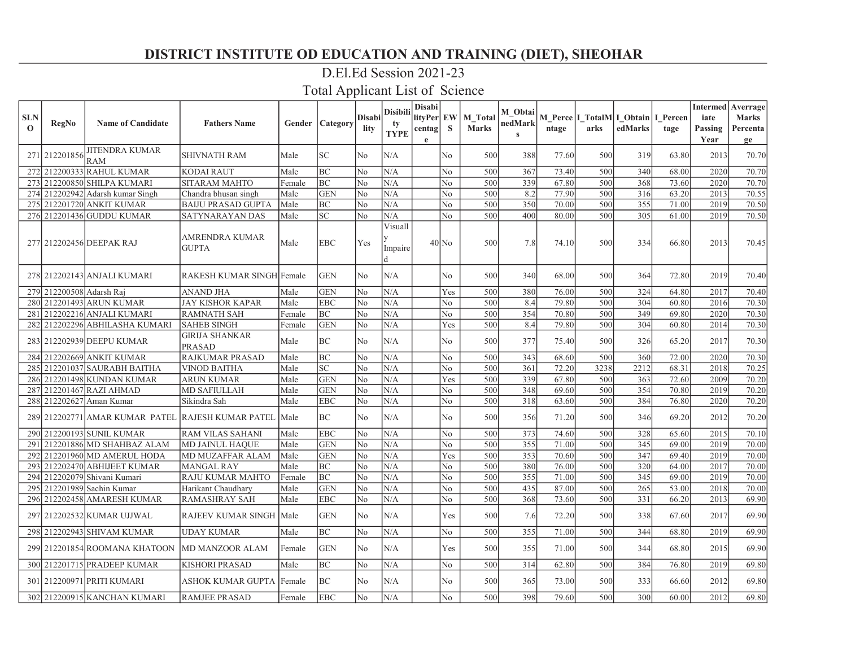### D.El.Ed Session 2021-23

| <b>SLN</b><br>$\mathbf{O}$ | RegNo                    | <b>Name of Candidate</b>         | <b>Fathers Name</b>                                    |        | <b>Gender   Category</b> | <b>Disabi</b><br>lity | <b>Disibili</b><br>ty<br><b>TYPE</b> | <b>Disabi</b><br>lityPer EW<br>centag <br>e | S              | M Total<br><b>Marks</b> | M Obtai<br>nedMark<br>$\mathbf{s}$ | ntage | arks | M Perce   I_TotalM  I_Obtain   I_Percen<br>edMarks | tage  | iate<br>Passing<br>Year | <b>Intermed</b> Averrage<br><b>Marks</b><br>Percenta<br>ge |
|----------------------------|--------------------------|----------------------------------|--------------------------------------------------------|--------|--------------------------|-----------------------|--------------------------------------|---------------------------------------------|----------------|-------------------------|------------------------------------|-------|------|----------------------------------------------------|-------|-------------------------|------------------------------------------------------------|
|                            | 271 212201856            | <b>JITENDRA KUMAR</b><br>RAM     | <b>SHIVNATH RAM</b>                                    | Male   | <b>SC</b>                | No                    | N/A                                  |                                             | No             | 500                     | 388                                | 77.60 | 500  | 319                                                | 63.80 | 2013                    | 70.70                                                      |
|                            |                          | 272 212200333 RAHUL KUMAR        | <b>KODAI RAUT</b>                                      | Male   | BC                       | No                    | N/A                                  |                                             | No             | 500                     | 367                                | 73.40 | 500  | 340                                                | 68.00 | 2020                    | 70.70                                                      |
|                            |                          | 273 212200850 SHILPA KUMARI      | SITARAM MAHTO                                          | Female | BC                       | No                    | N/A                                  |                                             | No             | 500                     | 339                                | 67.80 | 500  | 368                                                | 73.60 | 2020                    | 70.70                                                      |
|                            |                          | 274 212202942 Adarsh kumar Singh | Chandra bhusan singh                                   | Male   | <b>GEN</b>               | No                    | N/A                                  |                                             | N <sub>o</sub> | 500                     | 8.2                                | 77.90 | 500  | 316                                                | 63.20 | 2013                    | 70.55                                                      |
|                            |                          | 275 212201720 ANKIT KUMAR        | <b>BAIJU PRASAD GUPTA</b>                              | Male   | BC                       | No                    | N/A                                  |                                             | No             | 500                     | 350                                | 70.00 | 500  | 355                                                | 71.00 | 2019                    | 70.50                                                      |
|                            |                          | 276 212201436 GUDDU KUMAR        | SATYNARAYAN DAS                                        | Male   | <b>SC</b>                | No                    | N/A                                  |                                             | No             | 500                     | 400                                | 80.00 | 500  | 305                                                | 61.00 | 2019                    | 70.50                                                      |
|                            |                          | 277 212202456 DEEPAK RAJ         | AMRENDRA KUMAR<br><b>GUPTA</b>                         | Male   | <b>EBC</b>               | Yes                   | Visuall<br>Impaire                   |                                             | $40$ No        | 500                     | 7.8                                | 74.10 | 500  | 334                                                | 66.80 | 2013                    | 70.45                                                      |
|                            |                          | 278 212202143 ANJALI KUMARI      | RAKESH KUMAR SINGH Female                              |        | <b>GEN</b>               | No                    | N/A                                  |                                             | N <sub>o</sub> | 500                     | 340                                | 68.00 | 500  | 364                                                | 72.80 | 2019                    | 70.40                                                      |
|                            | 279 212200508 Adarsh Rai |                                  | <b>ANAND JHA</b>                                       | Male   | <b>GEN</b>               | No                    | N/A                                  |                                             | Yes            | 500                     | 380                                | 76.00 | 500  | 324                                                | 64.80 | 2017                    | 70.40                                                      |
|                            |                          | 280 212201493 ARUN KUMAR         | <b>JAY KISHOR KAPAR</b>                                | Male   | <b>EBC</b>               | No                    | N/A                                  |                                             | No             | 500                     | 8.4                                | 79.80 | 500  | 304                                                | 60.80 | 2016                    | 70.30                                                      |
|                            |                          | 281 212202216 ANJALI KUMARI      | <b>RAMNATH SAH</b>                                     | Female | <b>BC</b>                | No                    | N/A                                  |                                             | No             | 500                     | 354                                | 70.80 | 500  | 349                                                | 69.80 | 2020                    | 70.30                                                      |
|                            |                          | 282 212202296 ABHILASHA KUMARI   | <b>SAHEB SINGH</b>                                     | Female | <b>GEN</b>               | N <sub>0</sub>        | N/A                                  |                                             | Yes            | 500                     | 8.4                                | 79.80 | 500  | 304                                                | 60.80 | 2014                    | 70.30                                                      |
|                            |                          | 283 212202939 DEEPU KUMAR        | <b>GIRIJA SHANKAR</b><br><b>PRASAD</b>                 | Male   | <b>BC</b>                | No                    | N/A                                  |                                             | No             | 500                     | 377                                | 75.40 | 500  | 326                                                | 65.20 | 2017                    | 70.30                                                      |
|                            |                          | 284 212202669 ANKIT KUMAR        | <b>RAJKUMAR PRASAD</b>                                 | Male   | <b>BC</b>                | No                    | N/A                                  |                                             | No             | 500                     | 343                                | 68.60 | 500  | 360                                                | 72.00 | 2020                    | 70.30                                                      |
|                            |                          | 285 212201037 SAURABH BAITHA     | <b>VINOD BAITHA</b>                                    | Male   | <b>SC</b>                | No                    | N/A                                  |                                             | No             | 500                     | 361                                | 72.20 | 3238 | 2212                                               | 68.31 | 2018                    | 70.25                                                      |
|                            |                          | 286 212201498 KUNDAN KUMAR       | <b>ARUN KUMAR</b>                                      | Male   | <b>GEN</b>               | No                    | N/A                                  |                                             | Yes            | 500                     | 339                                | 67.80 | 500  | 363                                                | 72.60 | 2009                    | 70.20                                                      |
|                            |                          | 287 212201467 RAZI AHMAD         | <b>MD SAFIULLAH</b>                                    | Male   | <b>GEN</b>               | No                    | N/A                                  |                                             | N <sub>o</sub> | 500                     | 348                                | 69.60 | 500  | 354                                                | 70.80 | 2019                    | 70.20                                                      |
|                            |                          | 288 212202627 Aman Kumar         | Sikindra Sah                                           | Male   | <b>EBC</b>               | No                    | N/A                                  |                                             | No             | 500                     | 318                                | 63.60 | 500  | 384                                                | 76.80 | 2020                    | 70.20                                                      |
|                            |                          |                                  | 289 212202771 AMAR KUMAR PATEL RAJESH KUMAR PATEL Male |        | BC                       | No                    | N/A                                  |                                             | N <sub>o</sub> | 500                     | 356                                | 71.20 | 500  | 346                                                | 69.20 | 2012                    | 70.20                                                      |
|                            |                          | 290 212200193 SUNIL KUMAR        | <b>RAM VILAS SAHANI</b>                                | Male   | <b>EBC</b>               | No                    | N/A                                  |                                             | No             | 500                     | 373                                | 74.60 | 500  | 328                                                | 65.60 | 2015                    | 70.10                                                      |
| 291                        |                          | 212201886 MD SHAHBAZ ALAM        | <b>MD JAINUL HAQUE</b>                                 | Male   | <b>GEN</b>               | No                    | N/A                                  |                                             | No             | 500                     | 355                                | 71.00 | 500  | 345                                                | 69.00 | 2019                    | 70.00                                                      |
|                            |                          | 292 212201960 MD AMERUL HODA     | <b>MD MUZAFFAR ALAM</b>                                | Male   | <b>GEN</b>               | No                    | N/A                                  |                                             | Yes            | 500                     | 353                                | 70.60 | 500  | 347                                                | 69.40 | 2019                    | 70.00                                                      |
|                            |                          | 293 212202470 ABHIJEET KUMAR     | <b>MANGAL RAY</b>                                      | Male   | BC                       | No                    | N/A                                  |                                             | No             | 500                     | 380                                | 76.00 | 500  | 320                                                | 64.00 | 2017                    | 70.00                                                      |
|                            |                          | 294 212202079 Shivani Kumari     | <b>RAJU KUMAR MAHTO</b>                                | Female | <b>BC</b>                | No                    | N/A                                  |                                             | No             | 500                     | 355                                | 71.00 | 500  | 345                                                | 69.00 | 2019                    | 70.00                                                      |
|                            |                          | 295 212201989 Sachin Kumar       | Harikant Chaudharv                                     | Male   | <b>GEN</b>               | No                    | N/A                                  |                                             | No             | 500                     | 435                                | 87.00 | 500  | 265                                                | 53.00 | 2018                    | 70.00                                                      |
|                            |                          | 296 212202458 AMARESH KUMAR      | <b>RAMASHRAY SAH</b>                                   | Male   | <b>EBC</b>               | No                    | N/A                                  |                                             | No             | 500                     | 368                                | 73.60 | 500  | 331                                                | 66.20 | 2013                    | 69.90                                                      |
|                            |                          | 297 212202532 KUMAR UJJWAL       | RAJEEV KUMAR SINGH   Male                              |        | <b>GEN</b>               | No                    | N/A                                  |                                             | Yes            | 500                     | 7.6                                | 72.20 | 500  | 338                                                | 67.60 | 2017                    | 69.90                                                      |
|                            |                          | 298 212202943 SHIVAM KUMAR       | <b>UDAY KUMAR</b>                                      | Male   | BC                       | No                    | N/A                                  |                                             | No             | 500                     | 355                                | 71.00 | 500  | 344                                                | 68.80 | 2019                    | 69.90                                                      |
|                            |                          | 299 212201854 ROOMANA KHATOON    | <b>MD MANZOOR ALAM</b>                                 | Female | <b>GEN</b>               | No                    | N/A                                  |                                             | Yes            | 500                     | 355                                | 71.00 | 500  | 344                                                | 68.80 | 2015                    | 69.90                                                      |
|                            |                          | 300 212201715 PRADEEP KUMAR      | <b>KISHORI PRASAD</b>                                  | Male   | BC                       | No                    | N/A                                  |                                             | No             | 500                     | 314                                | 62.80 | 500  | 384                                                | 76.80 | 2019                    | 69.80                                                      |
|                            |                          | 301 212200971 PRITI KUMARI       | ASHOK KUMAR GUPTA  Female                              |        | BC                       | No                    | N/A                                  |                                             | N <sub>o</sub> | 500                     | 365                                | 73.00 | 500  | 333                                                | 66.60 | 2012                    | 69.80                                                      |
|                            |                          | 302 212200915 KANCHAN KUMARI     | <b>RAMJEE PRASAD</b>                                   | Female | <b>EBC</b>               | No                    | N/A                                  |                                             | No             | 500                     | 398                                | 79.60 | 500  | 300                                                | 60.00 | 2012                    | 69.80                                                      |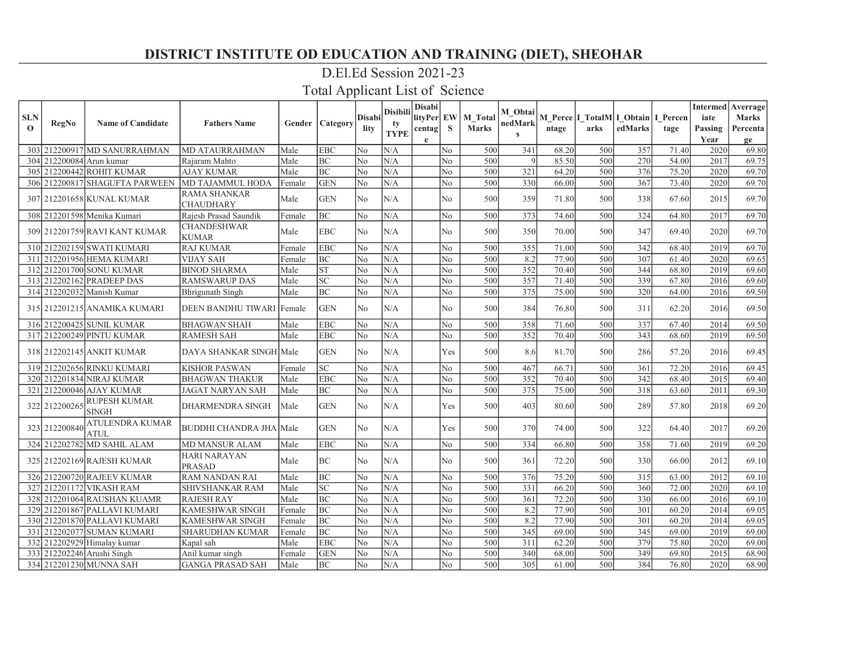### D.El.Ed Session 2021-23

| <b>SLN</b> |                          |                                       |                                         |        |                          | <b>Disabi</b>  | <b>Disibili</b>   | <b>Disabi</b><br>lityPer EW |                | <b>M</b> Total | M Obtai                 |       |      | M Perce I TotalM I Obtain I Percen |       | iate    | <b>Intermed</b> Averrage<br><b>Marks</b> |
|------------|--------------------------|---------------------------------------|-----------------------------------------|--------|--------------------------|----------------|-------------------|-----------------------------|----------------|----------------|-------------------------|-------|------|------------------------------------|-------|---------|------------------------------------------|
| $\Omega$   | RegNo                    | <b>Name of Candidate</b>              | <b>Fathers Name</b>                     |        | <b>Gender   Category</b> | lity           | tv<br><b>TYPE</b> | centag                      | <sub>S</sub>   | <b>Marks</b>   | nedMark<br>$\mathbf{s}$ | ntage | arks | edMarks                            | tage  | Passing | Percenta                                 |
|            |                          |                                       |                                         |        |                          |                |                   | e                           |                |                |                         |       |      |                                    |       | Year    | ge                                       |
|            |                          | 303 212200917 MD SANURRAHMAN          | <b>MD ATAURRAHMAN</b>                   | Male   | <b>EBC</b>               | N0             | N/A               |                             | No.            | 500            | 341                     | 68.20 | 500  | 357                                | 71.40 | 2020    | 69.80                                    |
|            | 304 212200084 Arun kumar |                                       | Rajaram Mahto                           | Male   | BC                       | No             | N/A               |                             | N <sub>o</sub> | 500            | 9                       | 85.50 | 500  | 270                                | 54.00 | 2017    | 69.75                                    |
|            |                          | 305 212200442 ROHIT KUMAR             | <b>AJAY KUMAR</b>                       | Male   | BC                       | No             | N/A               |                             | N <sub>o</sub> | 500            | 321                     | 64.20 | 500  | 376                                | 75.20 | 2020    | 69.70                                    |
|            |                          | 306 212200817 SHAGUFTA PARWEEN        | MD TAJAMMUL HODA                        | Female | <b>GEN</b>               | No             | N/A               |                             | N <sub>o</sub> | 500            | 330                     | 66.00 | 500  | 367                                | 73.40 | 2020    | 69.70                                    |
|            |                          | 307 212201658 KUNAL KUMAR             | <b>RAMA SHANKAR</b><br><b>CHAUDHARY</b> | Male   | <b>GEN</b>               | No             | N/A               |                             | No.            | 500            | 359                     | 71.80 | 500  | 338                                | 67.60 | 2015    | 69.70                                    |
|            |                          | 308 212201598 Menika Kumari           | Rajesh Prasad Saundik                   | Female | BC                       | No             | N/A               |                             | No.            | 500            | 373                     | 74.60 | 500  | 324                                | 64.80 | 2017    | 69.70                                    |
|            |                          | 309 212201759 RAVI KANT KUMAR         | <b>CHANDESHWAR</b><br><b>KUMAR</b>      | Male   | <b>EBC</b>               | No             | N/A               |                             | No             | 500            | 350                     | 70.00 | 500  | 347                                | 69.40 | 2020    | 69.70                                    |
|            |                          | 310 212202159 SWATI KUMARI            | <b>RAJ KUMAR</b>                        | Female | <b>EBC</b>               | No             | N/A               |                             | N <sub>o</sub> | 500            | 355                     | 71.00 | 500  | 342                                | 68.40 | 2019    | 69.70                                    |
| 311        |                          | 212201956 HEMA KUMARI                 | <b>VIJAY SAH</b>                        | Female | <b>BC</b>                | No             | N/A               |                             | N <sub>o</sub> | 500            | 8.2                     | 77.90 | 500  | 307                                | 61.40 | 2020    | 69.65                                    |
|            |                          | 312 212201700 SONU KUMAR              | <b>BINOD SHARMA</b>                     | Male   | ST                       | No             | N/A               |                             | N <sub>o</sub> | 500            | 352                     | 70.40 | 500  | 344                                | 68.80 | 2019    | 69.60                                    |
|            |                          | 313 212202162 PRADEEP DAS             | <b>RAMSWARUP DAS</b>                    | Male   | $\overline{SC}$          | No             | N/A               |                             | N <sub>o</sub> | 500            | 357                     | 71.40 | 500  | 339                                | 67.80 | 2016    | 69.60                                    |
|            |                          | 314 212202032 Manish Kumar            | Bhrigunath Singh                        | Male   | <b>BC</b>                | N0             | N/A               |                             | N <sub>o</sub> | 500            | 375                     | 75.00 | 500  | 320                                | 64.00 | 2016    | 69.50                                    |
|            |                          | 315 212201215 ANAMIKA KUMARI          | DEEN BANDHU TIWARI   Female             |        | <b>GEN</b>               | No             | N/A               |                             | N <sub>o</sub> | 500            | 384                     | 76.80 | 500  | 311                                | 62.20 | 2016    | 69.50                                    |
|            |                          | 316 212200425 SUNIL KUMAR             | <b>BHAGWAN SHAH</b>                     | Male   | <b>EBC</b>               | No             | N/A               |                             | No             | 500            | 358                     | 71.60 | 500  | 337                                | 67.40 | 2014    | 69.50                                    |
|            |                          | 317 212200249 PINTU KUMAR             | <b>RAMESH SAH</b>                       | Male   | <b>EBC</b>               | No             | N/A               |                             | N <sub>o</sub> | 500            | 352                     | 70.40 | 500  | 343                                | 68.60 | 2019    | 69.50                                    |
|            |                          | 318 212202145 ANKIT KUMAR             | DAYA SHANKAR SINGH Male                 |        | <b>GEN</b>               | No             | N/A               |                             | Yes            | 500            | 8.6                     | 81.70 | 500  | 286                                | 57.20 | 2016    | 69.45                                    |
|            |                          | 319 212202656 RINKU KUMARI            | <b>KISHOR PASWAN</b>                    | Female | <b>SC</b>                | No             | N/A               |                             | No             | 500            | 467                     | 66.71 | 500  | 361                                | 72.20 | 2016    | 69.45                                    |
|            |                          | 320 212201834 NIRAJ KUMAR             | <b>BHAGWAN THAKUR</b>                   | Male   | <b>EBC</b>               | No             | N/A               |                             | N <sub>o</sub> | 500            | 352                     | 70.40 | 500  | 342                                | 68.40 | 2015    | 69.40                                    |
|            |                          | 321 212200046 AJAY KUMAR              | <b>JAGAT NARYAN SAH</b>                 | Male   | BC                       | No             | N/A               |                             | N <sub>o</sub> | 500            | 375                     | 75.00 | 500  | 318                                | 63.60 | 2011    | 69.30                                    |
|            | 322 212200265            | <b>RUPESH KUMAR</b><br><b>SINGH</b>   | <b>DHARMENDRA SINGH</b>                 | Male   | <b>GEN</b>               | N <sub>o</sub> | N/A               |                             | Yes            | 500            | 403                     | 80.60 | 500  | 289                                | 57.80 | 2018    | 69.20                                    |
|            | 323 212200840            | <b>ATULENDRA KUMAR</b><br><b>ATUL</b> | <b>BUDDHI CHANDRA JHA Male</b>          |        | <b>GEN</b>               | No             | N/A               |                             | Yes            | 500            | 370                     | 74.00 | 500  | 322                                | 64.40 | 2017    | 69.20                                    |
|            |                          | 324 212202782 MD SAHIL ALAM           | <b>MD MANSUR ALAM</b>                   | Male   | <b>EBC</b>               | No             | N/A               |                             | No             | 500            | 334                     | 66.80 | 500  | 358                                | 71.60 | 2019    | 69.20                                    |
|            |                          | 325 212202169 RAJESH KUMAR            | <b>HARI NARAYAN</b><br><b>PRASAD</b>    | Male   | BC                       | N <sub>o</sub> | N/A               |                             | N <sub>o</sub> | 500            | 361                     | 72.20 | 500  | 330                                | 66.00 | 2012    | 69.10                                    |
|            |                          | 326 212200720 RAJEEV KUMAR            | <b>RAM NANDAN RAI</b>                   | Male   | BC                       | lNo.           | N/A               |                             | N <sub>o</sub> | 500            | 376                     | 75.20 | 500  | 315                                | 63.00 | 2012    | 69.10                                    |
|            |                          | 327 212201172 VIKASH RAM              | SHIVSHANKAR RAM                         | Male   | $\overline{SC}$          | No             | N/A               |                             | No             | 500            | 331                     | 66.20 | 500  | 360                                | 72.00 | 2020    | 69.10                                    |
|            |                          | 328 212201064 RAUSHAN KUAMR           | <b>RAJESH RAY</b>                       | Male   | BC                       | No             | N/A               |                             | N <sub>o</sub> | 500            | 361                     | 72.20 | 500  | 330                                | 66.00 | 2016    | 69.10                                    |
|            |                          | 329 212201867 PALLAVI KUMARI          | <b>KAMESHWAR SINGH</b>                  | Female | <b>BC</b>                | No             | N/A               |                             | No             | 500            | 8.2                     | 77.90 | 500  | 301                                | 60.20 | 2014    | 69.05                                    |
|            |                          | 330 212201870 PALLAVI KUMARI          | <b>KAMESHWAR SINGH</b>                  | Female | BC                       | No             | N/A               |                             | N <sub>o</sub> | 500            | 8.2                     | 77.90 | 500  | 301                                | 60.20 | 2014    | 69.05                                    |
|            |                          | 331 212202077 SUMAN KUMARI            | <b>SHARUDHAN KUMAR</b>                  | Female | <b>BC</b>                | No             | N/A               |                             | N <sub>o</sub> | 500            | 345                     | 69.00 | 500  | 345                                | 69.00 | 2019    | 69.00                                    |
|            |                          | 332 212202929 Himalay kumar           | Kapal sah                               | Male   | <b>EBC</b>               | No             | N/A               |                             | N <sub>o</sub> | 500            | 311                     | 62.20 | 500  | 379                                | 75.80 | 2020    | 69.00                                    |
|            |                          | 333 212202246 Arushi Singh            | Anil kumar singh                        | Female | <b>GEN</b>               | N0             | N/A               |                             | N <sub>o</sub> | 500            | 340                     | 68.00 | 500  | 349                                | 69.80 | 2015    | 68.90                                    |
|            |                          | 334 212201230 MUNNA SAH               | <b>GANGA PRASAD SAH</b>                 | Male   | BC                       | No             | N/A               |                             | No.            | 500            | 305                     | 61.00 | 500  | 384                                | 76.80 | 2020    | 68.90                                    |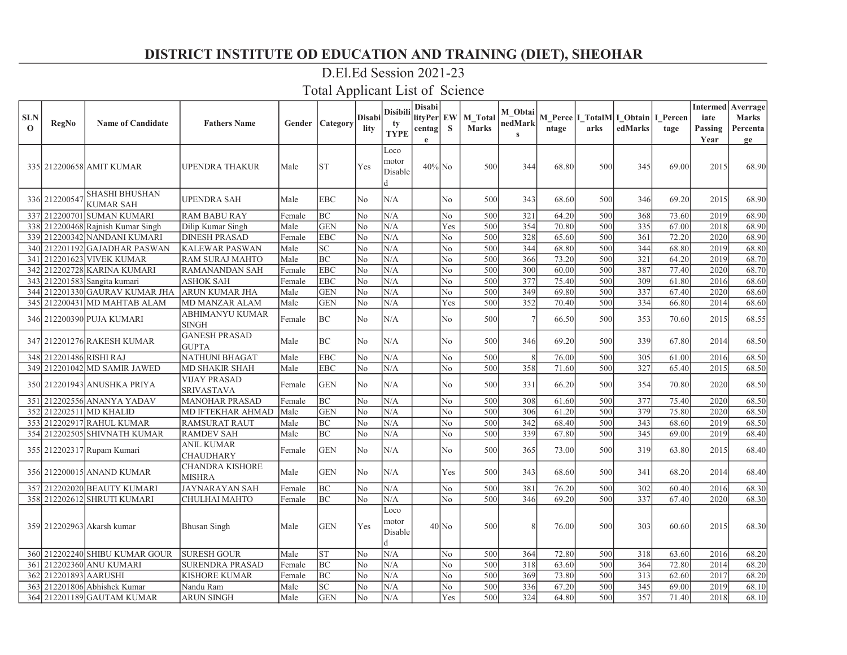### D.El.Ed Session 2021-23

| <b>SLN</b><br>$\Omega$ | <b>RegNo</b>            | <b>Name of Candidate</b>                  | <b>Fathers Name</b>                      |        | Gender   Category           | Disabil<br>lity | Disibili<br>tv<br><b>TYPE</b> | <b>Disabi</b><br>lityPer EW<br>centag<br>e | S                      | M Total<br>Marks | M_Obtai<br>nedMark<br>$\mathbf{s}$ | ntage | M Perce   I_TotalM   I_Obtain   I_Percen<br>arks | edMarks | tage  | iate<br>Passing<br>Year | <b>Intermed</b> Averrage<br><b>Marks</b><br>Percenta<br>ge |
|------------------------|-------------------------|-------------------------------------------|------------------------------------------|--------|-----------------------------|-----------------|-------------------------------|--------------------------------------------|------------------------|------------------|------------------------------------|-------|--------------------------------------------------|---------|-------|-------------------------|------------------------------------------------------------|
|                        |                         | 335  212200658  AMIT KUMAR                | UPENDRA THAKUR                           | Male   | <b>ST</b>                   | Yes             | Loco<br>motor<br>Disable<br>d | $40\%$ No                                  |                        | 500              | 344                                | 68.80 | 500                                              | 345     | 69.00 | 2015                    | 68.90                                                      |
|                        | 336 212200547           | <b>SHASHI BHUSHAN</b><br><b>KUMAR SAH</b> | UPENDRA SAH                              | Male   | <b>EBC</b>                  | N <sub>0</sub>  | N/A                           |                                            | N <sub>o</sub>         | 500              | 343                                | 68.60 | 500                                              | 346     | 69.20 | 2015                    | 68.90                                                      |
|                        | 337 212200701           | <b>SUMAN KUMARI</b>                       | <b>RAM BABU RAY</b>                      | Female | <b>BC</b>                   | No              | N/A                           |                                            | $\rm No$               | 500              | 321                                | 64.20 | 500                                              | 368     | 73.60 | 2019                    | 68.90                                                      |
|                        |                         | 338 212200468 Rajnish Kumar Singh         | Dilip Kumar Singh                        | Male   | <b>GEN</b>                  | No              | N/A                           |                                            | Yes                    | 500              | 354                                | 70.80 | 500                                              | 335     | 67.00 | 2018                    | 68.90                                                      |
|                        |                         | 339 212200342 NANDANI KUMARI              | <b>DINESH PRASAD</b>                     | Female | <b>EBC</b>                  | No              | N/A                           |                                            | No                     | 500              | 328                                | 65.60 | 500                                              | 361     | 72.20 | 2020                    | 68.90                                                      |
|                        |                         | 340 212201192 GAJADHAR PASWAN             | <b>KALEWAR PASWAN</b>                    | Male   | $\protect\operatorname{SC}$ | No              | N/A                           |                                            | No                     | 500              | 344                                | 68.80 | 500                                              | 344     | 68.80 | 2019                    | 68.80                                                      |
| 341                    |                         | 212201623 VIVEK KUMAR                     | RAM SURAJ MAHTO                          | Male   | $\overline{BC}$             | No              | N/A                           |                                            | No                     | 500              | 366                                | 73.20 | 500                                              | 321     | 64.20 | 2019                    | 68.70                                                      |
|                        |                         | 342 212202728 KARINA KUMARI               | <b>RAMANANDAN SAH</b>                    | Female | <b>EBC</b>                  | No              | N/A                           |                                            | No                     | 500              | 300                                | 60.00 | 500                                              | 387     | 77.40 | 2020                    | 68.70                                                      |
|                        |                         | 343 212201583 Sangita kumari              | <b>ASHOK SAH</b>                         | Female | <b>EBC</b>                  | No              | N/A                           |                                            | No                     | 500              | 377                                | 75.40 | 500                                              | 309     | 61.80 | 2016                    | 68.60                                                      |
|                        |                         | 344 212201330 GAURAV KUMAR JHA            | ARUN KUMAR JHA                           | Male   | <b>GEN</b>                  | N <sub>o</sub>  | N/A                           |                                            | No                     | 500              | 349                                | 69.80 | 500                                              | 337     | 67.40 | 2020                    | 68.60                                                      |
|                        |                         | 345 212200431 MD MAHTAB ALAM              | MD MANZAR ALAM                           | Male   | <b>GEN</b>                  | No              | N/A                           |                                            | Yes                    | 500              | 352                                | 70.40 | 500                                              | 334     | 66.80 | 2014                    | 68.60                                                      |
|                        |                         | 346 212200390 PUJA KUMARI                 | ABHIMANYU KUMAR<br><b>SINGH</b>          | Female | <b>BC</b>                   | No              | N/A                           |                                            | No                     | 500              |                                    | 66.50 | 500                                              | 353     | 70.60 | 2015                    | 68.55                                                      |
|                        |                         | 347 212201276 RAKESH KUMAR                | <b>GANESH PRASAD</b><br><b>GUPTA</b>     | Male   | <b>BC</b>                   | N <sub>0</sub>  | N/A                           |                                            | No.                    | 500              | 346                                | 69.20 | 500                                              | 339     | 67.80 | 2014                    | 68.50                                                      |
|                        | 348 212201486 RISHI RAJ |                                           | NATHUNI BHAGAT                           | Male   | <b>EBC</b>                  | No              | N/A                           |                                            | $\overline{\text{No}}$ | 500              | 8                                  | 76.00 | 500                                              | 305     | 61.00 | 2016                    | 68.50                                                      |
|                        |                         | 349 212201042 MD SAMIR JAWED              | MD SHAKIR SHAH                           | Male   | <b>EBC</b>                  | No              | N/A                           |                                            | No                     | 500              | 358                                | 71.60 | 500                                              | 327     | 65.40 | 2015                    | 68.50                                                      |
|                        |                         | 350 212201943 ANUSHKA PRIYA               | <b>VIJAY PRASAD</b><br><b>SRIVASTAVA</b> | Female | <b>GEN</b>                  | N <sub>o</sub>  | N/A                           |                                            | No                     | 500              | 331                                | 66.20 | 500                                              | 354     | 70.80 | 2020                    | 68.50                                                      |
| 351                    |                         | 212202556 ANANYA YADAV                    | <b>MANOHAR PRASAD</b>                    | Female | <b>BC</b>                   | No              | N/A                           |                                            | $\rm No$               | 500              | 308                                | 61.60 | 500                                              | 377     | 75.40 | 2020                    | 68.50                                                      |
|                        |                         | 352 212202511 MD KHALID                   | MD IFTEKHAR AHMAD                        | Male   | <b>GEN</b>                  | No              | N/A                           |                                            | No                     | 500              | 306                                | 61.20 | 500                                              | 379     | 75.80 | 2020                    | 68.50                                                      |
|                        |                         | 353 212202917 RAHUL KUMAR                 | <b>RAMSURAT RAUT</b>                     | Male   | BC                          | No              | N/A                           |                                            | No                     | 500              | $\overline{342}$                   | 68.40 | 500                                              | 343     | 68.60 | 2019                    | 68.50                                                      |
|                        |                         | 354 212202505 SHIVNATH KUMAR              | <b>RAMDEV SAH</b>                        | Male   | <b>BC</b>                   | N <sub>o</sub>  | N/A                           |                                            | No                     | 500              | 339                                | 67.80 | 500                                              | 345     | 69.00 | 2019                    | 68.40                                                      |
|                        |                         | 355 212202317 Rupam Kumari                | <b>ANIL KUMAR</b><br><b>CHAUDHARY</b>    | Female | <b>GEN</b>                  | N <sub>o</sub>  | N/A                           |                                            | No                     | 500              | 365                                | 73.00 | 500                                              | 319     | 63.80 | 2015                    | 68.40                                                      |
|                        |                         | 356 212200015 ANAND KUMAR                 | <b>CHANDRA KISHORE</b><br>MISHRA         | Male   | <b>GEN</b>                  | No              | N/A                           |                                            | Yes                    | 500              | 343                                | 68.60 | 500                                              | 341     | 68.20 | 2014                    | 68.40                                                      |
|                        |                         | 357 212202020 BEAUTY KUMARI               | <b>JAYNARAYAN SAH</b>                    | Female | <b>BC</b>                   | No              | N/A                           |                                            | No                     | 500              | 381                                | 76.20 | 500                                              | 302     | 60.40 | 2016                    | 68.30                                                      |
|                        |                         | 358 212202612 SHRUTI KUMARI               | CHULHAI MAHTO                            | Female | BC                          | N <sub>o</sub>  | N/A                           |                                            | N <sub>o</sub>         | 500              | 346                                | 69.20 | 500                                              | 337     | 67.40 | 2020                    | 68.30                                                      |
|                        |                         | 359 212202963 Akarsh kumar                | <b>Bhusan Singh</b>                      | Male   | <b>GEN</b>                  | Yes             | Loco<br>motor<br>Disable<br>d |                                            | $40$ No                | 500              |                                    | 76.00 | 500                                              | 303     | 60.60 | 2015                    | 68.30                                                      |
|                        |                         | 360 212202240 SHIBU KUMAR GOUR            | <b>SURESH GOUR</b>                       | Male   | <b>ST</b>                   | No              | N/A                           |                                            | No                     | 500              | 364                                | 72.80 | 500                                              | 318     | 63.60 | 2016                    | 68.20                                                      |
|                        |                         | 361 212202360 ANU KUMARI                  | <b>SURENDRA PRASAD</b>                   | Female | $\rm BC$                    | N <sub>o</sub>  | N/A                           |                                            | No                     | 500              | 318                                | 63.60 | 500                                              | 364     | 72.80 | 2014                    | 68.20                                                      |
|                        | 362 212201893 AARUSHI   |                                           | KISHORE KUMAR                            | Female | <b>BC</b>                   | N <sub>o</sub>  | N/A                           |                                            | No                     | 500              | 369                                | 73.80 | 500                                              | 313     | 62.60 | 2017                    | 68.20                                                      |
|                        |                         | 363 212201806 Abhishek Kumar              | Nandu Ram                                | Male   | $\overline{SC}$             | N <sub>o</sub>  | N/A                           |                                            | No                     | 500              | 336                                | 67.20 | 500                                              | 345     | 69.00 | 2019                    | 68.10                                                      |
|                        |                         | 364 212201189 GAUTAM KUMAR                | <b>ARUN SINGH</b>                        | Male   | <b>GEN</b>                  | No              | N/A                           |                                            | Yes                    | 500              | 324                                | 64.80 | 500                                              | 357     | 71.40 | 2018                    | 68.10                                                      |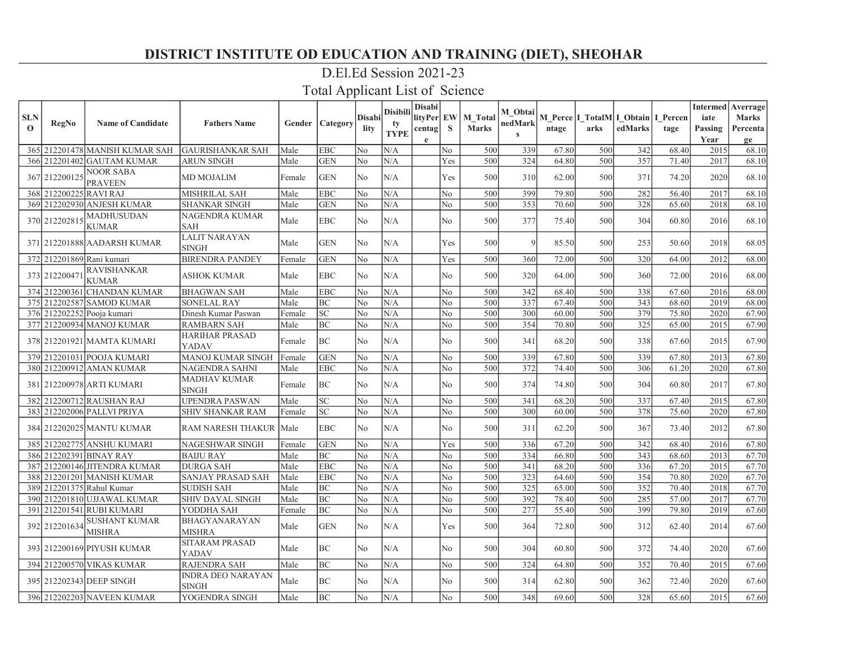### D.El.Ed Session 2021-23

| <b>SLN</b>   |                        |                                       |                                          |        |                            | Disabi         | <b>Disibili</b>   | Disabi<br>lityPer EW |                | M Total      | M Obtai                 |       | M Perce   I_TotalM  I_Obtain   I_Percen |         |       | iate         | <b>Intermed</b> Averrage<br><b>Marks</b> |
|--------------|------------------------|---------------------------------------|------------------------------------------|--------|----------------------------|----------------|-------------------|----------------------|----------------|--------------|-------------------------|-------|-----------------------------------------|---------|-------|--------------|------------------------------------------|
| $\mathbf{o}$ | <b>RegNo</b>           | <b>Name of Candidate</b>              | <b>Fathers Name</b>                      | Gender | <b>Category</b>            | lity           | ty<br><b>TYPE</b> | centag               | S              | <b>Marks</b> | nedMark<br>$\mathbf{s}$ | ntage | arks                                    | edMarks | tage  | Passing      | Percenta                                 |
|              |                        | 365 212201478 MANISH KUMAR SAH        | <b>GAURISHANKAR SAH</b>                  | Male   | <b>EBC</b>                 | No             | N/A               | e                    | No             | 500          |                         | 67.80 | 500                                     | 342     | 68.40 | Year<br>2015 | ge<br>68.10                              |
|              |                        | 366 212201402 GAUTAM KUMAR            | <b>ARUN SINGH</b>                        | Male   | <b>GEN</b>                 | N <sub>o</sub> | N/A               |                      | Yes            | 500          | 339<br>324              | 64.80 | 500                                     | 357     | 71.40 | 2017         | 68.10                                    |
|              | 367 212200125          | <b>NOOR SABA</b><br><b>PRAVEEN</b>    | <b>MD MOJALIM</b>                        | Female | <b>GEN</b>                 | No             | N/A               |                      | Yes            | 500          | 310                     | 62.00 | 500                                     | 371     | 74.20 | 2020         | 68.10                                    |
|              | 368 212200225 RAVI RAJ |                                       | MISHRILAL SAH                            | Male   | <b>EBC</b>                 | N <sub>o</sub> | N/A               |                      | No             | 500          | 399                     | 79.80 | 500                                     | 282     | 56.40 | 2017         | 68.10                                    |
|              |                        | 369 212202930 ANJESH KUMAR            | <b>SHANKAR SINGH</b>                     | Male   | <b>GEN</b>                 | N <sub>o</sub> | N/A               |                      | N <sub>o</sub> | 500          | 353                     | 70.60 | 500                                     | 328     | 65.60 | 2018         | 68.10                                    |
|              | 370 212202815          | <b>MADHUSUDAN</b><br>KUMAR            | <b>NAGENDRA KUMAR</b><br><b>SAH</b>      | Male   | <b>EBC</b>                 | No.            | N/A               |                      | No             | 500          | 377                     | 75.40 | 500                                     | 304     | 60.80 | 2016         | 68.10                                    |
|              |                        | 371 212201888 AADARSH KUMAR           | <b>LALIT NARAYAN</b><br><b>SINGH</b>     | Male   | <b>GEN</b>                 | No             | N/A               |                      | Yes            | 500          | $\mathbf Q$             | 85.50 | 500                                     | 253     | 50.60 | 2018         | 68.05                                    |
|              |                        | 372 212201869 Rani kumari             | <b>BIRENDRA PANDEY</b>                   | Female | <b>GEN</b>                 | No             | N/A               |                      | Yes            | 500          | 360                     | 72.00 | 500                                     | 320     | 64.00 | 2012         | 68.00                                    |
|              | 373 212200471          | <b>RAVISHANKAR</b><br><b>KUMAR</b>    | ASHOK KUMAR                              | Male   | <b>EBC</b>                 | No             | N/A               |                      | No             | 500          | 320                     | 64.00 | 500                                     | 360     | 72.00 | 2016         | 68.00                                    |
|              |                        | 374 212200361 CHANDAN KUMAR           | <b>BHAGWAN SAH</b>                       | Male   | <b>EBC</b>                 | No             | N/A               |                      | No             | 500          | 342                     | 68.40 | 500                                     | 338     | 67.60 | 2016         | 68.00                                    |
|              |                        | 375 212202587 SAMOD KUMAR             | <b>SONELAL RAY</b>                       | Male   | BC                         | N <sub>o</sub> | N/A               |                      | No             | 500          | 337                     | 67.40 | 500                                     | 343     | 68.60 | 2019         | 68.00                                    |
|              |                        | 376 212202252 Pooja kumari            | Dinesh Kumar Paswan                      | Female | <b>SC</b>                  | N <sub>o</sub> | N/A               |                      | No             | 500          | 300                     | 60.00 | 500                                     | 379     | 75.80 | 2020         | 67.90                                    |
|              |                        | 377 212200934 MANOJ KUMAR             | <b>RAMBARN SAH</b>                       | Male   | <b>BC</b>                  | No             | N/A               |                      | No             | 500          | 354                     | 70.80 | 500                                     | 325     | 65.00 | 2015         | 67.90                                    |
|              |                        | 378 212201921 MAMTA KUMARI            | <b>HARIHAR PRASAD</b><br>YADAV           | Female | BC                         | N <sub>o</sub> | N/A               |                      | No             | 500          | 341                     | 68.20 | 500                                     | 338     | 67.60 | 2015         | 67.90                                    |
|              |                        | 379 212201031 POOJA KUMARI            | MANOJ KUMAR SINGH                        | Female | <b>GEN</b>                 | N <sub>o</sub> | N/A               |                      | No.            | 500          | 339                     | 67.80 | 500                                     | 339     | 67.80 | 2013         | 67.80                                    |
|              |                        | 380 212200912 AMAN KUMAR              | <b>NAGENDRA SAHNI</b>                    | Male   | <b>EBC</b>                 | N <sub>o</sub> | N/A               |                      | No             | 500          | 372                     | 74.40 | 500                                     | 306     | 61.20 | 2020         | 67.80                                    |
|              |                        | 381   212200978   ARTI KUMARI         | <b>MADHAV KUMAR</b><br><b>SINGH</b>      | Female | BC                         | No             | N/A               |                      | No             | 500          | 374                     | 74.80 | 500                                     | 304     | 60.80 | 2017         | 67.80                                    |
|              |                        | 382 212200712 RAUSHAN RAJ             | <b>UPENDRA PASWAN</b>                    | Male   | <b>SC</b>                  | No             | N/A               |                      | No             | 500          | 341                     | 68.20 | 500                                     | 337     | 67.40 | 2015         | 67.80                                    |
|              |                        | 383 212202006 PALLVI PRIYA            | <b>SHIV SHANKAR RAM</b>                  | Female | $\ensuremath{\mathbf{SC}}$ | N <sub>o</sub> | N/A               |                      | No             | 500          | 300                     | 60.00 | 500                                     | 378     | 75.60 | 2020         | 67.80                                    |
|              |                        | 384 212202025 MANTU KUMAR             | RAM NARESH THAKUR                        | Male   | <b>EBC</b>                 | No             | N/A               |                      | No             | 500          | 311                     | 62.20 | 500                                     | 367     | 73.40 | 2012         | 67.80                                    |
|              |                        | 385 212202775 ANSHU KUMARI            | NAGESHWAR SINGH                          | Female | <b>GEN</b>                 | No             | N/A               |                      | Yes            | 500          | 336                     | 67.20 | 500                                     | 342     | 68.40 | 2016         | 67.80                                    |
|              |                        | 386 212202391 BINAY RAY               | <b>BAIJU RAY</b>                         | Male   | <b>BC</b>                  | N <sub>o</sub> | N/A               |                      | No             | 500          | 334                     | 66.80 | 500                                     | 343     | 68.60 | 2013         | 67.70                                    |
|              |                        | 387 212200146 JITENDRA KUMAR          | <b>DURGA SAH</b>                         | Male   | <b>EBC</b>                 | N <sub>o</sub> | N/A               |                      | No             | 500          | 341                     | 68.20 | 500                                     | 336     | 67.20 | 2015         | 67.70                                    |
|              |                        | 388 212201201 MANISH KUMAR            | SANJAY PRASAD SAH                        | Male   | <b>EBC</b>                 | No             | N/A               |                      | No             | 500          | 323                     | 64.60 | 500                                     | 354     | 70.80 | 2020         | 67.70                                    |
|              |                        | 389 212201375 Rahul Kumar             | <b>SUDISH SAH</b>                        | Male   | BC                         | No             | N/A               |                      | No             | 500          | 325                     | 65.00 | 500                                     | 352     | 70.40 | 2018         | 67.70                                    |
|              |                        | 390 212201810 UJJAWAL KUMAR           | <b>SHIV DAYAL SINGH</b>                  | Male   | BC                         | N <sub>o</sub> | N/A               |                      | No             | 500          | 392                     | 78.40 | 500                                     | 285     | 57.00 | 2017         | 67.70                                    |
|              |                        | 391 212201541 RUBI KUMARI             | YODDHA SAH                               | Female | <b>BC</b>                  | No             | N/A               |                      | N <sub>0</sub> | 500          | 277                     | 55.40 | 500                                     | 399     | 79.80 | 2019         | 67.60                                    |
|              | 392 212201634          | <b>SUSHANT KUMAR</b><br><b>MISHRA</b> | BHAGYANARAYAN<br><b>MISHRA</b>           | Male   | <b>GEN</b>                 | N <sub>o</sub> | N/A               |                      | Yes            | 500          | 364                     | 72.80 | 500                                     | 312     | 62.40 | 2014         | 67.60                                    |
|              |                        | 393 212200169 PIYUSH KUMAR            | <b>SITARAM PRASAD</b><br>YADAV           | Male   | BC                         | No             | N/A               |                      | No             | 500          | 304                     | 60.80 | 500                                     | 372     | 74.40 | 2020         | 67.60                                    |
|              |                        | 394 212200570 VIKAS KUMAR             | <b>RAJENDRA SAH</b>                      | Male   | BC                         | N <sub>o</sub> | N/A               |                      | No             | 500          | 324                     | 64.80 | 500                                     | 352     | 70.40 | 2015         | 67.60                                    |
|              |                        | 395 212202343 DEEP SINGH              | <b>INDRA DEO NARAYAN</b><br><b>SINGH</b> | Male   | BC                         | No.            | N/A               |                      | No             | 500          | 314                     | 62.80 | 500                                     | 362     | 72.40 | 2020         | 67.60                                    |
|              |                        | 396 212202203 NAVEEN KUMAR            | YOGENDRA SINGH                           | Male   | BC                         | N <sub>o</sub> | N/A               |                      | No.            | 500          | 348                     | 69.60 | 500                                     | 328     | 65.60 | 2015         | 67.60                                    |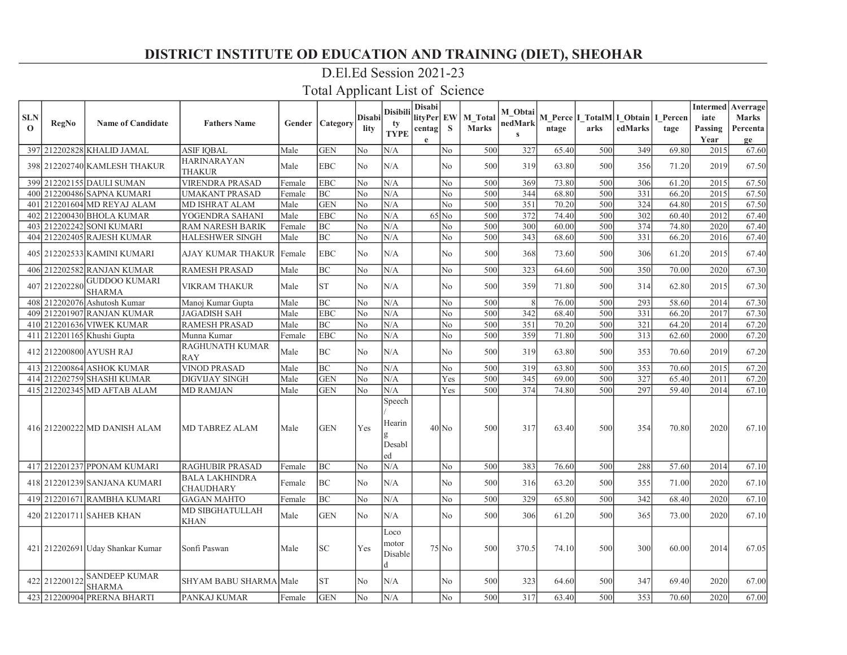### D.El.Ed Session 2021-23

| <b>SLN</b><br>$\Omega$ | <b>RegNo</b>  | <b>Name of Candidate</b>              | <b>Fathers Name</b>                       |          | Gender   Category | <b>Disabi</b><br>lity | Disibili<br>tv<br><b>TYPE</b>              | <b>Disabi</b><br>litvPer<br>centag<br>$\mathbf{e}$ | <b>EW</b><br>S | M Total<br><b>Marks</b> | M_Obtai<br>nedMark<br>$\mathbf{c}$ | ntage | arks | M Perce I TotalM I Obtain I Percen<br>edMarks | tage  | iate<br>Passing<br>Year | <b>Intermed</b> Averrage<br><b>Marks</b><br>Percenta<br>ge |
|------------------------|---------------|---------------------------------------|-------------------------------------------|----------|-------------------|-----------------------|--------------------------------------------|----------------------------------------------------|----------------|-------------------------|------------------------------------|-------|------|-----------------------------------------------|-------|-------------------------|------------------------------------------------------------|
|                        |               | 397 212202828 KHALID JAMAL            | <b>ASIF IQBAL</b>                         | Male     | <b>GEN</b>        | No                    | N/A                                        |                                                    | No             | 500                     | 327                                | 65.40 | 500  | 349                                           | 69.80 | 2015                    | 67.60                                                      |
|                        |               | 398 212202740 KAMLESH THAKUR          | <b>HARINARAYAN</b><br><b>THAKUR</b>       | Male     | <b>EBC</b>        | No                    | N/A                                        |                                                    | No             | 500                     | 319                                | 63.80 | 500  | 356                                           | 71.20 | 2019                    | 67.50                                                      |
|                        |               | 399 212202155 DAULI SUMAN             | <b>VIRENDRA PRASAD</b>                    | Female   | <b>EBC</b>        | No                    | N/A                                        |                                                    | N <sub>o</sub> | 500                     | 369                                | 73.80 | 500  | 306                                           | 61.20 | 2015                    | 67.50                                                      |
|                        |               | 400 212200486 SAPNA KUMARI            | <b>UMAKANT PRASAD</b>                     | Female   | <b>BC</b>         | No                    | N/A                                        |                                                    | No             | 500                     | 344                                | 68.80 | 500  | 331                                           | 66.20 | 2015                    | 67.50                                                      |
|                        |               | 401 212201604 MD REYAJ ALAM           | MD ISHRAT ALAM                            | Male     | <b>GEN</b>        | No                    | N/A                                        |                                                    | No             | 500                     | 351                                | 70.20 | 500  | 324                                           | 64.80 | 2015                    | 67.50                                                      |
| 402 <sub>l</sub>       |               | 212200430 BHOLA KUMAR                 | YOGENDRA SAHANI                           | Male     | <b>EBC</b>        | No                    | N/A                                        |                                                    | $65$ No        | 500                     | 372                                | 74.40 | 500  | 302                                           | 60.40 | 2012                    | 67.40                                                      |
|                        |               | 403 212202242 SONI KUMARI             | <b>RAM NARESH BARIK</b>                   | Female   | <b>BC</b>         | No                    | N/A                                        |                                                    | No             | 500                     | 300                                | 60.00 | 500  | 374                                           | 74.80 | 2020                    | 67.40                                                      |
|                        |               | 404 212202405 RAJESH KUMAR            | <b>HALESHWER SINGH</b>                    | Male     | BC                | No                    | N/A                                        |                                                    | No             | 500                     | 343                                | 68.60 | 500  | $\overline{331}$                              | 66.20 | 2016                    | 67.40                                                      |
|                        |               | 405 212202533 KAMINI KUMARI           | <b>AJAY KUMAR THAKUR</b>                  | l Female | EBC               | No                    | N/A                                        |                                                    | No             | 500                     | 368                                | 73.60 | 500  | 306                                           | 61.20 | 2015                    | 67.40                                                      |
|                        |               | 406 212202582 RANJAN KUMAR            | <b>RAMESH PRASAD</b>                      | Male     | <b>BC</b>         | No                    | N/A                                        |                                                    | N <sub>0</sub> | 500                     | 323                                | 64.60 | 500  | 350                                           | 70.00 | 2020                    | 67.30                                                      |
|                        | 407 212202280 | <b>GUDDOO KUMARI</b><br><b>SHARMA</b> | VIKRAM THAKUR                             | Male     | <b>ST</b>         | No                    | N/A                                        |                                                    | No             | 500                     | 359                                | 71.80 | 500  | 314                                           | 62.80 | 2015                    | 67.30                                                      |
|                        |               | 408 212202076 Ashutosh Kumar          | Manoj Kumar Gupta                         | Male     | <b>BC</b>         | No                    | N/A                                        |                                                    | No             | 500                     |                                    | 76.00 | 500  | 293                                           | 58.60 | 2014                    | 67.30                                                      |
|                        |               | 409 212201907 RANJAN KUMAR            | <b>JAGADISH SAH</b>                       | Male     | <b>EBC</b>        | No                    | N/A                                        |                                                    | No             | 500                     | 342                                | 68.40 | 500  | 331                                           | 66.20 | 2017                    | 67.30                                                      |
|                        |               | 410 212201636 VIWEK KUMAR             | <b>RAMESH PRASAD</b>                      | Male     | <b>BC</b>         | No                    | N/A                                        |                                                    | No             | 500                     | $\overline{351}$                   | 70.20 | 500  | 321                                           | 64.20 | 2014                    | 67.20                                                      |
|                        |               | 411 212201165 Khushi Gupta            | Munna Kumar                               | Female   | <b>EBC</b>        | No                    | N/A                                        |                                                    | No             | 500                     | 359                                | 71.80 | 500  | 313                                           | 62.60 | 2000                    | 67.20                                                      |
|                        |               | 412 212200800 AYUSH RAJ               | RAGHUNATH KUMAR<br><b>RAY</b>             | Male     | <b>BC</b>         | No                    | N/A                                        |                                                    | No             | 500                     | 319                                | 63.80 | 500  | 353                                           | 70.60 | 2019                    | 67.20                                                      |
|                        |               | 413 212200864 ASHOK KUMAR             | <b>VINOD PRASAD</b>                       | Male     | BC                | N <sub>o</sub>        | N/A                                        |                                                    | N <sub>o</sub> | 500                     | 319                                | 63.80 | 500  | 353                                           | 70.60 | 2015                    | 67.20                                                      |
|                        |               | 414 212202759 SHASHI KUMAR            | <b>DIGVIJAY SINGH</b>                     | Male     | <b>GEN</b>        | No                    | N/A                                        |                                                    | Yes            | 500                     | 345                                | 69.00 | 500  | 327                                           | 65.40 | 2011                    | 67.20                                                      |
|                        |               | 415 212202345 MD AFTAB ALAM           | <b>MD RAMJAN</b>                          | Male     | <b>GEN</b>        | No                    | N/A                                        |                                                    | Yes            | 500                     | 374                                | 74.80 | 500  | 297                                           | 59.40 | 2014                    | 67.10                                                      |
|                        |               | 416 212200222 MD DANISH ALAM          | <b>MD TABREZ ALAM</b>                     | Male     | <b>GEN</b>        | Yes                   | Speech<br>Hearin<br>Desabl<br>led          |                                                    | $40$ No        | 500                     | 317                                | 63.40 | 500  | 354                                           | 70.80 | 2020                    | 67.10                                                      |
|                        |               | 417 212201237 PPONAM KUMARI           | <b>RAGHUBIR PRASAD</b>                    | Female   | BC                | No                    | N/A                                        |                                                    | N <sub>o</sub> | 500                     | 383                                | 76.60 | 500  | 288                                           | 57.60 | 2014                    | 67.10                                                      |
|                        |               | 418 212201239 SANJANA KUMARI          | <b>BALA LAKHINDRA</b><br><b>CHAUDHARY</b> | Female   | BC                | No                    | N/A                                        |                                                    | N <sub>o</sub> | 500                     | 316                                | 63.20 | 500  | 355                                           | 71.00 | 2020                    | 67.10                                                      |
|                        |               | 419 212201671 RAMBHA KUMARI           | <b>GAGAN MAHTO</b>                        | Female   | BC                | No                    | N/A                                        |                                                    | N <sub>o</sub> | 500                     | 329                                | 65.80 | 500  | 342                                           | 68.40 | 2020                    | 67.10                                                      |
|                        |               | 420 212201711 SAHEB KHAN              | MD SIBGHATULLAH<br><b>KHAN</b>            | Male     | <b>GEN</b>        | No                    | N/A                                        |                                                    | N <sub>0</sub> | 500                     | 306                                | 61.20 | 500  | 365                                           | 73.00 | 2020                    | 67.10                                                      |
|                        |               | 421 212202691 Uday Shankar Kumar      | Sonfi Paswan                              | Male     | <b>SC</b>         | Yes                   | Loco<br>motor<br>Disable<br>$\overline{d}$ |                                                    | $75$ No        | 500                     | 370.5                              | 74.10 | 500  | 300                                           | 60.00 | 2014                    | 67.05                                                      |
|                        | 422 212200122 | <b>SANDEEP KUMAR</b><br><b>SHARMA</b> | SHYAM BABU SHARMA Male                    |          | <b>ST</b>         | No                    | N/A                                        |                                                    | No             | 500                     | 323                                | 64.60 | 500  | 347                                           | 69.40 | 2020                    | 67.00                                                      |
|                        |               | 423 212200904 PRERNA BHARTI           | PANKAJ KUMAR                              | Female   | <b>GEN</b>        | No                    | N/A                                        |                                                    | N <sub>o</sub> | 500                     | 317                                | 63.40 | 500  | 353                                           | 70.60 | 2020                    | 67.00                                                      |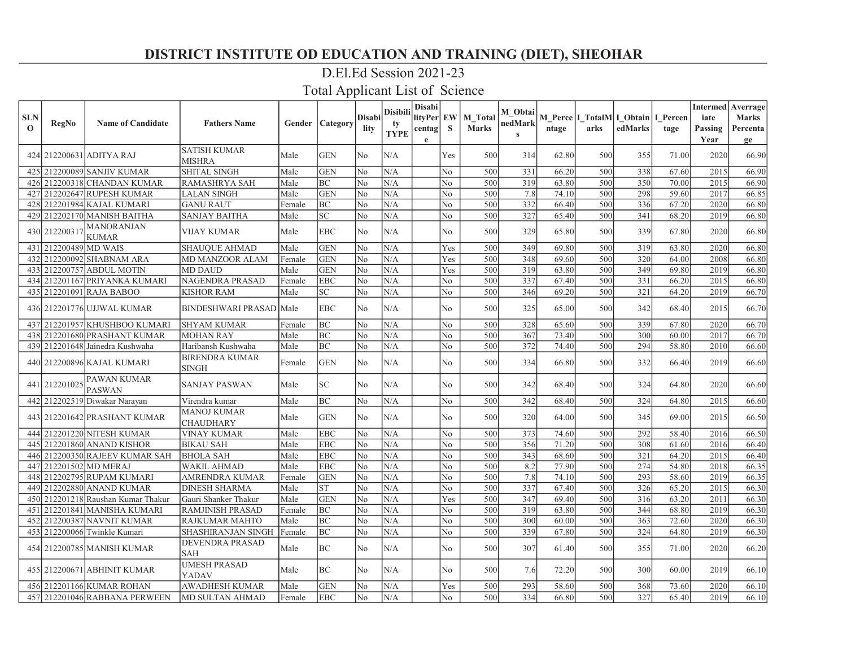# D.El.Ed Session 2021-23

| <b>SLN</b><br>$\mathbf 0$ | RegNo                 | <b>Name of Candidate</b>            | <b>Fathers Name</b>            |        | <b>Gender   Category</b> | <b>Disabi</b><br>lity | <b>Disibili</b><br>tv<br><b>TYPE</b> | <b>Disabi</b><br>lityPer EW<br>centag<br>e | S.             | <b>M</b> Total<br><b>Marks</b> | M Obtai<br>nedMark<br>$\mathbf{s}$ | ntage | M Perce I TotalM I Obtain I Percen<br>arks | edMarks | tage  | iate<br>Passing<br>Year | Intermed   Averrage  <br><b>Marks</b><br>Percenta<br>ge |
|---------------------------|-----------------------|-------------------------------------|--------------------------------|--------|--------------------------|-----------------------|--------------------------------------|--------------------------------------------|----------------|--------------------------------|------------------------------------|-------|--------------------------------------------|---------|-------|-------------------------|---------------------------------------------------------|
|                           |                       | 424  212200631   ADITYA RAJ         | <b>SATISH KUMAR</b><br>MISHRA  | Male   | <b>GEN</b>               | No                    | N/A                                  |                                            | Yes            | 500                            | 314                                | 62.80 | 500                                        | 355     | 71.00 | 2020                    | 66.90                                                   |
|                           |                       | 425   212200089   SANJIV KUMAR      | <b>SHITAL SINGH</b>            | Male   | <b>GEN</b>               | N <sub>o</sub>        | N/A                                  |                                            | No             | 500                            | 331                                | 66.20 | 500                                        | 338     | 67.60 | 2015                    | 66.90                                                   |
|                           |                       | 426 212200318 CHANDAN KUMAR         | RAMASHRYA SAH                  | Male   | BC                       | No                    | N/A                                  |                                            | No             | 500                            | 319                                | 63.80 | 500                                        | 350     | 70.00 | 2015                    | 66.90                                                   |
|                           |                       | 427 212202647 RUPESH KUMAR          | LALAN SINGH                    | Male   | <b>GEN</b>               | No                    | N/A                                  |                                            | No             | 500                            | 7.8                                | 74.10 | 500                                        | 298     | 59.60 | 2017                    | 66.85                                                   |
|                           |                       | 428 212201984 KAJAL KUMARI          | <b>GANU RAUT</b>               | Female | BC                       | No                    | N/A                                  |                                            | No             | 500                            | 332                                | 66.40 | 500                                        | 336     | 67.20 | 2020                    | 66.80                                                   |
|                           |                       | 429  212202170 MANISH BAITHA        | <b>SANJAY BAITHA</b>           | Male   | SC <sub>1</sub>          | N <sub>o</sub>        | N/A                                  |                                            | N <sub>o</sub> | 500                            | 327                                | 65.40 | 500                                        | 341     | 68.20 | 2019                    | 66.80                                                   |
|                           | 430 212200317         | <b>MANORANJAN</b><br><b>KUMAR</b>   | VIJAY KUMAR                    | Male   | <b>EBC</b>               | No                    | N/A                                  |                                            | No.            | 500                            | 329                                | 65.80 | 500                                        | 339     | 67.80 | 2020                    | 66.80                                                   |
|                           | 431 212200489 MD WAIS |                                     | <b>SHAUQUE AHMAD</b>           | Male   | <b>GEN</b>               | No                    | N/A                                  |                                            | Yes            | 500                            | 349                                | 69.80 | 500                                        | 319     | 63.80 | 2020                    | 66.80                                                   |
|                           |                       | 432 212200092 SHABNAM ARA           | MD MANZOOR ALAM                | Female | <b>GEN</b>               | N <sub>o</sub>        | N/A                                  |                                            | Yes            | 500                            | 348                                | 69.60 | 500                                        | 320     | 64.00 | 2008                    | 66.80                                                   |
|                           |                       | 433 212200757 ABDUL MOTIN           | MD DAUD                        | Male   | <b>GEN</b>               | No                    | N/A                                  |                                            | Yes            | 500                            | 319                                | 63.80 | 500                                        | 349     | 69.80 | 2019                    | 66.80                                                   |
|                           |                       | 434 212201167 PRIYANKA KUMARI       | NAGENDRA PRASAD                | Female | <b>EBC</b>               | No                    | N/A                                  |                                            | No             | 500                            | 337                                | 67.40 | 500                                        | 331     | 66.20 | 2015                    | 66.80                                                   |
|                           |                       | 435 212201091 RAJA BABOO            | <b>KISHOR RAM</b>              | Male   | SC                       | N <sub>o</sub>        | N/A                                  |                                            | No             | 500                            | 346                                | 69.20 | 500                                        | 321     | 64.20 | 2019                    | 66.70                                                   |
|                           |                       | 436 212201776 UJJWAL KUMAR          | <b>BINDESHWARI PRASAD Male</b> |        | <b>EBC</b>               | N <sub>o</sub>        | N/A                                  |                                            | No             | 500                            | 325                                | 65.00 | 500                                        | 342     | 68.40 | 2015                    | 66.70                                                   |
|                           |                       | 437 212201957 KHUSHBOO KUMARI       | <b>SHYAM KUMAR</b>             | Female | <b>BC</b>                | No                    | N/A                                  |                                            | No.            | 500                            | 328                                | 65.60 | 500                                        | 339     | 67.80 | 2020                    | 66.70                                                   |
|                           |                       | 438 212201680 PRASHANT KUMAR        | <b>MOHAN RAY</b>               | Male   | BC                       | N <sub>o</sub>        | N/A                                  |                                            | No             | 500                            | 367                                | 73.40 | 500                                        | 300     | 60.00 | 2017                    | 66.70                                                   |
|                           |                       | 439 212201648 Jainedra Kushwaha     | Haribansh Kushwaha             | Male   | BC                       | No                    | N/A                                  |                                            | No             | 500                            | 372                                | 74.40 | 500                                        | 294     | 58.80 | 2010                    | 66.60                                                   |
|                           |                       | 440  212200896  KAJAL KUMARI        | <b>BIRENDRA KUMAR</b><br>SINGH | Female | <b>GEN</b>               | No                    | N/A                                  |                                            | No             | 500                            | 334                                | 66.80 | 500                                        | 332     | 66.40 | 2019                    | 66.60                                                   |
|                           | 441 212201025         | <b>PAWAN KUMAR</b><br><b>PASWAN</b> | <b>SANJAY PASWAN</b>           | Male   | SC <sub>1</sub>          | No                    | N/A                                  |                                            | N <sub>o</sub> | 500                            | 342                                | 68.40 | 500                                        | 324     | 64.80 | 2020                    | 66.60                                                   |
|                           |                       | 442 212202519 Diwakar Narayan       | Virendra kumar                 | Male   | BC                       | No                    | N/A                                  |                                            | No             | 500                            | 342                                | 68.40 | 500                                        | 324     | 64.80 | 2015                    | 66.60                                                   |
|                           |                       | 443   212201642   PRASHANT KUMAR    | MANOJ KUMAR<br>CHAUDHARY       | Male   | <b>GEN</b>               | No                    | N/A                                  |                                            | No             | 500                            | 320                                | 64.00 | 500                                        | 345     | 69.00 | 2015                    | 66.50                                                   |
|                           |                       | 444 212201220 NITESH KUMAR          | VINAY KUMAR                    | Male   | <b>EBC</b>               | No                    | N/A                                  |                                            | No             | 500                            | 373                                | 74.60 | 500                                        | 292     | 58.40 | 2016                    | 66.50                                                   |
|                           |                       | 445 212201860 ANAND KISHOR          | <b>BIKAU SAH</b>               | Male   | <b>EBC</b>               | N <sub>o</sub>        | N/A                                  |                                            | No             | 500                            | 356                                | 71.20 | 500                                        | 308     | 61.60 | 2016                    | 66.40                                                   |
|                           |                       | 446 212200350 RAJEEV KUMAR SAH      | <b>BHOLA SAH</b>               | Male   | <b>EBC</b>               | No                    | N/A                                  |                                            | No             | 500                            | 343                                | 68.60 | 500                                        | 321     | 64.20 | 2015                    | 66.40                                                   |
|                           |                       | 447 212201502 MD MERAJ              | WAKIL AHMAD                    | Male   | <b>EBC</b>               | No                    | N/A                                  |                                            | No             | 500                            | 8.2                                | 77.90 | 500                                        | 274     | 54.80 | 2018                    | 66.35                                                   |
|                           |                       | 448 212202795 RUPAM KUMARI          | AMRENDRA KUMAR                 | Female | <b>GEN</b>               | No                    | N/A                                  |                                            | No             | 500                            | 7.8                                | 74.10 | 500                                        | 293     | 58.60 | 2019                    | 66.35                                                   |
|                           |                       | 449  212202880 ANAND KUMAR          | <b>DINESH SHARMA</b>           | Male   | <b>ST</b>                | N <sub>o</sub>        | N/A                                  |                                            | No             | 500                            | 337                                | 67.40 | 500                                        | 326     | 65.20 | 2015                    | 66.30                                                   |
|                           |                       | 450 212201218 Raushan Kumar Thakur  | Gauri Shanker Thakur           | Male   | <b>GEN</b>               | No                    | N/A                                  |                                            | Yes            | 500                            | 347                                | 69.40 | 500                                        | 316     | 63.20 | 2011                    | 66.30                                                   |
|                           |                       | 451   212201841   MANISHA KUMARI    | RAMJINISH PRASAD               | Female | BC                       | No                    | N/A                                  |                                            | No             | 500                            | 319                                | 63.80 | 500                                        | 344     | 68.80 | 2019                    | 66.30                                                   |
|                           |                       | 452 212200387 NAVNIT KUMAR          | <b>RAJKUMAR MAHTO</b>          | Male   | <b>BC</b>                | No                    | N/A                                  |                                            | No             | 500                            | 300                                | 60.00 | 500                                        | 363     | 72.60 | 2020                    | 66.30                                                   |
|                           |                       | 453 212200066 Twinkle Kumari        | SHASHIRANJAN SINGH             | Female | BC                       | N <sub>o</sub>        | N/A                                  |                                            | No             | 500                            | 339                                | 67.80 | 500                                        | 324     | 64.80 | 2019                    | 66.30                                                   |
|                           |                       | 454  212200785 MANISH KUMAR         | DEVENDRA PRASAD<br>SAH         | Male   | BC                       | N <sub>o</sub>        | N/A                                  |                                            | No.            | 500                            | 307                                | 61.40 | 500                                        | 355     | 71.00 | 2020                    | 66.20                                                   |
|                           |                       | 455  212200671  ABHINIT KUMAR       | <b>UMESH PRASAD</b><br>YADAV   | Male   | BC                       | No                    | N/A                                  |                                            | No             | 500                            | 7.6                                | 72.20 | 500                                        | 300     | 60.00 | 2019                    | 66.10                                                   |
|                           |                       | 456 212201166 KUMAR ROHAN           | AWADHESH KUMAR                 | Male   | <b>GEN</b>               | No                    | N/A                                  |                                            | Yes            | 500                            | 293                                | 58.60 | 500                                        | 368     | 73.60 | 2020                    | 66.10                                                   |
|                           |                       | 457 212201046 RABBANA PERWEEN       | MD SULTAN AHMAD                | Female | <b>EBC</b>               | No                    | N/A                                  |                                            | No             | 500                            | 334                                | 66.80 | 500                                        | 327     | 65.40 | 2019                    | 66.10                                                   |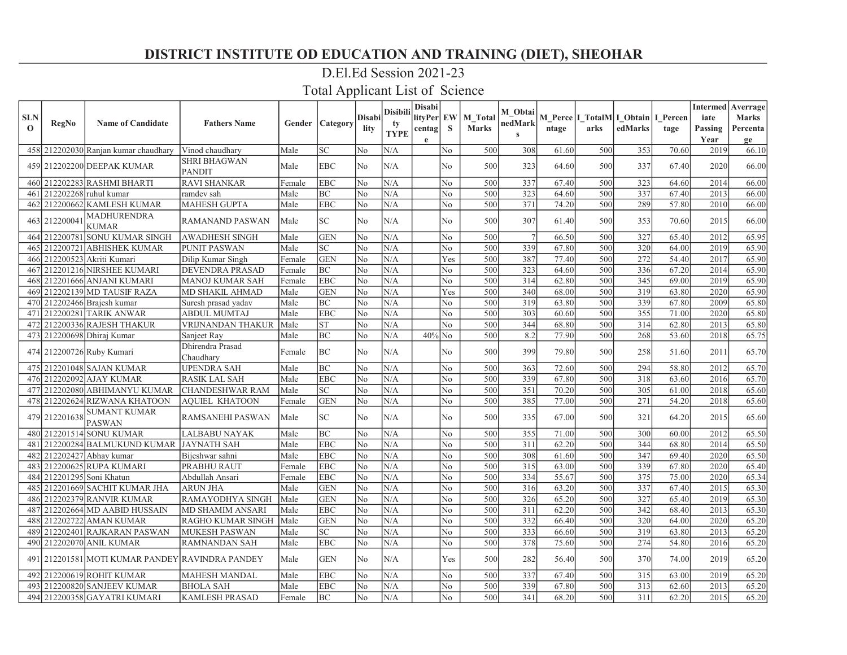### D.El.Ed Session 2021-23

| <b>SLN</b><br>$\mathbf{o}$ | RegNo         | <b>Name of Candidate</b>                    | <b>Fathers Name</b>           |        | <b>Gender Category</b>     | <b>Disabi</b><br>lity | <b>Disibili</b><br>tv<br><b>TYPE</b> | <b>Disabi</b><br>lityPer EW<br>centag | S              | M Total<br><b>Marks</b> | M Obtai<br>nedMark<br>$\mathbf{s}$ | ntage | arks | M Perce I TotalM I Obtain I Percen<br>edMarks | tage  | iate<br>Passing | <b>Intermed</b> Averrage<br><b>Marks</b><br>Percenta |
|----------------------------|---------------|---------------------------------------------|-------------------------------|--------|----------------------------|-----------------------|--------------------------------------|---------------------------------------|----------------|-------------------------|------------------------------------|-------|------|-----------------------------------------------|-------|-----------------|------------------------------------------------------|
|                            |               |                                             |                               |        |                            |                       |                                      | $\mathbf e$                           |                |                         |                                    |       |      |                                               |       | Year            | ge                                                   |
| 458                        |               | 212202030 Ranjan kumar chaudhary            | Vinod chaudhary               | Male   | <b>SC</b>                  | No                    | N/A                                  |                                       | No             | 500                     | 308                                | 61.60 | 500  | 353                                           | 70.60 | 2019            | 66.10                                                |
|                            |               | 459 212202200 DEEPAK KUMAR                  | SHRI BHAGWAN<br><b>PANDIT</b> | Male   | <b>EBC</b>                 | No                    | N/A                                  |                                       | No             | 500                     | 323                                | 64.60 | 500  | 337                                           | 67.40 | 2020            | 66.00                                                |
| 460                        |               | 212202283 RASHMI BHARTI                     | <b>RAVI SHANKAR</b>           | Female | <b>EBC</b>                 | No                    | N/A                                  |                                       | No             | 500                     | 337                                | 67.40 | 500  | 323                                           | 64.60 | 2014            | 66.00                                                |
| 461                        |               | 212202268 ruhul kumar                       | ramdev sah                    | Male   | BC                         | No                    | N/A                                  |                                       | No.            | 500                     | 323                                | 64.60 | 500  | 337                                           | 67.40 | 2013            | 66.00                                                |
| 462                        |               | 212200662 KAMLESH KUMAR                     | <b>MAHESH GUPTA</b>           | Male   | <b>EBC</b>                 | No                    | N/A                                  |                                       | No             | 500                     | 371                                | 74.20 | 500  | 289                                           | 57.80 | 2010            | 66.00                                                |
|                            | 463 21220004  | <b>MADHURENDRA</b><br><b>KUMAR</b>          | RAMANAND PASWAN               | Male   | $\ensuremath{\mathbf{SC}}$ | No                    | N/A                                  |                                       | No             | 500                     | 307                                | 61.40 | 500  | 353                                           | 70.60 | 2015            | 66.00                                                |
|                            |               | 464 212200781 SONU KUMAR SINGH              | <b>AWADHESH SINGH</b>         | Male   | <b>GEN</b>                 | No                    | N/A                                  |                                       | No             | 500                     | $\overline{7}$                     | 66.50 | 500  | 327                                           | 65.40 | 2012            | 65.95                                                |
| 465                        |               | 212200721 ABHISHEK KUMAR                    | <b>PUNIT PASWAN</b>           | Male   | <b>SC</b>                  | No                    | N/A                                  |                                       | N <sub>o</sub> | 500                     | 339                                | 67.80 | 500  | 320                                           | 64.00 | 2019            | 65.90                                                |
| 466                        |               | 212200523 Akriti Kumari                     | Dilip Kumar Singh             | Female | <b>GEN</b>                 | No                    | N/A                                  |                                       | Yes            | 500                     | 387                                | 77.40 | 500  | 272                                           | 54.40 | 2017            | 65.90                                                |
| 467                        |               | 212201216 NIRSHEE KUMARI                    | DEVENDRA PRASAD               | Female | BC                         | No                    | N/A                                  |                                       | No             | 500                     | 323                                | 64.60 | 500  | 336                                           | 67.20 | 2014            | 65.90                                                |
| 468                        |               | 212201666 ANJANI KUMARI                     | MANOJ KUMAR SAH               | Female | <b>EBC</b>                 | No                    | N/A                                  |                                       | No             | 500                     | 314                                | 62.80 | 500  | 345                                           | 69.00 | 2019            | 65.90                                                |
| 469                        |               | 212202139 MD TAUSIF RAZA                    | MD SHAKIL AHMAD               | Male   | <b>GEN</b>                 | No                    | N/A                                  |                                       | Yes            | 500                     | 340                                | 68.00 | 500  | 319                                           | 63.80 | 2020            | 65.90                                                |
| 470                        |               | 212202466 Brajesh kumar                     | Suresh prasad yadav           | Male   | BC                         | No                    | N/A                                  |                                       | No             | 500                     | 319                                | 63.80 | 500  | 339                                           | 67.80 | 2009            | 65.80                                                |
| 471                        |               | 212200281 TARIK ANWAR                       | <b>ABDUL MUMTAJ</b>           | Male   | <b>EBC</b>                 | No                    | N/A                                  |                                       | N <sub>o</sub> | 500                     | 303                                | 60.60 | 500  | 355                                           | 71.00 | 2020            | 65.80                                                |
|                            |               | 472 212200336 RAJESH THAKUR                 | VRIJNANDAN THAKUR             | Male   | <b>ST</b>                  | No                    | N/A                                  |                                       | No             | 500                     | 344                                | 68.80 | 500  | 314                                           | 62.80 | 2013            | 65.80                                                |
|                            |               | 473 212200698 Dhiraj Kumar                  | Sanjeet Ray                   | Male   | BC                         | No                    | N/A                                  | $40\%$ No                             |                | 500                     | 8.2                                | 77.90 | 500  | 268                                           | 53.60 | 2018            | 65.75                                                |
|                            |               | 474 212200726 Ruby Kumari                   | Dhirendra Prasad<br>Chaudhary | Female | BC                         | No                    | N/A                                  |                                       | No             | 500                     | 399                                | 79.80 | 500  | 258                                           | 51.60 | 2011            | 65.70                                                |
|                            |               | 475 212201048 SAJAN KUMAR                   | <b>UPENDRA SAH</b>            | Male   | BC                         | No                    | N/A                                  |                                       | No             | 500                     | 363                                | 72.60 | 500  | 294                                           | 58.80 | 2012            | 65.70                                                |
|                            |               | 476 212202092 AJAY KUMAR                    | <b>RASIK LAL SAH</b>          | Male   | <b>EBC</b>                 | No                    | N/A                                  |                                       | No             | 500                     | 339                                | 67.80 | 500  | 318                                           | 63.60 | 2016            | 65.70                                                |
| 477                        |               | 212202080 ABHIMANYU KUMAR                   | <b>CHANDESHWAR RAM</b>        | Male   | <b>SC</b>                  | No                    | N/A                                  |                                       | No             | 500                     | $\overline{351}$                   | 70.20 | 500  | 305                                           | 61.00 | 2018            | 65.60                                                |
| 478                        |               | 212202624 RIZWANA KHATOON                   | <b>AQUIEL KHATOON</b>         | Female | <b>GEN</b>                 | No                    | N/A                                  |                                       | No             | 500                     | 385                                | 77.00 | 500  | 271                                           | 54.20 | 2018            | 65.60                                                |
|                            | 479 212201638 | <b>SUMANT KUMAR</b><br><b>PASWAN</b>        | RAMSANEHI PASWAN              | Male   | $\ensuremath{\mathbf{SC}}$ | No                    | N/A                                  |                                       | No             | 500                     | 335                                | 67.00 | 500  | 321                                           | 64.20 | 2015            | 65.60                                                |
|                            |               | 480 212201514 SONU KUMAR                    | <b>LALBABU NAYAK</b>          | Male   | <b>BC</b>                  | No                    | N/A                                  |                                       | No             | 500                     | 355                                | 71.00 | 500  | 300                                           | 60.00 | 2012            | 65.50                                                |
| 481                        |               | 212200284 BALMUKUND KUMAR JAYNATH SAH       |                               | Male   | <b>EBC</b>                 | No                    | N/A                                  |                                       | No             | 500                     | 311                                | 62.20 | 500  | 344                                           | 68.80 | 2014            | 65.50                                                |
| 482                        |               | 212202427 Abhay kumar                       | Bijeshwar sahni               | Male   | <b>EBC</b>                 | No                    | N/A                                  |                                       | No             | 500                     | 308                                | 61.60 | 500  | 347                                           | 69.40 | 2020            | 65.50                                                |
| 483                        |               | 212200625 RUPA KUMARI                       | PRABHU RAUT                   | Female | <b>EBC</b>                 | No                    | N/A                                  |                                       | No             | 500                     | 315                                | 63.00 | 500  | 339                                           | 67.80 | 2020            | 65.40                                                |
| 484                        |               | 212201295 Soni Khatun                       | Abdullah Ansari               | Female | <b>EBC</b>                 | No                    | N/A                                  |                                       | N <sub>o</sub> | 500                     | 334                                | 55.67 | 500  | 375                                           | 75.00 | 2020            | 65.34                                                |
| 485                        |               | 212201669 SACHIT KUMAR JHA                  | ARUN JHA                      | Male   | <b>GEN</b>                 | No                    | N/A                                  |                                       | No             | 500                     | 316                                | 63.20 | 500  | 337                                           | 67.40 | 2015            | 65.30                                                |
| 486                        |               | 212202379 RANVIR KUMAR                      | RAMAYODHYA SINGH              | Male   | <b>GEN</b>                 | No                    | N/A                                  |                                       | No             | 500                     | 326                                | 65.20 | 500  | 327                                           | 65.40 | 2019            | 65.30                                                |
| 487                        |               | 212202664 MD AABID HUSSAIN                  | <b>MD SHAMIM ANSARI</b>       | Male   | <b>EBC</b>                 | No                    | N/A                                  |                                       | No             | 500                     | 311                                | 62.20 | 500  | 342                                           | 68.40 | 2013            | 65.30                                                |
| 488                        |               | 2122027221AMAN KUMAR                        | RAGHO KUMAR SINGH             | Male   | <b>GEN</b>                 | No                    | N/A                                  |                                       | No.            | 500                     | 332                                | 66.40 | 500  | 320                                           | 64.00 | 2020            | 65.20                                                |
| 489                        |               | 212202401 RAJKARAN PASWAN                   | <b>MUKESH PASWAN</b>          | Male   | $\ensuremath{\mathbf{SC}}$ | No                    | N/A                                  |                                       | No             | 500                     | 333                                | 66.60 | 500  | 319                                           | 63.80 | 2013            | 65.20                                                |
| 490                        |               | 212202070 ANIL KUMAR                        | RAMNANDAN SAH                 | Male   | <b>EBC</b>                 | No                    | N/A                                  |                                       | No             | 500                     | 378                                | 75.60 | 500  | 274                                           | 54.80 | 2016            | 65.20                                                |
| 491                        |               | 212201581 MOTI KUMAR PANDEY RAVINDRA PANDEY |                               | Male   | <b>GEN</b>                 | No                    | N/A                                  |                                       | Yes            | 500                     | 282                                | 56.40 | 500  | 370                                           | 74.00 | 2019            | 65.20                                                |
| 492                        |               | 212200619 ROHIT KUMAR                       | <b>MAHESH MANDAL</b>          | Male   | <b>EBC</b>                 | No                    | N/A                                  |                                       | No             | 500                     | 337                                | 67.40 | 500  | 315                                           | 63.00 | 2019            | 65.20                                                |
| 493                        |               | 212200820 SANJEEV KUMAR                     | <b>BHOLA SAH</b>              | Male   | <b>EBC</b>                 | No                    | N/A                                  |                                       | N <sub>o</sub> | 500                     | 339                                | 67.80 | 500  | 313                                           | 62.60 | 2013            | 65.20                                                |
|                            |               | 494 212200358 GAYATRI KUMARI                | <b>KAMLESH PRASAD</b>         | Female | BC                         | No                    | N/A                                  |                                       | No             | 500                     | 341                                | 68.20 | 500  | 311                                           | 62.20 | 2015            | 65.20                                                |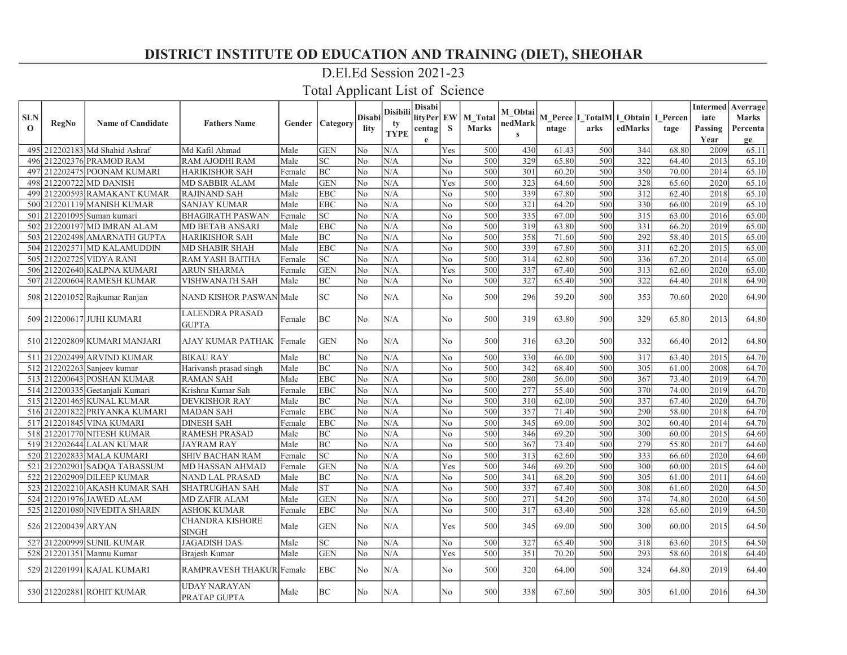### D.El.Ed Session 2021-23

|                           |                     |                                 |                                        |        |                 |                | <b>Disibili</b> | <b>Disabi</b> |                |                                | M Obtai      |       |      |                                                     |       |                 | <b>Intermed</b> Averrage |
|---------------------------|---------------------|---------------------------------|----------------------------------------|--------|-----------------|----------------|-----------------|---------------|----------------|--------------------------------|--------------|-------|------|-----------------------------------------------------|-------|-----------------|--------------------------|
| <b>SLN</b><br>$\mathbf 0$ | <b>RegNo</b>        | <b>Name of Candidate</b>        | <b>Fathers Name</b>                    | Gender | Category        | Disabi         | ty              | lityPer   EW  | S              | <b>M</b> Total<br><b>Marks</b> | nedMark      |       | arks | M Perce   I_TotalM   I_Obtain   I_Percen<br>edMarks |       | iate<br>Passing | <b>Marks</b>             |
|                           |                     |                                 |                                        |        |                 | lity           | <b>TYPE</b>     | centag<br>e   |                |                                | $\mathbf{c}$ | ntage |      |                                                     | tage  | Year            | Percenta<br>ge           |
|                           |                     | 495 212202183 Md Shahid Ashraf  | Md Kafil Ahmad                         | Male   | <b>GEN</b>      | No             | N/A             |               | Yes            | 500                            | 430          | 61.43 | 500  | 344                                                 | 68.80 | 2009            | 65.11                    |
| 496                       |                     | 212202376 PRAMOD RAM            | <b>RAM AJODHI RAM</b>                  | Male   | <b>SC</b>       | N <sub>o</sub> | N/A             |               | No             | 500                            | 329          | 65.80 | 500  | 322                                                 | 64.40 | 2013            | 65.10                    |
| 497                       |                     | 212202475 POONAM KUMARI         | <b>HARIKISHOR SAH</b>                  | Female | BC              | No             | N/A             |               | No             | 500                            | 301          | 60.20 | 500  | 350                                                 | 70.00 | 2014            | 65.10                    |
|                           |                     | 498 212200722 MD DANISH         | MD SABBIR ALAM                         | Male   | <b>GEN</b>      | No             | N/A             |               | Yes            | 500                            | 323          | 64.60 | 500  | 328                                                 | 65.60 | 2020            | 65.10                    |
| 499                       |                     | 212200593 RAMAKANT KUMAR        | <b>RAJINAND SAH</b>                    | Male   | <b>EBC</b>      | N <sub>o</sub> | N/A             |               | No             | 500                            | 339          | 67.80 | 500  | 312                                                 | 62.40 | 2018            | 65.10                    |
|                           |                     | 500 212201119 MANISH KUMAR      | <b>SANJAY KUMAR</b>                    | Male   | <b>EBC</b>      | N <sub>o</sub> | N/A             |               | No             | 500                            | 321          | 64.20 | 500  | 330                                                 | 66.00 | 2019            | 65.10                    |
| 501                       |                     | 212201095 Suman kumari          | <b>BHAGIRATH PASWAN</b>                | Female | $\overline{SC}$ | No             | $\rm N/A$       |               | No             | 500                            | 335          | 67.00 | 500  | 315                                                 | 63.00 | 2016            | 65.00                    |
| 502                       |                     | 212200197 MD IMRAN ALAM         | MD BETAB ANSARI                        | Male   | <b>EBC</b>      | No             | N/A             |               | No             | 500                            | 319          | 63.80 | 500  | 331                                                 | 66.20 | 2019            | 65.00                    |
|                           |                     | 503 212202498 AMARNATH GUPTA    | <b>HARIKISHOR SAH</b>                  | Male   | <b>BC</b>       | N <sub>o</sub> | N/A             |               | No             | 500                            | 358          | 71.60 | 500  | 292                                                 | 58.40 | 2015            | 65.00                    |
|                           |                     | 504 212202571 MD KALAMUDDIN     | <b>MD SHABIR SHAH</b>                  | Male   | <b>EBC</b>      | N <sub>o</sub> | N/A             |               | No             | 500                            | 339          | 67.80 | 500  | 311                                                 | 62.20 | 2015            | 65.00                    |
| 505                       |                     | 212202725 VIDYA RANI            | RAM YASH BAITHA                        | Female | SC              | N <sub>o</sub> | N/A             |               | No             | 500                            | 314          | 62.80 | 500  | 336                                                 | 67.20 | 2014            | 65.00                    |
|                           |                     | 506 212202640 KALPNA KUMARI     | <b>ARUN SHARMA</b>                     | Female | <b>GEN</b>      | No             | N/A             |               | Yes            | 500                            | 337          | 67.40 | 500  | 313                                                 | 62.60 | 2020            | 65.00                    |
|                           |                     | 507 212200604 RAMESH KUMAR      | <b>VISHWANATH SAH</b>                  | Male   | <b>BC</b>       | N <sub>o</sub> | N/A             |               | N <sub>0</sub> | 500                            | 327          | 65.40 | 500  | 322                                                 | 64.40 | 2018            | 64.90                    |
|                           |                     | 508 212201052 Rajkumar Ranjan   | NAND KISHOR PASWAN Male                |        | <b>SC</b>       | N <sub>o</sub> | N/A             |               | No             | 500                            | 296          | 59.20 | 500  | 353                                                 | 70.60 | 2020            | 64.90                    |
|                           |                     | 509 212200617 JUHI KUMARI       | <b>LALENDRA PRASAD</b><br><b>GUPTA</b> | Female | BC              | N <sub>o</sub> | N/A             |               | No             | 500                            | 319          | 63.80 | 500  | 329                                                 | 65.80 | 2013            | 64.80                    |
|                           |                     | 510 212202809 KUMARI MANJARI    | AJAY KUMAR PATHAK                      | Female | <b>GEN</b>      | N <sub>o</sub> | N/A             |               | No             | 500                            | 316          | 63.20 | 500  | 332                                                 | 66.40 | 2012            | 64.80                    |
|                           |                     | 511 212202499 ARVIND KUMAR      | <b>BIKAU RAY</b>                       | Male   | BC              | N <sub>o</sub> | N/A             |               | No             | 500                            | 330          | 66.00 | 500  | 317                                                 | 63.40 | 2015            | 64.70                    |
|                           |                     | 512 212202263 Sanjeev kumar     | Harivansh prasad singh                 | Male   | <b>BC</b>       | N <sub>o</sub> | N/A             |               | No             | 500                            | 342          | 68.40 | 500  | 305                                                 | 61.00 | 2008            | 64.70                    |
|                           |                     | 513 212200643 POSHAN KUMAR      | <b>RAMAN SAH</b>                       | Male   | <b>EBC</b>      | N <sub>o</sub> | N/A             |               | No             | 500                            | 280          | 56.00 | 500  | 367                                                 | 73.40 | 2019            | 64.70                    |
|                           |                     | 514 212200335 Geetanjali Kumari | Krishna Kumar Sah                      | Female | <b>EBC</b>      | N <sub>o</sub> | N/A             |               | No             | 500                            | 277          | 55.40 | 500  | 370                                                 | 74.00 | 2019            | 64.70                    |
|                           |                     | 515 212201465 KUNAL KUMAR       | <b>DEVKISHOR RAY</b>                   | Male   | ВC              | No             | N/A             |               | No             | 500                            | 310          | 62.00 | 500  | 337                                                 | 67.40 | 2020            | 64.70                    |
|                           |                     | 516 212201822 PRIYANKA KUMARI   | <b>MADAN SAH</b>                       | Female | <b>EBC</b>      | No             | N/A             |               | No             | 500                            | 357          | 71.40 | 500  | 290                                                 | 58.00 | 2018            | 64.70                    |
|                           |                     | 517 212201845 VINA KUMARI       | <b>DINESH SAH</b>                      | Female | <b>EBC</b>      | N <sub>o</sub> | N/A             |               | No             | 500                            | 345          | 69.00 | 500  | 302                                                 | 60.40 | 2014            | 64.70                    |
|                           |                     | 518 212201770 NITESH KUMAR      | <b>RAMESH PRASAD</b>                   | Male   | BC              | N <sub>o</sub> | N/A             |               | No             | 500                            | 346          | 69.20 | 500  | 300                                                 | 60.00 | 2015            | 64.60                    |
|                           |                     | 519 212202644 LALAN KUMAR       | <b>JAYRAM RAY</b>                      | Male   | <b>BC</b>       | No             | N/A             |               | No             | 500                            | 367          | 73.40 | 500  | 279                                                 | 55.80 | 2017            | 64.60                    |
|                           |                     | 520 212202833 MALA KUMARI       | <b>SHIV BACHAN RAM</b>                 | Female | $\overline{SC}$ | N <sub>o</sub> | N/A             |               | No             | 500                            | 313          | 62.60 | 500  | 333                                                 | 66.60 | 2020            | 64.60                    |
|                           |                     | 521 212202901 SADQA TABASSUM    | MD HASSAN AHMAD                        | Female | <b>GEN</b>      | N <sub>o</sub> | N/A             |               | Yes            | 500                            | 346          | 69.20 | 500  | 300                                                 | 60.00 | 2015            | 64.60                    |
|                           |                     | 522 212202909 DILEEP KUMAR      | NAND LAL PRASAD                        | Male   | BC              | No             | N/A             |               | No             | 500                            | 341          | 68.20 | 500  | 305                                                 | 61.00 | 2011            | 64.60                    |
|                           |                     | 523 212202210 AKASH KUMAR SAH   | <b>SHATRUGHAN SAH</b>                  | Male   | <b>ST</b>       | N <sub>o</sub> | N/A             |               | No             | 500                            | 337          | 67.40 | 500  | 308                                                 | 61.60 | 2020            | 64.50                    |
|                           |                     | 524 212201976 JAWED ALAM        | <b>MD ZAFIR ALAM</b>                   | Male   | <b>GEN</b>      | No             | N/A             |               | No             | 500                            | 271          | 54.20 | 500  | 374                                                 | 74.80 | 2020            | 64.50                    |
|                           |                     | 525 212201080 NIVEDITA SHARIN   | <b>ASHOK KUMAR</b>                     | Female | <b>EBC</b>      | No             | N/A             |               | No             | 500                            | 317          | 63.40 | 500  | 328                                                 | 65.60 | 2019            | 64.50                    |
|                           | 526 212200439 ARYAN |                                 | <b>CHANDRA KISHORE</b><br><b>SINGH</b> | Male   | <b>GEN</b>      | N <sub>o</sub> | N/A             |               | Yes            | 500                            | 345          | 69.00 | 500  | 300                                                 | 60.00 | 2015            | 64.50                    |
|                           |                     | 527 212200999 SUNIL KUMAR       | <b>JAGADISH DAS</b>                    | Male   | $\overline{SC}$ | N <sub>o</sub> | N/A             |               | No             | 500                            | 327          | 65.40 | 500  | 318                                                 | 63.60 | 2015            | 64.50                    |
|                           |                     | 528 212201351 Mannu Kumar       | Brajesh Kumar                          | Male   | <b>GEN</b>      | No             | N/A             |               | Yes            | 500                            | 351          | 70.20 | 500  | 293                                                 | 58.60 | 2018            | 64.40                    |
|                           |                     | 529 212201991 KAJAL KUMARI      | RAMPRAVESH THAKUR Female               |        | <b>EBC</b>      | No             | N/A             |               | No             | 500                            | 320          | 64.00 | 500  | 324                                                 | 64.80 | 2019            | 64.40                    |
|                           |                     | 530 212202881 ROHIT KUMAR       | <b>UDAY NARAYAN</b><br>PRATAP GUPTA    | Male   | BC              | N <sub>o</sub> | N/A             |               | No.            | 500                            | 338          | 67.60 | 500  | 305                                                 | 61.00 | 2016            | 64.30                    |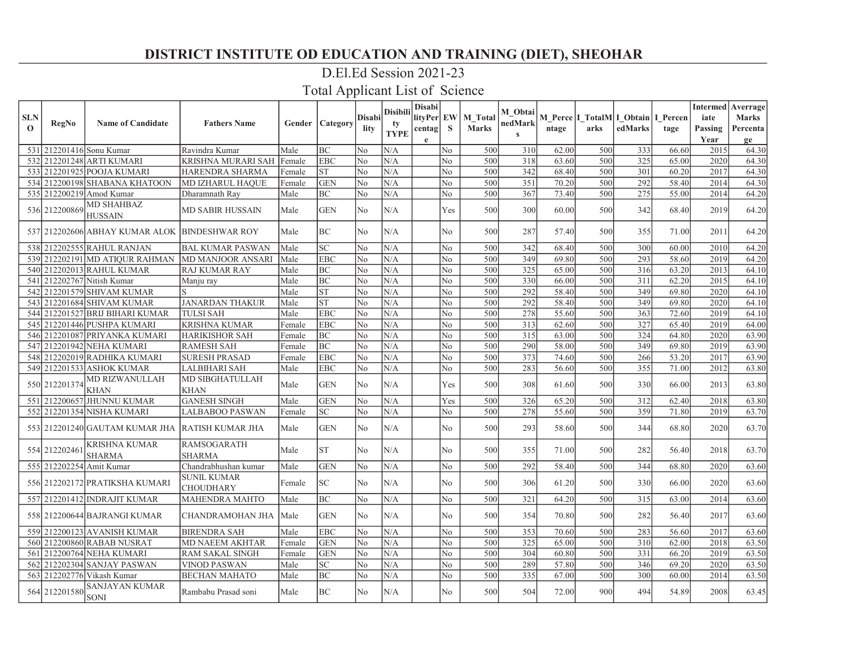### D.El.Ed Session 2021-23

|              |               |                                                    |                                        |             |                 |               | <b>Disibili</b> | <b>Disabi</b> |                |              | M Obtai      |       |                                          |         |       |                 | <b>Intermed</b> Averrage |
|--------------|---------------|----------------------------------------------------|----------------------------------------|-------------|-----------------|---------------|-----------------|---------------|----------------|--------------|--------------|-------|------------------------------------------|---------|-------|-----------------|--------------------------|
| <b>SLN</b>   | <b>RegNo</b>  | <b>Name of Candidate</b>                           | <b>Fathers Name</b>                    | Gender      | <b>Category</b> | <b>Disabi</b> | tv              | lityPer EW    |                | M Total      | nedMark      |       | M Perce   I_TotalM   I_Obtain   I_Percen |         |       | iate            | <b>Marks</b>             |
| $\mathbf{o}$ |               |                                                    |                                        |             |                 | lity          | <b>TYPE</b>     | centag        | S              | <b>Marks</b> | $\mathbf{s}$ | ntage | arks                                     | edMarks | tage  | Passing<br>Year | Percenta                 |
|              |               | 531 212201416 Sonu Kumar                           | Ravindra Kumar                         | Male        | BC              | No            | N/A             | e             | N <sub>0</sub> | 500          | 310          | 62.00 | 500                                      | 333     | 66.60 | 2015            | ge<br>64.30              |
|              |               | 532 212201248 ARTI KUMARI                          | KRISHNA MURARI SAH  Female             |             | <b>EBC</b>      | No            | N/A             |               | No             | 500          | 318          | 63.60 | 500                                      | 325     | 65.00 | 2020            | 64.30                    |
|              |               | 533 212201925 POOJA KUMARI                         | HARENDRA SHARMA                        | Female      | <b>ST</b>       | No            | N/A             |               | No             | 500          | 342          | 68.40 | 500                                      | 301     | 60.20 | 2017            | 64.30                    |
|              |               | 534 212200198 SHABANA KHATOON                      | MD IZHARUL HAQUE                       | Female      | <b>GEN</b>      | No            | N/A             |               | No             | 500          | 351          | 70.20 | 500                                      | 292     | 58.40 | 2014            | 64.30                    |
|              |               | 535 212200219 Amod Kumar                           | Dharamnath Ray                         | Male        | BC              | No            | N/A             |               | No             | 500          | 367          | 73.40 | 500                                      | 275     | 55.00 | 2014            | 64.20                    |
|              | 536 212200869 | <b>MD SHAHBAZ</b><br><b>HUSSAIN</b>                | MD SABIR HUSSAIN                       | Male        | <b>GEN</b>      | No            | N/A             |               | Yes            | 500          | 300          | 60.00 | 500                                      | 342     | 68.40 | 2019            | 64.20                    |
|              |               | 537 212202606 ABHAY KUMAR ALOK BINDESHWAR ROY      |                                        | Male        | <b>BC</b>       | No            | N/A             |               | No             | 500          | 287          | 57.40 | 500                                      | 355     | 71.00 | 2011            | 64.20                    |
|              |               | 538 212202555 RAHUL RANJAN                         | <b>BAL KUMAR PASWAN</b>                | Male        | <b>SC</b>       | No            | N/A             |               | No             | 500          | 342          | 68.40 | 500                                      | 300     | 60.00 | 2010            | 64.20                    |
|              |               | 539 212202191 MD ATIQUR RAHMAN                     | <b>MD MANJOOR ANSARI</b>               | Male        | <b>EBC</b>      | No            | N/A             |               | N <sub>o</sub> | 500          | 349          | 69.80 | 500                                      | 293     | 58.60 | 2019            | 64.20                    |
|              |               | 540 212202013 RAHUL KUMAR                          | <b>RAJ KUMAR RAY</b>                   | Male        | BC              | No            | N/A             |               | N <sub>o</sub> | 500          | 325          | 65.00 | 500                                      | 316     | 63.20 | 2013            | 64.10                    |
|              |               | 541 212202767 Nitish Kumar                         | Manju ray                              | Male        | <b>BC</b>       | No            | N/A             |               | No             | 500          | 330          | 66.00 | 500                                      | 311     | 62.20 | 2015            | 64.10                    |
|              |               | 542 212201579 SHIVAM KUMAR                         |                                        | Male        | <b>ST</b>       | No            | N/A             |               | No             | 500          | 292          | 58.40 | 500                                      | 349     | 69.80 | 2020            | 64.10                    |
|              |               | 543 212201684 SHIVAM KUMAR                         | <b>JANARDAN THAKUR</b>                 | Male        | <b>ST</b>       | No            | N/A             |               | No             | 500          | 292          | 58.40 | 500                                      | 349     | 69.80 | 2020            | 64.10                    |
|              |               | 544 212201527 BRIJ BIHARI KUMAR                    | <b>TULSI SAH</b>                       | Male        | <b>EBC</b>      | No            | N/A             |               | N <sub>o</sub> | 500          | 278          | 55.60 | 500                                      | 363     | 72.60 | 2019            | 64.10                    |
|              |               | 545 212201446 PUSHPA KUMARI                        | <b>KRISHNA KUMAR</b>                   | Female      | <b>EBC</b>      | No            | N/A             |               | N <sub>o</sub> | 500          | 313          | 62.60 | 500                                      | 327     | 65.40 | 2019            | 64.00                    |
|              |               | 546 212201087 PRIYANKA KUMARI                      | <b>HARIKISHOR SAH</b>                  | Female      | <b>BC</b>       | No            | N/A             |               | $\rm No$       | 500          | 315          | 63.00 | 500                                      | 324     | 64.80 | 2020            | 63.90                    |
|              |               | 547 212201942 NEHA KUMARI                          | <b>RAMESH SAH</b>                      | Female      | <b>BC</b>       | No            | N/A             |               | No             | 500          | 290          | 58.00 | 500                                      | 349     | 69.80 | 2019            | 63.90                    |
|              |               | 548 212202019 RADHIKA KUMARI                       | <b>SURESH PRASAD</b>                   | Female      | <b>EBC</b>      | No            | N/A             |               | No             | 500          | 373          | 74.60 | 500                                      | 266     | 53.20 | 2017            | 63.90                    |
|              |               | 549 212201533 ASHOK KUMAR                          | LALBIHARI SAH                          | Male        | <b>EBC</b>      | No            | N/A             |               | N <sub>o</sub> | 500          | 283          | 56.60 | 500                                      | 355     | 71.00 | 2012            | 63.80                    |
|              | 550 212201374 | <b>MD RIZWANULLAH</b><br><b>KHAN</b>               | <b>MD SIBGHATULLAH</b><br>KHAN         | Male        | <b>GEN</b>      | No            | N/A             |               | Yes            | 500          | 308          | 61.60 | 500                                      | 330     | 66.00 | 2013            | 63.80                    |
|              |               | 551 212200657 JHUNNU KUMAR                         | <b>GANESH SINGH</b>                    | Male        | <b>GEN</b>      | No            | N/A             |               | Yes            | 500          | 326          | 65.20 | 500                                      | 312     | 62.40 | 2018            | 63.80                    |
|              |               | 552 212201354 NISHA KUMARI                         | <b>LALBABOO PASWAN</b>                 | Female      | <b>SC</b>       | No            | N/A             |               | No             | 500          | 278          | 55.60 | 500                                      | 359     | 71.80 | 2019            | 63.70                    |
|              |               | 553] 212201240]GAUTAM KUMAR JHA   RATISH KUMAR JHA |                                        | Male        | <b>GEN</b>      | No            | N/A             |               | No             | 500          | 293          | 58.60 | 500                                      | 344     | 68.80 | 2020            | 63.70                    |
|              | 554 212202461 | KRISHNA KUMAR<br><b>SHARMA</b>                     | <b>RAMSOGARATH</b><br><b>SHARMA</b>    | Male        | <b>ST</b>       | No            | N/A             |               | N <sub>o</sub> | 500          | 355          | 71.00 | 500                                      | 282     | 56.40 | 2018            | 63.70                    |
|              |               | 555 212202254 Amit Kumar                           | Chandrabhushan kumar                   | Male        | <b>GEN</b>      | No            | N/A             |               | No             | 500          | 292          | 58.40 | 500                                      | 344     | 68.80 | 2020            | 63.60                    |
|              |               | 556 212202172 PRATIKSHA KUMARI                     | <b>SUNIL KUMAR</b><br><b>CHOUDHARY</b> | Female      | <b>SC</b>       | No            | N/A             |               | N <sub>o</sub> | 500          | 306          | 61.20 | 500                                      | 330     | 66.00 | 2020            | 63.60                    |
|              |               | 557 212201412 INDRAJIT KUMAR                       | <b>MAHENDRA MAHTO</b>                  | Male        | BC              | No            | N/A             |               | No             | 500          | 321          | 64.20 | 500                                      | 315     | 63.00 | 2014            | 63.60                    |
|              |               | 558 212200644 BAJRANGI KUMAR                       | CHANDRAMOHAN JHA                       | <i>Male</i> | <b>GEN</b>      | No            | N/A             |               | No             | 500          | 354          | 70.80 | 500                                      | 282     | 56.40 | 2017            | 63.60                    |
|              |               | 559 212200123 AVANISH KUMAR                        | <b>BIRENDRA SAH</b>                    | Male        | <b>EBC</b>      | No            | N/A             |               | No             | 500          | 353          | 70.60 | 500                                      | 283     | 56.60 | 2017            | 63.60                    |
|              |               | 560 212200860 RABAB NUSRAT                         | <b>MD NAEEM AKHTAR</b>                 | Female      | <b>GEN</b>      | No            | N/A             |               | No             | 500          | 325          | 65.00 | 500                                      | 310     | 62.00 | 2018            | 63.50                    |
|              |               | 561   212200764   NEHA KUMARI                      | <b>RAM SAKAL SINGH</b>                 | Female      | <b>GEN</b>      | No            | N/A             |               | No             | 500          | 304          | 60.80 | 500                                      | 331     | 66.20 | 2019            | 63.50                    |
|              |               | 562 212202304 SANJAY PASWAN                        | VINOD PASWAN                           | Male        | <b>SC</b>       | No            | N/A             |               | No             | 500          | 289          | 57.80 | 500                                      | 346     | 69.20 | 2020            | 63.50                    |
|              |               | 563 212202776 Vikash Kumar                         | <b>BECHAN MAHATO</b>                   | Male        | <b>BC</b>       | No            | N/A             |               | No             | 500          | 335          | 67.00 | 500                                      | 300     | 60.00 | 2014            | 63.50                    |
|              | 564 212201580 | <b>SANJAYAN KUMAR</b><br><b>SONI</b>               | Rambabu Prasad soni                    | Male        | <b>BC</b>       | No            | N/A             |               | N <sub>0</sub> | 500          | 504          | 72.00 | 900                                      | 494     | 54.89 | 2008            | 63.45                    |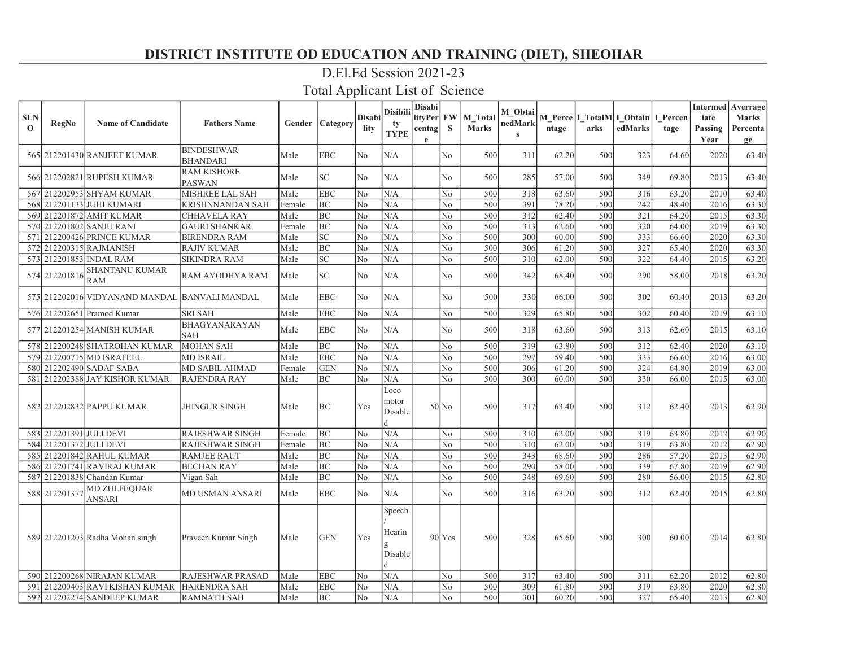# D.El.Ed Session 2021-23

| <b>SLN</b><br>$\mathbf 0$ | RegNo                   | <b>Name of Candidate</b>                      | <b>Fathers Name</b>                  |        | <b>Gender   Category</b>   | Disabi<br>lity | <b>Disibili</b><br>tv<br><b>TYPE</b> | Disabi<br>lityPer EW<br>centag<br>e | <b>S</b>       | <b>M</b> Total<br><b>Marks</b> | M Obtai<br>nedMark<br>$\mathbf{s}$ | ntage | arks | M Perce I TotalM I Obtain I Percen<br>edMarks | tage  | iate<br>Passing<br>Year | Intermed   Averrage  <br><b>Marks</b><br>Percenta<br>ge |
|---------------------------|-------------------------|-----------------------------------------------|--------------------------------------|--------|----------------------------|----------------|--------------------------------------|-------------------------------------|----------------|--------------------------------|------------------------------------|-------|------|-----------------------------------------------|-------|-------------------------|---------------------------------------------------------|
|                           |                         | 565 212201430 RANJEET KUMAR                   | <b>BINDESHWAR</b><br><b>BHANDARI</b> | Male   | <b>EBC</b>                 | No             | N/A                                  |                                     | N <sub>o</sub> | 500                            | 311                                | 62.20 | 500  | 323                                           | 64.60 | 2020                    | 63.40                                                   |
|                           |                         | 566 212202821 RUPESH KUMAR                    | <b>RAM KISHORE</b><br><b>PASWAN</b>  | Male   | $\ensuremath{\mathbf{SC}}$ | No             | N/A                                  |                                     | No             | 500                            | 285                                | 57.00 | 500  | 349                                           | 69.80 | 2013                    | 63.40                                                   |
|                           |                         | 567 212202953 SHYAM KUMAR                     | MISHREE LAL SAH                      | Male   | <b>EBC</b>                 | No             | N/A                                  |                                     | N <sub>o</sub> | 500                            | 318                                | 63.60 | 500  | 316                                           | 63.20 | 2010                    | 63.40                                                   |
|                           |                         | 568 212201133 JUHI KUMARI                     | <b>KRISHNNANDAN SAH</b>              | Female | <b>BC</b>                  | No             | N/A                                  |                                     | N <sub>o</sub> | 500                            | 391                                | 78.20 | 500  | 242                                           | 48.40 | 2016                    | 63.30                                                   |
|                           |                         | 569 212201872 AMIT KUMAR                      | <b>CHHAVELA RAY</b>                  | Male   | <b>BC</b>                  | No             | N/A                                  |                                     | No             | 500                            | 312                                | 62.40 | 500  | 321                                           | 64.20 | 2015                    | 63.30                                                   |
|                           |                         | 570 212201802 SANJU RANI                      | <b>GAURI SHANKAR</b>                 | Female | <b>BC</b>                  | No             | N/A                                  |                                     | No             | 500                            | 313                                | 62.60 | 500  | 320                                           | 64.00 | 2019                    | 63.30                                                   |
|                           |                         | 571 212200426 PRINCE KUMAR                    | <b>BIRENDRA RAM</b>                  | Male   | SC                         | No             | N/A                                  |                                     | No             | 500                            | 300                                | 60.00 | 500  | 333                                           | 66.60 | 2020                    | 63.30                                                   |
|                           |                         | 572 212200315 RAJMANISH                       | <b>RAJIV KUMAR</b>                   | Male   | <b>BC</b>                  | No             | N/A                                  |                                     | No             | 500                            | 306                                | 61.20 | 500  | 327                                           | 65.40 | 2020                    | 63.30                                                   |
|                           |                         | 573 212201853 INDAL RAM                       | <b>SIKINDRA RAM</b>                  | Male   | <b>SC</b>                  | No             | N/A                                  |                                     | No             | 500                            | 310                                | 62.00 | 500  | 322                                           | 64.40 | 2015                    | 63.20                                                   |
|                           | 574 212201816           | <b>SHANTANU KUMAR</b><br><b>RAM</b>           | RAM AYODHYA RAM                      | Male   | $\ensuremath{\mathbf{SC}}$ | No             | N/A                                  |                                     | No             | 500                            | 342                                | 68.40 | 500  | 290                                           | 58.00 | 2018                    | 63.20                                                   |
|                           |                         | 575 212202016 VIDYANAND MANDAL BANVALI MANDAL |                                      | Male   | <b>EBC</b>                 | No             | N/A                                  |                                     | N <sub>o</sub> | 500                            | 330                                | 66.00 | 500  | 302                                           | 60.40 | 2013                    | 63.20                                                   |
|                           |                         | 576 212202651 Pramod Kumar                    | <b>SRI SAH</b>                       | Male   | <b>EBC</b>                 | No             | N/A                                  |                                     | No             | 500                            | 329                                | 65.80 | 500  | 302                                           | 60.40 | 2019                    | 63.10                                                   |
|                           |                         | 577 212201254 MANISH KUMAR                    | <b>BHAGYANARAYAN</b><br><b>SAH</b>   | Male   | <b>EBC</b>                 | No             | N/A                                  |                                     | No             | 500                            | 318                                | 63.60 | 500  | 313                                           | 62.60 | 2015                    | 63.10                                                   |
|                           |                         | 578 212200248 SHATROHAN KUMAR                 | <b>MOHAN SAH</b>                     | Male   | BC                         | No             | N/A                                  |                                     | No             | 500                            | 319                                | 63.80 | 500  | 312                                           | 62.40 | 2020                    | 63.10                                                   |
|                           |                         | 579 212200715 MD ISRAFEEL                     | <b>MD ISRAIL</b>                     | Male   | <b>EBC</b>                 | No             | N/A                                  |                                     | No             | 500                            | 297                                | 59.40 | 500  | 333                                           | 66.60 | 2016                    | 63.00                                                   |
|                           |                         | 580 212202490 SADAF SABA                      | MD SABIL AHMAD                       | Female | <b>GEN</b>                 | No             | N/A                                  |                                     | No             | 500                            | 306                                | 61.20 | 500  | 324                                           | 64.80 | 2019                    | 63.00                                                   |
|                           |                         | 581 212202388 JAY KISHOR KUMAR                | <b>RAJENDRA RAY</b>                  | Male   | BC                         | No             | N/A                                  |                                     | N <sub>o</sub> | 500                            | 300                                | 60.00 | 500  | 330l                                          | 66.00 | 2015                    | 63.00                                                   |
|                           |                         | 582 212202832 PAPPU KUMAR                     | <b>JHINGUR SINGH</b>                 | Male   | <b>BC</b>                  | Yes            | Loco<br>motor<br>Disable             |                                     | $50$ No        | 500                            | 317                                | 63.40 | 500  | 312                                           | 62.40 | 2013                    | 62.90                                                   |
|                           | 583 212201391 JULI DEVI |                                               | <b>RAJESHWAR SINGH</b>               | Female | BC                         | No             | N/A                                  |                                     | N <sub>0</sub> | 500                            | 310                                | 62.00 | 500  | 319                                           | 63.80 | 2012                    | 62.90                                                   |
|                           | 584 212201372 JULI DEVI |                                               | <b>RAJESHWAR SINGH</b>               | Female | <b>BC</b>                  | No             | N/A                                  |                                     | No             | 500                            | 310                                | 62.00 | 500  | 319                                           | 63.80 | 2012                    | 62.90                                                   |
|                           |                         | 585 212201842 RAHUL KUMAR                     | <b>RAMJEE RAUT</b>                   | Male   | <b>BC</b>                  | No             | N/A                                  |                                     | No             | 500                            | 343                                | 68.60 | 500  | 286                                           | 57.20 | 2013                    | 62.90                                                   |
|                           |                         | 586 212201741 RAVIRAJ KUMAR                   | <b>BECHAN RAY</b>                    | Male   | <b>BC</b>                  | No             | N/A                                  |                                     | N <sub>o</sub> | 500                            | 290                                | 58.00 | 500  | 339                                           | 67.80 | 2019                    | 62.90                                                   |
|                           |                         | 587 212201838 Chandan Kumar                   | Vigan Sah                            | Male   | <b>BC</b>                  | No             | N/A                                  |                                     | No             | 500                            | 348                                | 69.60 | 500  | 280                                           | 56.00 | 2015                    | 62.80                                                   |
|                           | 588 212201377           | <b>MD ZULFEQUAR</b><br><b>ANSARI</b>          | MD USMAN ANSARI                      | Male   | <b>EBC</b>                 | No             | N/A                                  |                                     | N <sub>0</sub> | 500                            | 316                                | 63.20 | 500  | 312                                           | 62.40 | 2015                    | 62.80                                                   |
|                           |                         | 589 212201203 Radha Mohan singh               | Praveen Kumar Singh                  | Male   | <b>GEN</b>                 | Yes            | Speech<br>Hearin<br>Disable          |                                     | $90$ $Yes$     | 500                            | 328                                | 65.60 | 500  | 300                                           | 60.00 | 2014                    | 62.80                                                   |
|                           |                         | 590 212200268 NIRAJAN KUMAR                   | <b>RAJESHWAR PRASAD</b>              | Male   | <b>EBC</b>                 | No             | N/A                                  |                                     | No             | 500                            | 317                                | 63.40 | 500  | 311                                           | 62.20 | 2012                    | 62.80                                                   |
| 591                       |                         | 212200403 RAVI KISHAN KUMAR HARENDRA SAH      |                                      | Male   | <b>EBC</b>                 | No             | N/A                                  |                                     | No             | 500                            | 309                                | 61.80 | 500  | 319                                           | 63.80 | 2020                    | 62.80                                                   |
|                           |                         | 592 212202274 SANDEEP KUMAR                   | <b>RAMNATH SAH</b>                   | Male   | <b>BC</b>                  | No             | N/A                                  |                                     | N <sub>o</sub> | 500                            | 301                                | 60.20 | 500  | 327                                           | 65.40 | 2013                    | 62.80                                                   |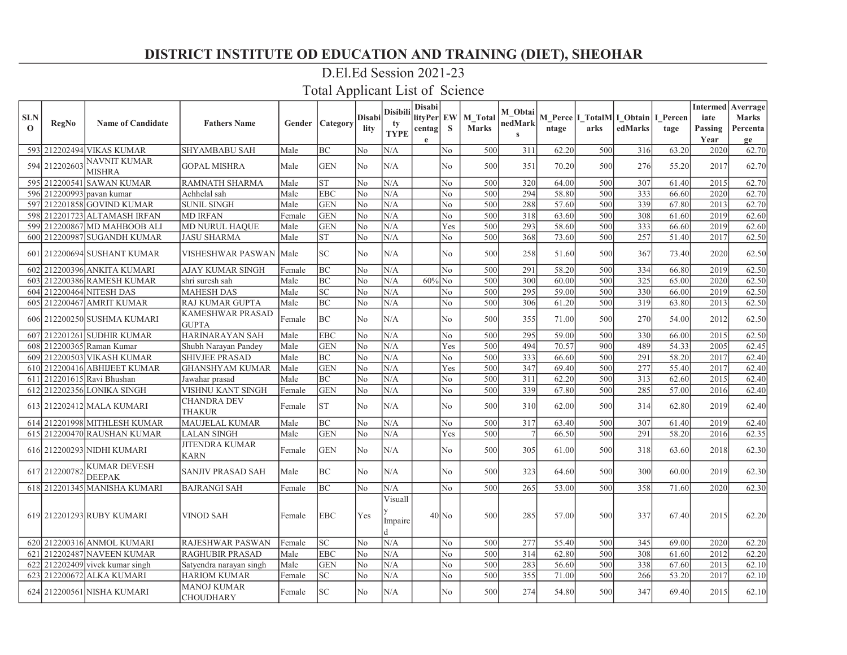### D.El.Ed Session 2021-23

| <b>SLN</b><br>$\Omega$ | <b>RegNo</b>  | <b>Name of Candidate</b>             | <b>Fathers Name</b>                    |          | Gender   Category          | <b>Disabi</b><br>lity | <b>Disibili</b><br>tv<br><b>TYPE</b> | <b>Disabi</b><br>lityPer EW<br>centag<br>e | S              | M Total<br><b>Marks</b> | M_Obtai<br>nedMark<br>$\mathbf{s}$ | ntage | arks | M Perce I TotalM I Obtain I Percen<br>edMarks | tage  | iate<br>Passing<br>Year | <b>Intermed</b> Averrage<br><b>Marks</b><br>Percenta |
|------------------------|---------------|--------------------------------------|----------------------------------------|----------|----------------------------|-----------------------|--------------------------------------|--------------------------------------------|----------------|-------------------------|------------------------------------|-------|------|-----------------------------------------------|-------|-------------------------|------------------------------------------------------|
|                        |               | 593 212202494 VIKAS KUMAR            | <b>SHYAMBABU SAH</b>                   | Male     | <b>BC</b>                  | No                    | N/A                                  |                                            | N <sub>o</sub> | 500                     | 311                                | 62.20 | 500  | 316                                           | 63.20 | 2020                    | ge<br>62.70                                          |
|                        | 594 212202603 | <b>NAVNIT KUMAR</b><br><b>MISHRA</b> | <b>GOPAL MISHRA</b>                    | Male     | <b>GEN</b>                 | No                    | N/A                                  |                                            | No             | 500                     | 351                                | 70.20 | 500  | 276                                           | 55.20 | 2017                    | 62.70                                                |
|                        |               | 595 212200541 SAWAN KUMAR            | <b>RAMNATH SHARMA</b>                  | Male     | <b>ST</b>                  | No                    | N/A                                  |                                            | No             | 500                     | 320                                | 64.00 | 500  | 307                                           | 61.40 | 2015                    | 62.70                                                |
|                        |               | 596 212200993 payan kumar            | Achhelal sah                           | Male     | <b>EBC</b>                 | No                    | N/A                                  |                                            | No             | 500                     | 294                                | 58.80 | 500  | 333                                           | 66.60 | 2020                    | 62.70                                                |
| 597                    |               | $212201858$ GOVIND KUMAR             | <b>SUNIL SINGH</b>                     | Male     | <b>GEN</b>                 | No                    | N/A                                  |                                            | N <sub>o</sub> | 500                     | 288                                | 57.60 | 500  | 339                                           | 67.80 | 2013                    | 62.70                                                |
| 598                    |               | 212201723 ALTAMASH IRFAN             | <b>MD IRFAN</b>                        | Female   | <b>GEN</b>                 | No                    | N/A                                  |                                            | No             | 500                     | 318                                | 63.60 | 500  | 308                                           | 61.60 | 2019                    | 62.60                                                |
|                        |               | 599 212200867 MD MAHBOOB ALI         | <b>MD NURUL HAQUE</b>                  | Male     | <b>GEN</b>                 | No                    | N/A                                  |                                            | Yes            | 500                     | 293                                | 58.60 | 500  | 333                                           | 66.60 | 2019                    | 62.60                                                |
|                        |               | 600 212200987 SUGANDH KUMAR          | <b>JASU SHARMA</b>                     | Male     | <b>ST</b>                  | No                    | N/A                                  |                                            | N <sub>o</sub> | 500                     | 368                                | 73.60 | 500  | 257                                           | 51.40 | 2017                    | 62.50                                                |
| 601                    |               | 212200694 SUSHANT KUMAR              | VISHESHWAR PASWAN  Male                |          | SC                         | No                    | N/A                                  |                                            | No.            | 500                     | 258                                | 51.60 | 500  | 367                                           | 73.40 | 2020                    | 62.50                                                |
|                        |               | 602 212200396 ANKITA KUMARI          | AJAY KUMAR SINGH                       | Female   | BC                         | No                    | N/A                                  |                                            | N <sub>o</sub> | 500                     | 291                                | 58.20 | 500  | 334                                           | 66.80 | 2019                    | 62.50                                                |
|                        |               | 603 212200386 RAMESH KUMAR           | shri suresh sah                        | Male     | <b>BC</b>                  | No                    | N/A                                  | $60\%$ No                                  |                | 500                     | 300                                | 60.00 | 500  | 325                                           | 65.00 | 2020                    | 62.50                                                |
|                        |               | 604 212200464 NITESH DAS             | <b>MAHESH DAS</b>                      | Male     | SC                         | No                    | N/A                                  |                                            | N <sub>o</sub> | 500                     | 295                                | 59.00 | 500  | 330                                           | 66.00 | 2019                    | 62.50                                                |
|                        |               | 605 212200467 AMRIT KUMAR            | RAJ KUMAR GUPTA                        | Male     | <b>BC</b>                  | No                    | N/A                                  |                                            | No             | 500                     | 306                                | 61.20 | 500  | 319                                           | 63.80 | 2013                    | 62.50                                                |
|                        |               | 606 212200250 SUSHMA KUMARI          | KAMESHWAR PRASAD<br><b>GUPTA</b>       | Female   | <b>BC</b>                  | No                    | N/A                                  |                                            | No.            | 500                     | 355                                | 71.00 | 500  | 270                                           | 54.00 | 2012                    | 62.50                                                |
|                        |               | 607 212201261 SUDHIR KUMAR           | HARINARAYAN SAH                        | Male     | <b>EBC</b>                 | No                    | N/A                                  |                                            | No             | 500                     | 295                                | 59.00 | 500  | 330                                           | 66.00 | 2015                    | 62.50                                                |
|                        |               | 608 212200365 Raman Kumar            | Shubh Narayan Pandey                   | Male     | <b>GEN</b>                 | No                    | N/A                                  |                                            | Yes            | 500                     | 494                                | 70.57 | 900  | 489                                           | 54.33 | 2005                    | 62.45                                                |
| 6091                   |               | 212200503 VIKASH KUMAR               | SHIVJEE PRASAD                         | Male     | <b>BC</b>                  | No                    | N/A                                  |                                            | N <sub>o</sub> | 500                     | 333                                | 66.60 | 500  | 291                                           | 58.20 | 2017                    | 62.40                                                |
| 610 <sup>I</sup>       |               | 212200416 ABHIJEET KUMAR             | <b>GHANSHYAM KUMAR</b>                 | Male     | <b>GEN</b>                 | No                    | N/A                                  |                                            | Yes            | 500                     | 347                                | 69.40 | 500  | 277                                           | 55.40 | 2017                    | 62.40                                                |
| 611                    |               | 212201615 Ravi Bhushan               | Jawahar prasad                         | Male     | <b>BC</b>                  | No                    | N/A                                  |                                            | N <sub>o</sub> | 500                     | 311                                | 62.20 | 500  | 313                                           | 62.60 | 2015                    | 62.40                                                |
|                        |               | 612 212202356 LONIKA SINGH           | VISHNU KANT SINGH                      | Female   | <b>GEN</b>                 | No                    | N/A                                  |                                            | N <sub>o</sub> | 500                     | 339                                | 67.80 | 500  | 285                                           | 57.00 | 2016                    | 62.40                                                |
|                        |               | 613 212202412 MALA KUMARI            | <b>CHANDRA DEV</b><br><b>THAKUR</b>    | Female   | <b>ST</b>                  | No                    | N/A                                  |                                            | No             | 500                     | 310                                | 62.00 | 500  | 314                                           | 62.80 | 2019                    | 62.40                                                |
|                        |               | 614 212201998 MITHLESH KUMAR         | MAUJELAL KUMAR                         | Male     | <b>BC</b>                  | No                    | N/A                                  |                                            | No             | 500                     | 317                                | 63.40 | 500  | 307                                           | 61.40 | 2019                    | 62.40                                                |
|                        |               | 615 212200470 RAUSHAN KUMAR          | <b>LALAN SINGH</b>                     | Male     | <b>GEN</b>                 | No                    | N/A                                  |                                            | Yes            | 500                     |                                    | 66.50 | 500  | 291                                           | 58.20 | 2016                    | 62.35                                                |
|                        |               | 616 212200293 NIDHI KUMARI           | <b>JITENDRA KUMAR</b><br><b>KARN</b>   | Female   | <b>GEN</b>                 | No                    | N/A                                  |                                            | No             | 500                     | 305                                | 61.00 | 500  | 318                                           | 63.60 | 2018                    | 62.30                                                |
|                        | 617 212200782 | <b>KUMAR DEVESH</b><br><b>DEEPAK</b> | SANJIV PRASAD SAH                      | Male     | $\rm BC$                   | No                    | N/A                                  |                                            | No             | 500                     | 323                                | 64.60 | 500  | 300                                           | 60.00 | 2019                    | 62.30                                                |
|                        |               | 618 212201345 MANISHA KUMARI         | <b>BAJRANGI SAH</b>                    | Female   | <b>BC</b>                  | No                    | N/A                                  |                                            | N <sub>o</sub> | 500                     | 265                                | 53.00 | 500  | 358                                           | 71.60 | 2020                    | 62.30                                                |
|                        |               | 619 212201293 RUBY KUMARI            | VINOD SAH                              | l Female | <b>EBC</b>                 | Yes                   | Visuall<br>Impaire<br> d             |                                            | $40$ No        | 500                     | 285                                | 57.00 | 500  | 337                                           | 67.40 | 2015                    | 62.20                                                |
|                        |               | 620 212200316 ANMOL KUMARI           | RAJESHWAR PASWAN                       | Female   | $\ensuremath{\mathbf{SC}}$ | No                    | N/A                                  |                                            | No             | 500                     | 277                                | 55.40 | 500  | 345                                           | 69.00 | 2020                    | 62.20                                                |
| 621                    |               | 212202487 NAVEEN KUMAR               | <b>RAGHUBIR PRASAD</b>                 | Male     | <b>EBC</b>                 | No                    | N/A                                  |                                            | N <sub>o</sub> | 500                     | 314                                | 62.80 | 500  | 308                                           | 61.60 | 2012                    | 62.20                                                |
|                        |               | $622$   212202409  vivek kumar singh | Satyendra narayan singh                | Male     | <b>GEN</b>                 | No                    | N/A                                  |                                            | No             | 500                     | 283                                | 56.60 | 500  | 338                                           | 67.60 | 2013                    | 62.10                                                |
| 623                    |               | 212200672 ALKA KUMARI                | <b>HARIOM KUMAR</b>                    | Female   | $\ensuremath{\mathbf{SC}}$ | No                    | N/A                                  |                                            | No             | 500                     | 355                                | 71.00 | 500  | 266                                           | 53.20 | 2017                    | 62.10                                                |
|                        |               | 624 212200561 NISHA KUMARI           | <b>MANOJ KUMAR</b><br><b>CHOUDHARY</b> | Female   | <b>SC</b>                  | No                    | N/A                                  |                                            | No             | 500                     | 274                                | 54.80 | 500  | 347                                           | 69.40 | 2015                    | 62.10                                                |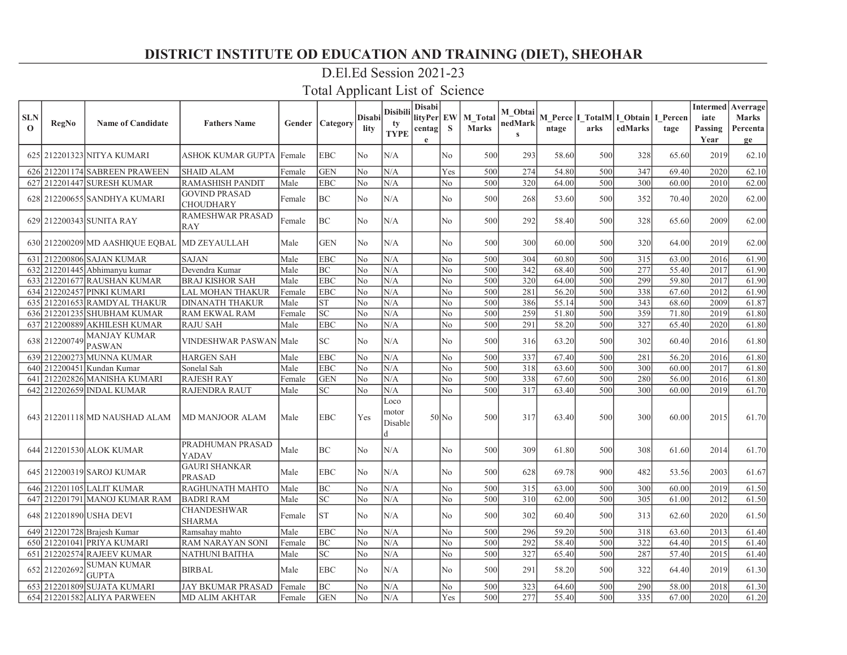### D.El.Ed Session 2021-23

| <b>SLN</b><br>$\mathbf 0$ | <b>RegNo</b>  | <b>Name of Candidate</b>                     | <b>Fathers Name</b>                      |        | <b>Gender   Category</b> | <b>Disabi</b><br>lity | <b>Disibili</b><br>ty<br><b>TYPE</b> | <b>Disabi</b><br>lityPer EW<br>centag <br>$\mathbf{e}$ | <sub>S</sub>   | <b>M</b> Total<br><b>Marks</b> | M Obtai<br>nedMark<br>$\mathbf{s}$ | ntage | arks | M Perce   I TotalM   I Obtain   I Percen<br>edMarks | tage  | iate<br>Passing<br>Year | <b>Intermed</b> Averrage<br><b>Marks</b><br>Percenta<br>ge |
|---------------------------|---------------|----------------------------------------------|------------------------------------------|--------|--------------------------|-----------------------|--------------------------------------|--------------------------------------------------------|----------------|--------------------------------|------------------------------------|-------|------|-----------------------------------------------------|-------|-------------------------|------------------------------------------------------------|
|                           |               | 625 212201323 NITYA KUMARI                   | ASHOK KUMAR GUPTA  Female                |        | <b>EBC</b>               | No                    | N/A                                  |                                                        | N <sub>o</sub> | 500                            | 293                                | 58.60 | 500  | 328                                                 | 65.60 | 2019                    | 62.10                                                      |
|                           |               | 626 212201174 SABREEN PRAWEEN                | <b>SHAID ALAM</b>                        | Female | <b>GEN</b>               | No                    | N/A                                  |                                                        | Yes            | 500                            | 274                                | 54.80 | 500  | 347                                                 | 69.40 | 2020                    | 62.10                                                      |
|                           |               | 627 212201447 SURESH KUMAR                   | RAMASHISH PANDIT                         | Male   | <b>EBC</b>               | No                    | N/A                                  |                                                        | N <sub>o</sub> | 500                            | 320                                | 64.00 | 500  | 300                                                 | 60.00 | 2010                    | 62.00                                                      |
|                           |               | 628 212200655 SANDHYA KUMARI                 | <b>GOVIND PRASAD</b><br><b>CHOUDHARY</b> | Female | BC                       | No                    | N/A                                  |                                                        | No             | 500                            | 268                                | 53.60 | 500  | 352                                                 | 70.40 | 2020                    | 62.00                                                      |
|                           |               | 629 212200343 SUNITA RAY                     | RAMESHWAR PRASAD<br><b>RAY</b>           | Female | BC                       | No                    | N/A                                  |                                                        | No             | 500                            | 292                                | 58.40 | 500  | 328                                                 | 65.60 | 2009                    | 62.00                                                      |
|                           |               | 630 212200209 MD AASHIQUE EQBAL MD ZEYAULLAH |                                          | Male   | <b>GEN</b>               | No                    | N/A                                  |                                                        | No             | 500                            | 300                                | 60.00 | 500  | 320l                                                | 64.00 | 2019                    | 62.00                                                      |
| 631                       |               | 212200806 SAJAN KUMAR                        | <b>SAJAN</b>                             | Male   | <b>EBC</b>               | No                    | N/A                                  |                                                        | No             | 500                            | 304                                | 60.80 | 500  | 315                                                 | 63.00 | 2016                    | 61.90                                                      |
|                           |               | 632 212201445 Abhimanyu kumar                | Devendra Kumar                           | Male   | BC                       | No                    | N/A                                  |                                                        | No             | 500                            | 342                                | 68.40 | 500  | 277                                                 | 55.40 | 2017                    | 61.90                                                      |
|                           |               | 633 212201677 RAUSHAN KUMAR                  | <b>BRAJ KISHOR SAH</b>                   | Male   | <b>EBC</b>               | No                    | N/A                                  |                                                        | N <sub>o</sub> | 500                            | 320                                | 64.00 | 500  | 299                                                 | 59.80 | 2017                    | 61.90                                                      |
|                           |               | 634 212202457 PINKI KUMARI                   | LAL MOHAN THAKUR                         | Female | <b>EBC</b>               | No                    | N/A                                  |                                                        | N <sub>o</sub> | 500                            | 281                                | 56.20 | 500  | 338                                                 | 67.60 | 2012                    | 61.90                                                      |
|                           |               | 635 212201653 RAMDYAL THAKUR                 | <b>DINANATH THAKUR</b>                   | Male   | <b>ST</b>                | No                    | N/A                                  |                                                        | N <sub>o</sub> | 500                            | 386                                | 55.14 | 500  | 343                                                 | 68.60 | 2009                    | 61.87                                                      |
| 636                       |               | 212201235 SHUBHAM KUMAR                      | RAM EKWAL RAM                            | Female | SC                       | No                    | N/A                                  |                                                        | N <sub>o</sub> | 500                            | 259                                | 51.80 | 500  | 359                                                 | 71.80 | 2019                    | 61.80                                                      |
|                           |               | 637 212200889 AKHILESH KUMAR                 | RAJU SAH                                 | Male   | <b>EBC</b>               | No                    | N/A                                  |                                                        | N <sub>o</sub> | 500                            | 291                                | 58.20 | 500  | 327                                                 | 65.40 | 2020                    | 61.80                                                      |
|                           | 638 212200749 | <b>MANJAY KUMAR</b><br><b>PASWAN</b>         | VINDESHWAR PASWAN Male                   |        | <b>SC</b>                | No                    | N/A                                  |                                                        | No             | 500                            | 316                                | 63.20 | 500  | 302                                                 | 60.40 | 2016                    | 61.80                                                      |
|                           |               | 639 212200273 MUNNA KUMAR                    | HARGEN SAH                               | Male   | <b>EBC</b>               | No                    | N/A                                  |                                                        | N <sub>o</sub> | 500                            | 337                                | 67.40 | 500  | 281                                                 | 56.20 | 2016                    | 61.80                                                      |
| 640I                      |               | 212200451 Kundan Kumar                       | Sonelal Sah                              | Male   | <b>EBC</b>               | No                    | N/A                                  |                                                        | N <sub>o</sub> | 500                            | 318                                | 63.60 | 500  | 300                                                 | 60.00 | 2017                    | 61.80                                                      |
| 641                       |               | 212202826 MANISHA KUMARI                     | <b>RAJESH RAY</b>                        | Female | <b>GEN</b>               | No                    | N/A                                  |                                                        | N <sub>o</sub> | 500                            | 338                                | 67.60 | 500  | 280                                                 | 56.00 | 2016                    | 61.80                                                      |
|                           |               | 642 212202659 INDAL KUMAR                    | RAJENDRA RAUT                            | Male   | <b>SC</b>                | No                    | N/A                                  |                                                        | N <sub>o</sub> | 500                            | 317                                | 63.40 | 500  | 300                                                 | 60.00 | 2019                    | 61.70                                                      |
|                           |               | 643 212201118 MD NAUSHAD ALAM                | MD MANJOOR ALAM                          | Male   | <b>EBC</b>               | Yes                   | Loco<br>motor<br>Disable             |                                                        | $50$ No        | 500                            | 317                                | 63.40 | 500  | 300l                                                | 60.00 | 2015                    | 61.70                                                      |
|                           |               | 644 212201530 ALOK KUMAR                     | PRADHUMAN PRASAD<br>YADAV                | Male   | <b>BC</b>                | No                    | N/A                                  |                                                        | No             | 500                            | 309                                | 61.80 | 500  | 308                                                 | 61.60 | 2014                    | 61.70                                                      |
|                           |               | 645   212200319   SAROJ KUMAR                | <b>GAURI SHANKAR</b><br>PRASAD           | Male   | <b>EBC</b>               | No                    | N/A                                  |                                                        | N <sub>0</sub> | 500                            | 628                                | 69.78 | 900  | 482                                                 | 53.56 | 2003                    | 61.67                                                      |
|                           |               | 646 212201105 LALIT KUMAR                    | RAGHUNATH MAHTO                          | Male   | BC                       | No                    | N/A                                  |                                                        | N <sub>o</sub> | 500                            | 315                                | 63.00 | 500  | 300                                                 | 60.00 | 2019                    | 61.50                                                      |
|                           |               | 647 212201791 MANOJ KUMAR RAM                | <b>BADRI RAM</b>                         | Male   | <b>SC</b>                | No                    | N/A                                  |                                                        | No             | 500                            | 310                                | 62.00 | 500  | 305                                                 | 61.00 | 2012                    | 61.50                                                      |
|                           |               | 648 212201890 USHA DEVI                      | <b>CHANDESHWAR</b><br>SHARMA             | Female | <b>ST</b>                | No                    | N/A                                  |                                                        | No             | 500                            | 302                                | 60.40 | 500  | 313                                                 | 62.60 | 2020                    | 61.50                                                      |
|                           |               | 649 212201728 Brajesh Kumar                  | Ramsahay mahto                           | Male   | <b>EBC</b>               | No                    | N/A                                  |                                                        | N <sub>o</sub> | 500                            | 296                                | 59.20 | 500  | 318                                                 | 63.60 | 2013                    | 61.40                                                      |
|                           |               | 650 212201041 PRIYA KUMARI                   | <b>RAM NARAYAN SONI</b>                  | Female | <b>BC</b>                | No                    | N/A                                  |                                                        | N <sub>o</sub> | 500                            | 292                                | 58.40 | 500  | 322                                                 | 64.40 | 2015                    | 61.40                                                      |
| 651                       |               | 212202574 RAJEEV KUMAR                       | NATHUNI BAITHA                           | Male   | <b>SC</b>                | No                    | N/A                                  |                                                        | N <sub>o</sub> | 500                            | 327                                | 65.40 | 500  | 287                                                 | 57.40 | 2015                    | 61.40                                                      |
|                           | 652 212202692 | <b>SUMAN KUMAR</b><br><b>GUPTA</b>           | <b>BIRBAL</b>                            | Male   | <b>EBC</b>               | No                    | N/A                                  |                                                        | N <sub>o</sub> | 500                            | 291                                | 58.20 | 500  | 322                                                 | 64.40 | 2019                    | 61.30                                                      |
|                           |               | 653   212201809   SUJATA KUMARI              | JAY BKUMAR PRASAD                        | Female | <b>BC</b>                | No                    | N/A                                  |                                                        | No             | 500                            | 323                                | 64.60 | 500  | 290                                                 | 58.00 | 2018                    | 61.30                                                      |
|                           |               | 654 212201582 ALIYA PARWEEN                  | MD ALIM AKHTAR                           | Female | <b>GEN</b>               | No                    | N/A                                  |                                                        | Yes            | 500                            | 277                                | 55.40 | 500  | 335                                                 | 67.00 | 2020                    | 61.20                                                      |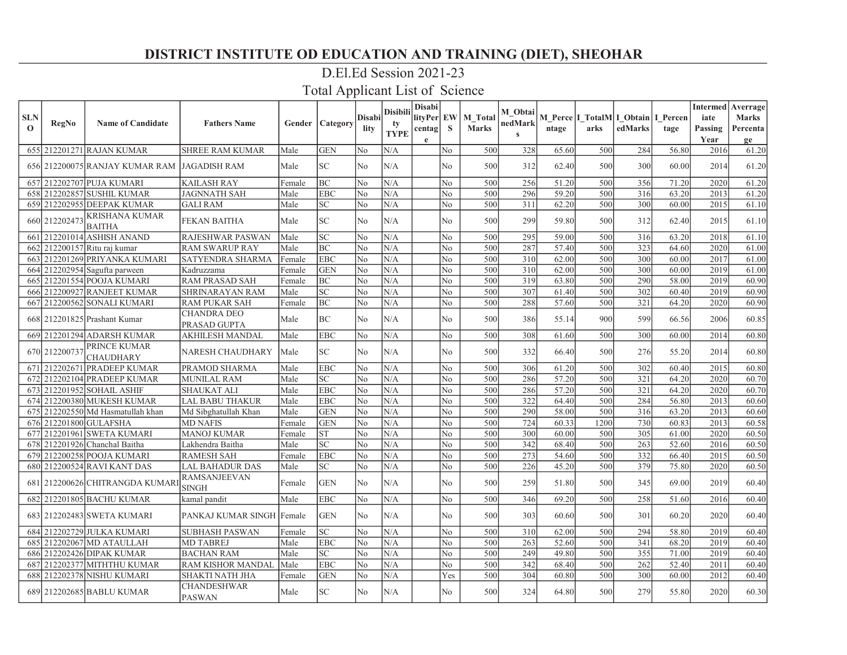### D.El.Ed Session 2021-23

| <b>SLN</b><br>$\Omega$ | <b>RegNo</b>  | <b>Name of Candidate</b>                    | <b>Fathers Name</b>                 |        | <b>Gender   Category</b>   | <b>Disabi</b><br>lity | <b>Disibili</b><br>tv<br><b>TYPE</b> | <b>Disabi</b><br>lityPer EW<br>centag<br>$\mathbf e$ | $\mathbf{s}$   | M Total<br><b>Marks</b> | M Obtai<br>nedMark<br>$\mathbf{s}$ | ntage | arks | M Perce I TotalM I Obtain I Percen<br>edMarks | tage  | iate<br>Passing<br>Year | <b>Intermed</b> Averrage<br><b>Marks</b><br>Percenta<br>ge |
|------------------------|---------------|---------------------------------------------|-------------------------------------|--------|----------------------------|-----------------------|--------------------------------------|------------------------------------------------------|----------------|-------------------------|------------------------------------|-------|------|-----------------------------------------------|-------|-------------------------|------------------------------------------------------------|
|                        |               | 655 212201271 RAJAN KUMAR                   | <b>SHREE RAM KUMAR</b>              | Male   | <b>GEN</b>                 | No                    | N/A                                  |                                                      | N <sub>o</sub> | 500                     | 328                                | 65.60 | 500  | 284                                           | 56.80 | 2016                    | 61.20                                                      |
|                        |               | 656 212200075 RANJAY KUMAR RAM JAGADISH RAM |                                     | Male   | <b>SC</b>                  | No                    | N/A                                  |                                                      | N <sub>o</sub> | 500                     | 312                                | 62.40 | 500  | 300                                           | 60.00 | 2014                    | 61.20                                                      |
|                        |               | 657 212202707 PUJA KUMARI                   | <b>KAILASH RAY</b>                  | Female | <b>BC</b>                  | No                    | N/A                                  |                                                      | N <sub>o</sub> | 500                     | 256                                | 51.20 | 500  | 356                                           | 71.20 | 2020                    | 61.20                                                      |
|                        |               | 658 212202857 SUSHIL KUMAR                  | JAGNNATH SAH                        | Male   | <b>EBC</b>                 | No                    | N/A                                  |                                                      | No.            | 500                     | 296                                | 59.20 | 500  | 316                                           | 63.20 | 2013                    | 61.20                                                      |
|                        |               | 659 212202955 DEEPAK KUMAR                  | <b>GALI RAM</b>                     | Male   | <b>SC</b>                  | No                    | N/A                                  |                                                      | No             | 500                     | 311                                | 62.20 | 500  | 300                                           | 60.00 | 2015                    | 61.10                                                      |
|                        | 660 212202473 | <b>KRISHANA KUMAR</b><br><b>BAITHA</b>      | <b>FEKAN BAITHA</b>                 | Male   | $\ensuremath{\mathbf{SC}}$ | No                    | N/A                                  |                                                      | No             | 500                     | 299                                | 59.80 | 500  | 312                                           | 62.40 | 2015                    | 61.10                                                      |
| 661                    |               | 212201014 ASHISH ANAND                      | RAJESHWAR PASWAN                    | Male   | <b>SC</b>                  | No                    | N/A                                  |                                                      | No             | 500                     | 295                                | 59.00 | 500  | 316                                           | 63.20 | 2018                    | 61.10                                                      |
|                        |               | 662 212200157 Ritu raj kumar                | <b>RAM SWARUP RAY</b>               | Male   | <b>BC</b>                  | No                    | N/A                                  |                                                      | N <sub>o</sub> | 500                     | 287                                | 57.40 | 500  | 323                                           | 64.60 | 2020                    | 61.00                                                      |
|                        |               | 663 212201269 PRIYANKA KUMARI               | SATYENDRA SHARMA                    | Female | <b>EBC</b>                 | No                    | N/A                                  |                                                      | N <sub>o</sub> | 500                     | 310                                | 62.00 | 500  | 300                                           | 60.00 | 2017                    | 61.00                                                      |
|                        |               | 664 212202954 Sagufta parween               | Kadruzzama                          | Female | <b>GEN</b>                 | No                    | N/A                                  |                                                      | No             | 500                     | 310                                | 62.00 | 500  | 300                                           | 60.00 | 2019                    | 61.00                                                      |
|                        |               | 665 212201554 POOJA KUMARI                  | <b>RAM PRASAD SAH</b>               | Female | <b>BC</b>                  | No                    | N/A                                  |                                                      | No             | 500                     | 319                                | 63.80 | 500  | 290                                           | 58.00 | 2019                    | 60.90                                                      |
| 6661                   |               | 212200927 RANJEET KUMAR                     | SHRINARAYAN RAM                     | Male   | SC                         | No                    | N/A                                  |                                                      | No.            | 500                     | 307                                | 61.40 | 500  | 302                                           | 60.40 | 2019                    | 60.90                                                      |
|                        |               | 667 212200562 SONALI KUMARI                 | RAM PUKAR SAH                       | Female | <b>BC</b>                  | No                    | N/A                                  |                                                      | No             | 500                     | 288                                | 57.60 | 500  | 321                                           | 64.20 | 2020                    | 60.90                                                      |
|                        |               | 668 212201825 Prashant Kumar                | <b>CHANDRA DEO</b><br>PRASAD GUPTA  | Male   | BC                         | No                    | N/A                                  |                                                      | No.            | 500                     | 386                                | 55.14 | 900  | 599                                           | 66.56 | 2006                    | 60.85                                                      |
|                        |               | 669 212201294 ADARSH KUMAR                  | AKHILESH MANDAL                     | Male   | <b>EBC</b>                 | No                    | N/A                                  |                                                      | No             | 500                     | 308                                | 61.60 | 500  | 300                                           | 60.00 | 2014                    | 60.80                                                      |
|                        | 670 212200737 | PRINCE KUMAR<br><b>CHAUDHARY</b>            | NARESH CHAUDHARY                    | Male   | <b>SC</b>                  | No                    | N/A                                  |                                                      | No             | 500                     | 332                                | 66.40 | 500  | 276                                           | 55.20 | 2014                    | 60.80                                                      |
| 671                    |               | 212202671 PRADEEP KUMAR                     | PRAMOD SHARMA                       | Male   | <b>EBC</b>                 | No                    | N/A                                  |                                                      | N <sub>o</sub> | 500                     | 306                                | 61.20 | 500  | 302                                           | 60.40 | 2015                    | 60.80                                                      |
|                        |               | 672 212202104 PRADEEP KUMAR                 | MUNILAL RAM                         | Male   | <b>SC</b>                  | No                    | N/A                                  |                                                      | N <sub>o</sub> | 500                     | 286                                | 57.20 | 500  | 321                                           | 64.20 | 2020                    | 60.70                                                      |
|                        |               | 673 212201952 SOHAIL ASHIF                  | <b>SHAUKAT ALI</b>                  | Male   | <b>EBC</b>                 | No                    | N/A                                  |                                                      | No.            | 500                     | 286                                | 57.20 | 500  | $\overline{321}$                              | 64.20 | 2020                    | 60.70                                                      |
|                        |               | 674 212200380 MUKESH KUMAR                  | LAL BABU THAKUR                     | Male   | <b>EBC</b>                 | No                    | N/A                                  |                                                      | No             | 500                     | 322                                | 64.40 | 500  | 284                                           | 56.80 | 2013                    | 60.60                                                      |
|                        |               | 675 212202550 Md Hasmatullah khan           | Md Sibghatullah Khan                | Male   | <b>GEN</b>                 | No                    | N/A                                  |                                                      | No             | 500                     | 290                                | 58.00 | 500  | 316                                           | 63.20 | 2013                    | 60.60                                                      |
|                        |               | 676 212201800 GULAFSHA                      | <b>MD NAFIS</b>                     | Female | <b>GEN</b>                 | No                    | N/A                                  |                                                      | No             | 500                     | 724                                | 60.33 | 1200 | 730                                           | 60.83 | 2013                    | 60.58                                                      |
| 677                    |               | 212201961 SWETA KUMARI                      | <b>MANOJ KUMAR</b>                  | Female | <b>ST</b>                  | No                    | N/A                                  |                                                      | N <sub>o</sub> | 500                     | 300                                | 60.00 | 500  | 305                                           | 61.00 | 2020                    | 60.50                                                      |
| 678                    |               | 212201926 Chanchal Baitha                   | Lakhendra Baitha                    | Male   | <b>SC</b>                  | No                    | N/A                                  |                                                      | N <sub>o</sub> | 500                     | 342                                | 68.40 | 500  | 263                                           | 52.60 | 2016                    | 60.50                                                      |
| 679                    |               | 212200258 POOJA KUMARI                      | RAMESH SAH                          | Female | <b>EBC</b>                 | No                    | N/A                                  |                                                      | No.            | 500                     | 273                                | 54.60 | 500  | 332                                           | 66.40 | 2015                    | 60.50                                                      |
|                        |               | 680 212200524 RAVI KANT DAS                 | LAL BAHADUR DAS                     | Male   | <b>SC</b>                  | No                    | N/A                                  |                                                      | No             | 500                     | 226                                | 45.20 | 500  | 379                                           | 75.80 | 2020                    | 60.50                                                      |
| 681                    |               | 212200626 CHITRANGDA KUMAR                  | <b>RAMSANJEEVAN</b><br><b>SINGH</b> | Female | <b>GEN</b>                 | No                    | N/A                                  |                                                      | No             | 500                     | 259                                | 51.80 | 500  | 345                                           | 69.00 | 2019                    | 60.40                                                      |
|                        |               | 682 212201805 BACHU KUMAR                   | kamal pandit                        | Male   | <b>EBC</b>                 | No                    | N/A                                  |                                                      | No             | 500                     | 346                                | 69.20 | 500  | 258                                           | 51.60 | 2016                    | 60.40                                                      |
|                        |               | 683 212202483 SWETA KUMARI                  | PANKAJ KUMAR SINGH Female           |        | <b>GEN</b>                 | No.                   | N/A                                  |                                                      | No             | 500                     | 303                                | 60.60 | 500  | 301                                           | 60.20 | 2020                    | 60.40                                                      |
|                        |               | 684 212202729 JULKA KUMARI                  | <b>SUBHASH PASWAN</b>               | Female | <b>SC</b>                  | No                    | N/A                                  |                                                      | N <sub>o</sub> | 500                     | 310                                | 62.00 | 500  | 294                                           | 58.80 | 2019                    | 60.40                                                      |
| 685                    |               | 212202067 MD ATAULLAH                       | <b>MD TABREJ</b>                    | Male   | <b>EBC</b>                 | No                    | N/A                                  |                                                      | N <sub>o</sub> | 500                     | 263                                | 52.60 | 500  | 341                                           | 68.20 | 2019                    | 60.40                                                      |
|                        |               | 686 212202426 DIPAK KUMAR                   | <b>BACHAN RAM</b>                   | Male   | <b>SC</b>                  | No                    | N/A                                  |                                                      | No             | 500                     | 249                                | 49.80 | 500  | 355                                           | 71.00 | 2019                    | 60.40                                                      |
|                        |               | 687 212202377 MITHTHU KUMAR                 | RAM KISHOR MANDAL                   | Male   | <b>EBC</b>                 | No                    | N/A                                  |                                                      | No             | 500                     | 342                                | 68.40 | 500  | 262                                           | 52.40 | 2011                    | 60.40                                                      |
| 688                    |               | 212202378 NISHU KUMARI                      | SHAKTI NATH JHA                     | Female | <b>GEN</b>                 | No                    | N/A                                  |                                                      | Yes            | 500                     | 304                                | 60.80 | 500  | 300                                           | 60.00 | 2012                    | 60.40                                                      |
|                        |               | 689 212202685 BABLU KUMAR                   | <b>CHANDESHWAR</b><br><b>PASWAN</b> | Male   | SC                         | No                    | N/A                                  |                                                      | No.            | 500                     | 324                                | 64.80 | 500  | 279                                           | 55.80 | 2020                    | 60.30                                                      |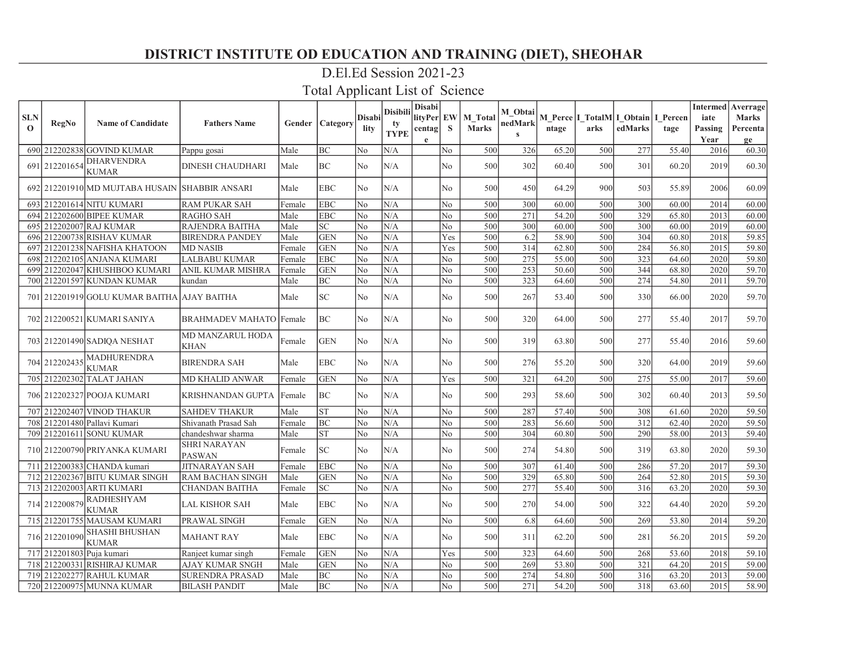# D.El.Ed Session 2021-23

| <b>SLN</b><br>$\mathbf 0$ | <b>RegNo</b>              | <b>Name of Candidate</b>                       | <b>Fathers Name</b>                    |        | Gender Category            | <b>Disabi</b><br>lity | <b>Disibili</b><br>tv<br><b>TYPE</b> | <b>Disabi</b><br>lityPer EW<br>centag<br>$\mathbf{e}$ | S              | M Total<br><b>Marks</b> | M Obtai<br>nedMark<br>$\mathbf{s}$ | ntage | M Perce I TotalM I Obtain I Percen<br>arks | edMarks | tage  | iate<br>Passing<br>Year | Intermed   Averrage<br><b>Marks</b><br>Percenta<br>ge |
|---------------------------|---------------------------|------------------------------------------------|----------------------------------------|--------|----------------------------|-----------------------|--------------------------------------|-------------------------------------------------------|----------------|-------------------------|------------------------------------|-------|--------------------------------------------|---------|-------|-------------------------|-------------------------------------------------------|
|                           |                           | 690 212202838 GOVIND KUMAR                     | Pappu gosai                            | Male   | BC                         | No                    | N/A                                  |                                                       | No             | 500                     | 326                                | 65.20 | 500                                        | 277     | 55.40 | 2016                    | 60.30                                                 |
|                           | 691 212201654             | <b>DHARVENDRA</b><br><b>KUMAR</b>              | <b>DINESH CHAUDHARI</b>                | Male   | <b>BC</b>                  | N <sub>0</sub>        | N/A                                  |                                                       | N <sub>o</sub> | 500                     | 302                                | 60.40 | 500                                        | 301     | 60.20 | 2019                    | 60.30                                                 |
|                           |                           | 692 212201910 MD MUJTABA HUSAIN SHABBIR ANSARI |                                        | Male   | <b>EBC</b>                 | No                    | N/A                                  |                                                       | No             | 500                     | 450                                | 64.29 | 900                                        | 503     | 55.89 | 2006                    | 60.09                                                 |
|                           |                           | 693 212201614 NITU KUMARI                      | <b>RAM PUKAR SAH</b>                   | Female | <b>EBC</b>                 | No                    | N/A                                  |                                                       | N <sub>o</sub> | 500                     | 300                                | 60.00 | 500                                        | 300     | 60.00 | 2014                    | 60.00                                                 |
|                           |                           | 694 212202600 BIPEE KUMAR                      | <b>RAGHO SAH</b>                       | Male   | <b>EBC</b>                 | No                    | N/A                                  |                                                       | No             | 500                     | 271                                | 54.20 | 500                                        | 329     | 65.80 | 2013                    | 60.00                                                 |
|                           |                           | 695 212202007 RAJ KUMAR                        | RAJENDRA BAITHA                        | Male   | $\ensuremath{\mathbf{SC}}$ | No                    | N/A                                  |                                                       | No             | 500                     | 300                                | 60.00 | 500                                        | 300     | 60.00 | 2019                    | 60.00                                                 |
|                           |                           | 696 212200738 RISHAV KUMAR                     | <b>BIRENDRA PANDEY</b>                 | Male   | <b>GEN</b>                 | No                    | N/A                                  |                                                       | Yes            | 500                     | 6.2                                | 58.90 | 500                                        | 304     | 60.80 | 2018                    | 59.85                                                 |
| 697                       |                           | 212201238 NAFISHA KHATOON                      | <b>MD NASIB</b>                        | Female | <b>GEN</b>                 | No                    | N/A                                  |                                                       | Yes            | 500                     | 314                                | 62.80 | 500                                        | 284     | 56.80 | 2015                    | 59.80                                                 |
|                           |                           | 698 212202105 ANJANA KUMARI                    | <b>LALBABU KUMAR</b>                   | Female | <b>EBC</b>                 | No                    | N/A                                  |                                                       | N <sub>o</sub> | 500                     | 275                                | 55.00 | 500                                        | 323     | 64.60 | 2020                    | 59.80                                                 |
|                           |                           | 699 212202047 KHUSHBOO KUMARI                  | <b>ANIL KUMAR MISHRA</b>               | Female | <b>GEN</b>                 | No                    | N/A                                  |                                                       | N <sub>o</sub> | 500                     | 253                                | 50.60 | 500                                        | 344     | 68.80 | 2020                    | 59.70                                                 |
|                           |                           | 700 212201597 KUNDAN KUMAR                     | kundan                                 | Male   | BC                         | No                    | N/A                                  |                                                       | No             | 500                     | 323                                | 64.60 | 500                                        | 274     | 54.80 | 2011                    | 59.70                                                 |
|                           |                           | 701 212201919 GOLU KUMAR BAITHA AJAY BAITHA    |                                        | Male   | $\ensuremath{\mathbf{SC}}$ | No                    | N/A                                  |                                                       | No             | 500                     | 267                                | 53.40 | 500                                        | 330     | 66.00 | 2020                    | 59.70                                                 |
|                           |                           | 702 212200521 KUMARI SANIYA                    | <b>BRAHMADEV MAHATO Female</b>         |        | BC                         | No                    | N/A                                  |                                                       | No.            | 500                     | 320                                | 64.00 | 500                                        | 277     | 55.40 | 2017                    | 59.70                                                 |
|                           |                           | 703 212201490 SADIQA NESHAT                    | <b>MD MANZARUL HODA</b><br><b>KHAN</b> | Female | <b>GEN</b>                 | No                    | N/A                                  |                                                       | No.            | 500                     | 319                                | 63.80 | 500                                        | 277     | 55.40 | 2016                    | 59.60                                                 |
|                           | 704 212202435             | <b>MADHURENDRA</b><br><b>KUMAR</b>             | <b>BIRENDRA SAH</b>                    | Male   | <b>EBC</b>                 | No                    | N/A                                  |                                                       | No             | 500                     | 276                                | 55.20 | 500                                        | 320     | 64.00 | 2019                    | 59.60                                                 |
|                           |                           | 705 212202302 TALAT JAHAN                      | <b>MD KHALID ANWAR</b>                 | Female | <b>GEN</b>                 | No                    | N/A                                  |                                                       | Yes            | 500                     | 321                                | 64.20 | 500                                        | 275     | 55.00 | 2017                    | 59.60                                                 |
|                           |                           | 706 212202327 POOJA KUMARI                     | KRISHNANDAN GUPTA   Female             |        | BC                         | No                    | N/A                                  |                                                       | No             | 500                     | 293                                | 58.60 | 500                                        | 302     | 60.40 | 2013                    | 59.50                                                 |
|                           |                           | 707 212202407 VINOD THAKUR                     | <b>SAHDEV THAKUR</b>                   | Male   | <b>ST</b>                  | No                    | N/A                                  |                                                       | No             | 500                     | 287                                | 57.40 | 500                                        | 308     | 61.60 | 2020                    | 59.50                                                 |
|                           |                           | 708 212201480 Pallavi Kumari                   | Shivanath Prasad Sah                   | Female | <b>BC</b>                  | No                    | N/A                                  |                                                       | No             | 500                     | 283                                | 56.60 | 500                                        | 312     | 62.40 | 2020                    | 59.50                                                 |
|                           |                           | 709 212201611 SONU KUMAR                       | chandeshwar sharma                     | Male   | <b>ST</b>                  | No                    | N/A                                  |                                                       | No             | 500                     | 304                                | 60.80 | 500                                        | 290     | 58.00 | 2013                    | 59.40                                                 |
|                           |                           | 710 212200790 PRIYANKA KUMARI                  | <b>SHRI NARAYAN</b><br><b>PASWAN</b>   | Female | <b>SC</b>                  | No                    | N/A                                  |                                                       | No.            | 500                     | 274                                | 54.80 | 500                                        | 319     | 63.80 | 2020                    | 59.30                                                 |
| 711                       |                           | 212200383 CHANDA kumari                        | <b>JITNARAYAN SAH</b>                  | Female | <b>EBC</b>                 | No                    | N/A                                  |                                                       | No             | 500                     | 307                                | 61.40 | 500                                        | 286     | 57.20 | 2017                    | 59.30                                                 |
|                           |                           | 712 212202367 BITU KUMAR SINGH                 | <b>RAM BACHAN SINGH</b>                | Male   | <b>GEN</b>                 | No                    | N/A                                  |                                                       | N <sub>o</sub> | 500                     | 329                                | 65.80 | 500                                        | 264     | 52.80 | 2015                    | 59.30                                                 |
|                           |                           | 713 212202003 ARTI KUMARI                      | <b>CHANDAN BAITHA</b>                  | Female | $\ensuremath{\mathbf{SC}}$ | No                    | N/A                                  |                                                       | N <sub>o</sub> | 500                     | 277                                | 55.40 | 500                                        | 316     | 63.20 | 2020                    | 59.30                                                 |
|                           | 714 212200879             | <b>RADHESHYAM</b><br><b>KUMAR</b>              | <b>LAL KISHOR SAH</b>                  | Male   | <b>EBC</b>                 | No                    | N/A                                  |                                                       | N <sub>o</sub> | 500                     | 270                                | 54.00 | 500                                        | 322     | 64.40 | 2020                    | 59.20                                                 |
|                           |                           | 715 212201755 MAUSAM KUMARI                    | <b>PRAWAL SINGH</b>                    | Female | <b>GEN</b>                 | No                    | N/A                                  |                                                       | N <sub>o</sub> | 500                     | 6.8                                | 64.60 | 500                                        | 269     | 53.80 | 2014                    | 59.20                                                 |
|                           | 716 212201090             | <b>SHASHI BHUSHAN</b><br><b>KUMAR</b>          | <b>MAHANT RAY</b>                      | Male   | <b>EBC</b>                 | No                    | N/A                                  |                                                       | N <sub>o</sub> | 500                     | 311                                | 62.20 | 500                                        | 281     | 56.20 | 2015                    | 59.20                                                 |
|                           | 717 212201803 Puja kumari |                                                | Ranjeet kumar singh                    | Female | <b>GEN</b>                 | No                    | N/A                                  |                                                       | Yes            | 500                     | 323                                | 64.60 | 500                                        | 268     | 53.60 | 2018                    | 59.10                                                 |
|                           |                           | 718 212200331 RISHIRAJ KUMAR                   | <b>AJAY KUMAR SNGH</b>                 | Male   | <b>GEN</b>                 | No                    | N/A                                  |                                                       | No             | 500                     | 269                                | 53.80 | 500                                        | 321     | 64.20 | 2015                    | 59.00                                                 |
|                           |                           | 719 212202277 RAHUL KUMAR                      | <b>SURENDRA PRASAD</b>                 | Male   | <b>BC</b>                  | No                    | N/A                                  |                                                       | No.            | 500                     | 274                                | 54.80 | 500                                        | 316     | 63.20 | 2013                    | 59.00                                                 |
|                           |                           | 720 212200975 MUNNA KUMAR                      | <b>BILASH PANDIT</b>                   | Male   | <b>BC</b>                  | No                    | N/A                                  |                                                       | No.            | 500                     | 271                                | 54.20 | 500                                        | 318     | 63.60 | 2015                    | 58.90                                                 |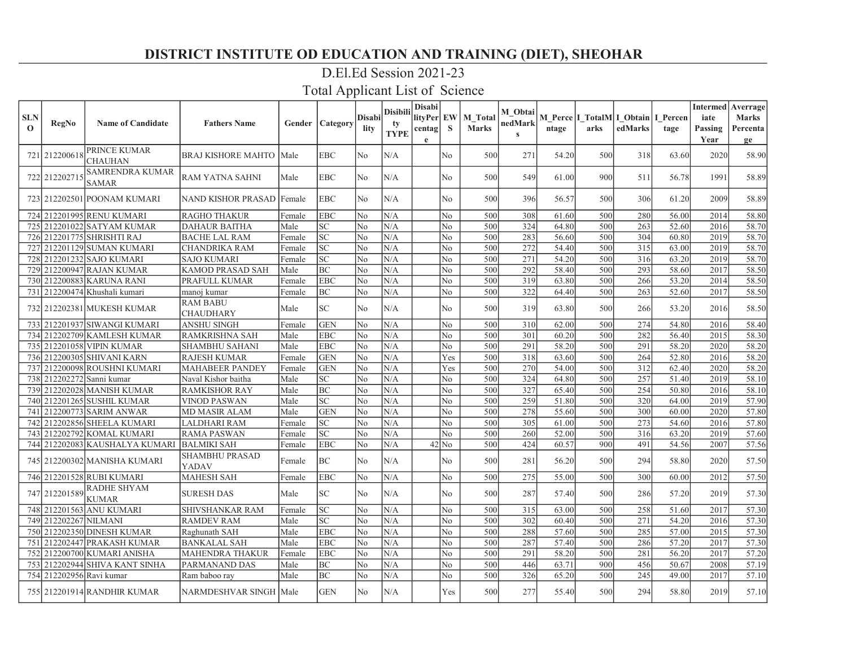### D.El.Ed Session 2021-23

| <b>SLN</b><br>$\mathbf{o}$ | <b>RegNo</b>             | <b>Name of Candidate</b>           | <b>Fathers Name</b>                 |        | Gender   Category          | Disabi<br>lity | Disibili<br>tv<br><b>TYPE</b> | <b>Disabi</b><br>lityPer EW<br>centag <br>e | S              | M Total<br><b>Marks</b> | M_Obtai<br>nedMark<br>$\mathbf{s}$ | ntage | M Perce   I_TotalM  I_Obtain   I_Percen<br>arks | edMarks | tage  | iate<br>Passing<br>Year | <b>Intermed</b> Averrage<br><b>Marks</b><br>Percenta<br>ge |
|----------------------------|--------------------------|------------------------------------|-------------------------------------|--------|----------------------------|----------------|-------------------------------|---------------------------------------------|----------------|-------------------------|------------------------------------|-------|-------------------------------------------------|---------|-------|-------------------------|------------------------------------------------------------|
|                            | 721 212200618            | PRINCE KUMAR<br><b>CHAUHAN</b>     | BRAJ KISHORE MAHTO   Male           |        | <b>EBC</b>                 | No.            | N/A                           |                                             | N <sub>o</sub> | 500                     | 271                                | 54.20 | 500                                             | 318     | 63.60 | 2020                    | 58.90                                                      |
|                            | 722 212202715            | <b>SAMRENDRA KUMAR</b><br>SAMAR    | <b>RAM YATNA SAHNI</b>              | Male   | <b>EBC</b>                 | No             | N/A                           |                                             | N <sub>o</sub> | 500                     | 549                                | 61.00 | 900                                             | 511     | 56.78 | 1991                    | 58.89                                                      |
|                            |                          | 723   212202501   POONAM KUMARI    | NAND KISHOR PRASAD   Female         |        | <b>EBC</b>                 | N <sub>o</sub> | N/A                           |                                             | No             | 500                     | 396                                | 56.57 | 500                                             | 306     | 61.20 | 2009                    | 58.89                                                      |
|                            |                          | 724 212201995 RENU KUMARI          | <b>RAGHO THAKUR</b>                 | Female | <b>EBC</b>                 | N <sub>o</sub> | N/A                           |                                             | N <sub>o</sub> | 500                     | 308                                | 61.60 | 500                                             | 280     | 56.00 | 2014                    | 58.80                                                      |
|                            |                          | 725 212201022 SATYAM KUMAR         | <b>DAHAUR BAITHA</b>                | Male   | SC.                        | N <sub>o</sub> | N/A                           |                                             | No             | 500                     | 324                                | 64.80 | 500                                             | 263     | 52.60 | 2016                    | 58.70                                                      |
|                            |                          | 726 212201775 SHRISHTI RAJ         | <b>BACHE LAL RAM</b>                | Female | <b>SC</b>                  | No             | N/A                           |                                             | No             | 500                     | 283                                | 56.60 | 500                                             | 304     | 60.80 | 2019                    | 58.70                                                      |
|                            |                          | 727 212201129 SUMAN KUMARI         | <b>CHANDRIKA RAM</b>                | Female | SC                         | N <sub>o</sub> | N/A                           |                                             | No             | 500                     | 272                                | 54.40 | 500                                             | 315     | 63.00 | 2019                    | 58.70                                                      |
|                            |                          | 728 212201232 SAJO KUMARI          | <b>SAJO KUMARI</b>                  | Female | <b>SC</b>                  | N <sub>o</sub> | N/A                           |                                             | N <sub>o</sub> | 500                     | 271                                | 54.20 | 500                                             | 316     | 63.20 | 2019                    | 58.70                                                      |
|                            |                          | 729 212200947 RAJAN KUMAR          | KAMOD PRASAD SAH                    | Male   | <b>BC</b>                  | No             | N/A                           |                                             | No             | 500                     | 292                                | 58.40 | 500                                             | 293     | 58.60 | 2017                    | 58.50                                                      |
|                            |                          | 730  212200883  KARUNA RANI        | PRAFULL KUMAR                       | Female | <b>EBC</b>                 | No             | N/A                           |                                             | No             | 500                     | 319                                | 63.80 | 500                                             | 266     | 53.20 | 2014                    | 58.50                                                      |
|                            |                          | 731 212200474 Khushali kumari      | manoj kumar                         | Female | BC                         | No             | $\rm N/A$                     |                                             | No             | 500                     | 322                                | 64.40 | 500                                             | 263     | 52.60 | 2017                    | 58.50                                                      |
|                            |                          | 732 212202381 MUKESH KUMAR         | <b>RAM BABU</b><br><b>CHAUDHARY</b> | Male   | $\ensuremath{\mathbf{SC}}$ | No             | N/A                           |                                             | No             | 500                     | 319                                | 63.80 | 500                                             | 266     | 53.20 | 2016                    | 58.50                                                      |
|                            |                          | 733 212201937 SIWANGI KUMARI       | <b>ANSHU SINGH</b>                  | Female | <b>GEN</b>                 | N <sub>o</sub> | N/A                           |                                             | No.            | 500                     | 310                                | 62.00 | 500                                             | 274     | 54.80 | 2016                    | 58.40                                                      |
|                            |                          | 734 212202709 KAMLESH KUMAR        | RAMKRISHNA SAH                      | Male   | <b>EBC</b>                 | No             | $\rm N/A$                     |                                             | $\rm No$       | 500                     | 301                                | 60.20 | 500                                             | 282     | 56.40 | 2015                    | 58.30                                                      |
|                            |                          | 735 212201058 VIPIN KUMAR          | <b>SHAMBHU SAHANI</b>               | Male   | <b>EBC</b>                 | No             | N/A                           |                                             | No             | 500                     | 291                                | 58.20 | 500                                             | 291     | 58.20 | 2020                    | 58.20                                                      |
|                            |                          | 736 212200305 SHIVANI KARN         | <b>RAJESH KUMAR</b>                 | Female | <b>GEN</b>                 | N <sub>o</sub> | N/A                           |                                             | Yes            | 500                     | 318                                | 63.60 | 500                                             | 264     | 52.80 | 2016                    | 58.20                                                      |
|                            |                          | 737 212200098 ROUSHNI KUMARI       | <b>MAHABEER PANDEY</b>              | Female | <b>GEN</b>                 | N <sub>o</sub> | N/A                           |                                             | Yes            | 500                     | 270                                | 54.00 | 500                                             | 312     | 62.40 | 2020                    | 58.20                                                      |
|                            |                          | 738 212202272 Sanni kumar          | Naval Kishor baitha                 | Male   | $\ensuremath{\mathbf{SC}}$ | N <sub>o</sub> | N/A                           |                                             | N <sub>o</sub> | 500                     | 324                                | 64.80 | 500                                             | 257     | 51.40 | 2019                    | 58.10                                                      |
|                            |                          | 739 212202028 MANISH KUMAR         | RAMKISHOR RAY                       | Male   | BC                         | N <sub>o</sub> | N/A                           |                                             | N <sub>o</sub> | 500                     | 327                                | 65.40 | 500                                             | 254     | 50.80 | 2016                    | 58.10                                                      |
|                            |                          | 740 212201265 SUSHIL KUMAR         | <b>VINOD PASWAN</b>                 | Male   | $\ensuremath{\mathbf{SC}}$ | No             | N/A                           |                                             | No             | 500                     | 259                                | 51.80 | 500                                             | 320     | 64.00 | 2019                    | 57.90                                                      |
|                            |                          | 741 212200773 SARIM ANWAR          | <b>MD MASIR ALAM</b>                | Male   | <b>GEN</b>                 | N <sub>o</sub> | N/A                           |                                             | No             | 500                     | 278                                | 55.60 | 500                                             | 300     | 60.00 | 2020                    | 57.80                                                      |
|                            |                          | 742 212202856 SHEELA KUMARI        | <b>LALDHARI RAM</b>                 | Female | $\ensuremath{\mathbf{SC}}$ | N <sub>o</sub> | N/A                           |                                             | No             | 500                     | 305                                | 61.00 | 500                                             | 273     | 54.60 | 2016                    | 57.80                                                      |
|                            |                          | 743  212202792 KOMAL KUMARI        | <b>RAMA PASWAN</b>                  | Female | $\overline{SC}$            | N <sub>o</sub> | N/A                           |                                             | No             | 500                     | 260                                | 52.00 | 500                                             | 316     | 63.20 | 2019                    | 57.60                                                      |
|                            |                          | 744 212202083 KAUSHALYA KUMARI     | <b>BALMIKI SAH</b>                  | Female | <b>EBC</b>                 | N <sub>o</sub> | N/A                           |                                             | $42$ No        | 500                     | 424                                | 60.57 | 900                                             | 491     | 54.56 | 2007                    | 57.56                                                      |
|                            |                          | 745  212200302 MANISHA KUMARI      | <b>SHAMBHU PRASAD</b><br>YADAV      | Female | <b>BC</b>                  | N <sub>o</sub> | N/A                           |                                             | No             | 500                     | 281                                | 56.20 | 500                                             | 294     | 58.80 | 2020                    | 57.50                                                      |
|                            |                          | 746 212201528 RUBI KUMARI          | <b>MAHESH SAH</b>                   | Female | <b>EBC</b>                 | N <sub>o</sub> | N/A                           |                                             | No             | 500                     | 275                                | 55.00 | 500                                             | 300     | 60.00 | 2012                    | 57.50                                                      |
|                            | 747 212201589            | <b>RADHE SHYAM</b><br><b>KUMAR</b> | <b>SURESH DAS</b>                   | Male   | $\ensuremath{\mathbf{SC}}$ | No             | N/A                           |                                             | No             | 500                     | 287                                | 57.40 | 500                                             | 286     | 57.20 | 2019                    | 57.30                                                      |
|                            |                          | 748 212201563 ANU KUMARI           | SHIVSHANKAR RAM                     | Female | $\ensuremath{\mathbf{SC}}$ | No             | N/A                           |                                             | No             | 500                     | 315                                | 63.00 | 500                                             | 258     | 51.60 | 2017                    | 57.30                                                      |
|                            | 749 212202267 NILMANI    |                                    | <b>RAMDEV RAM</b>                   | Male   | SC                         | N <sub>o</sub> | N/A                           |                                             | N <sub>o</sub> | 500                     | 302                                | 60.40 | 500                                             | 271     | 54.20 | 2016                    | 57.30                                                      |
|                            |                          | 750 212202350 DINESH KUMAR         | Raghunath SAH                       | Male   | <b>EBC</b>                 | N <sub>o</sub> | N/A                           |                                             | No             | 500                     | 288                                | 57.60 | 500                                             | 285     | 57.00 | 2015                    | 57.30                                                      |
|                            |                          | 751 212202447 PRAKASH KUMAR        | <b>BANKALAL SAH</b>                 | Male   | <b>EBC</b>                 | N <sub>o</sub> | N/A                           |                                             | N <sub>o</sub> | 500                     | 287                                | 57.40 | 500                                             | 286     | 57.20 | 2017                    | 57.30                                                      |
|                            |                          | 752 212200700 KUMARI ANISHA        | <b>MAHENDRA THAKUR</b>              | Female | <b>EBC</b>                 | No             | N/A                           |                                             | No             | 500                     | 291                                | 58.20 | 500                                             | 281     | 56.20 | 2017                    | 57.20                                                      |
|                            |                          | 753] 212202944 SHIVA KANT SINHA    | PARMANAND DAS                       | Male   | BC                         | No             | N/A                           |                                             | No             | 500                     | 446                                | 63.71 | 900                                             | 456     | 50.67 | 2008                    | 57.19                                                      |
|                            | 754 212202956 Ravi kumar |                                    | Ram baboo ray                       | Male   | BC                         | No             | N/A                           |                                             | No             | 500                     | 326                                | 65.20 | 500                                             | 245     | 49.00 | 2017                    | 57.10                                                      |
|                            |                          | 755 212201914 RANDHIR KUMAR        | NARMDESHVAR SINGH Male              |        | <b>GEN</b>                 | N <sub>0</sub> | N/A                           |                                             | <b>Yes</b>     | 500                     | 277                                | 55.40 | 500                                             | 294     | 58.80 | 2019                    | 57.10                                                      |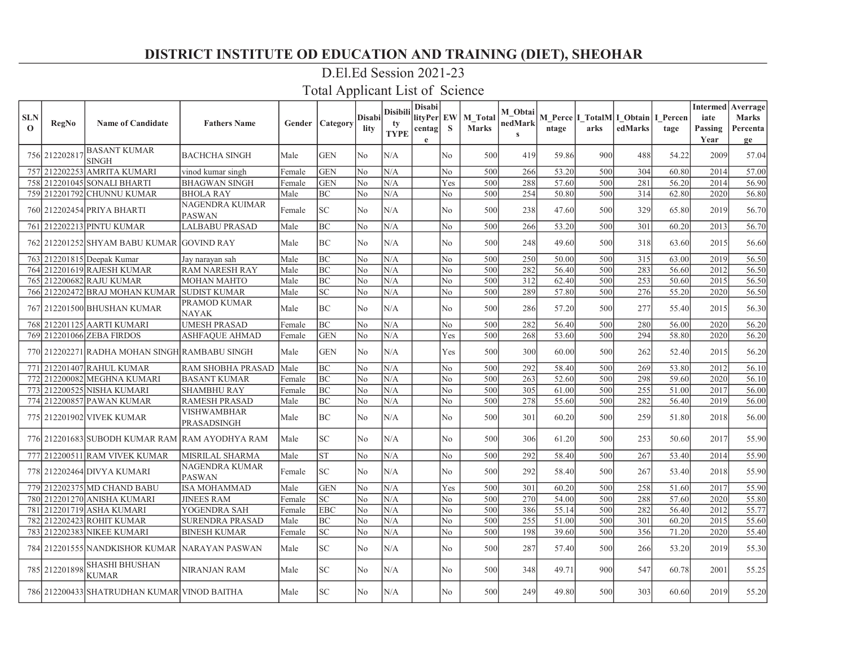### D.El.Ed Session 2021-23

| <b>SLN</b><br>$\mathbf{o}$ | RegNo         | <b>Name of Candidate</b>                       | <b>Fathers Name</b>                     |        | <b>Gender   Category</b>   | Disabil<br>lity | Disibili<br>tv<br><b>TYPE</b> | <b>Disabi</b><br>lityPer EW<br>centag<br>e | <sub>S</sub>   | <b>M</b> Total<br><b>Marks</b> | M Obtai<br>nedMark<br>$\mathbf{s}$ | ntage | arks | M Perce I TotalM I Obtain I Percen<br>edMarks | tage  | <b>Intermed</b> Averrage<br>iate<br>Passing<br>Year | <b>Marks</b><br>Percenta<br>ge |
|----------------------------|---------------|------------------------------------------------|-----------------------------------------|--------|----------------------------|-----------------|-------------------------------|--------------------------------------------|----------------|--------------------------------|------------------------------------|-------|------|-----------------------------------------------|-------|-----------------------------------------------------|--------------------------------|
|                            | 756 212202817 | <b>BASANT KUMAR</b><br><b>SINGH</b>            | <b>BACHCHA SINGH</b>                    | Male   | <b>GEN</b>                 | N <sub>o</sub>  | N/A                           |                                            | No.            | 500                            | 419                                | 59.86 | 900  | 488                                           | 54.22 | 2009                                                | 57.04                          |
|                            |               | 757 212202253 AMRITA KUMARI                    | vinod kumar singh                       | Female | <b>GEN</b>                 | No              | N/A                           |                                            | N <sub>o</sub> | 500                            | 266                                | 53.20 | 500  | 304                                           | 60.80 | 2014                                                | 57.00                          |
|                            |               | 758 212201045 SONALI BHARTI                    | <b>BHAGWAN SINGH</b>                    | Female | <b>GEN</b>                 | No              | N/A                           |                                            | Yes            | 500                            | 288                                | 57.60 | 500  | 281                                           | 56.20 | 2014                                                | 56.90                          |
|                            |               | 759 212201792 CHUNNU KUMAR                     | <b>BHOLA RAY</b>                        | Male   | <b>BC</b>                  | N <sub>o</sub>  | N/A                           |                                            | N <sub>o</sub> | 500                            | 254                                | 50.80 | 500  | 314                                           | 62.80 | 2020                                                | 56.80                          |
|                            |               | 760 212202454 PRIYA BHARTI                     | <b>NAGENDRA KUIMAR</b><br><b>PASWAN</b> | Female | <b>SC</b>                  | No              | N/A                           |                                            | No             | 500                            | 238                                | 47.60 | 500  | 329                                           | 65.80 | 2019                                                | 56.70                          |
|                            |               | 761 212202213 PINTU KUMAR                      | <b>LALBABU PRASAD</b>                   | Male   | BC                         | No              | N/A                           |                                            | N <sub>o</sub> | 500                            | 266                                | 53.20 | 500  | 301                                           | 60.20 | 2013                                                | 56.70                          |
|                            |               | 762 212201252 SHYAM BABU KUMAR GOVIND RAY      |                                         | Male   | <b>BC</b>                  | No              | N/A                           |                                            | N <sub>o</sub> | 500                            | 248                                | 49.60 | 500  | 318                                           | 63.60 | 2015                                                | 56.60                          |
|                            |               | 763 212201815 Deepak Kumar                     | Jay narayan sah                         | Male   | <b>BC</b>                  | No              | N/A                           |                                            | N <sub>o</sub> | 500                            | 250                                | 50.00 | 500  | 315                                           | 63.00 | 2019                                                | 56.50                          |
|                            |               | 764 212201619 RAJESH KUMAR                     | <b>RAM NARESH RAY</b>                   | Male   | <b>BC</b>                  | No              | N/A                           |                                            | No             | 500                            | 282                                | 56.40 | 500  | 283                                           | 56.60 | 2012                                                | 56.50                          |
|                            |               | 765 212200682 RAJU KUMAR                       | <b>MOHAN MAHTO</b>                      | Male   | <b>BC</b>                  | N <sub>0</sub>  | N/A                           |                                            | No.            | 500                            | 312                                | 62.40 | 500  | 253                                           | 50.60 | 2015                                                | 56.50                          |
|                            |               | 766 212202472 BRAJ MOHAN KUMAR                 | <b>SUDIST KUMAR</b>                     | Male   | <b>SC</b>                  | No              | N/A                           |                                            | No.            | 500                            | 289                                | 57.80 | 500  | 276                                           | 55.20 | 2020                                                | 56.50                          |
|                            |               | 767 212201500 BHUSHAN KUMAR                    | PRAMOD KUMAR<br><b>NAYAK</b>            | Male   | BC                         | N <sub>o</sub>  | N/A                           |                                            | N <sub>o</sub> | 500                            | 286                                | 57.20 | 500  | 277                                           | 55.40 | 2015                                                | 56.30                          |
|                            |               | 768 212201125 AARTI KUMARI                     | <b>UMESH PRASAD</b>                     | Female | BC                         | No              | N/A                           |                                            | No             | 500                            | 282                                | 56.40 | 500  | 280                                           | 56.00 | 2020                                                | 56.20                          |
|                            |               | 769 212201066 ZEBA FIRDOS                      | <b>ASHFAQUE AHMAD</b>                   | Female | <b>GEN</b>                 | No              | N/A                           |                                            | Yes            | 500                            | 268                                | 53.60 | 500  | 294                                           | 58.80 | 2020                                                | 56.20                          |
|                            |               | 770 212202271 RADHA MOHAN SINGH RAMBABU SINGH  |                                         | Male   | <b>GEN</b>                 | No              | N/A                           |                                            | Yes            | 500                            | 300                                | 60.00 | 500  | 262                                           | 52.40 | 2015                                                | 56.20                          |
|                            |               | 771 212201407 RAHUL KUMAR                      | <b>RAM SHOBHA PRASAD</b>                | Male   | <b>BC</b>                  | No              | N/A                           |                                            | No             | 500                            | 292                                | 58.40 | 500  | 269                                           | 53.80 | 2012                                                | 56.10                          |
|                            |               | 772 212200082 MEGHNA KUMARI                    | <b>BASANT KUMAR</b>                     | Female | BC                         | No              | N/A                           |                                            | No             | 500                            | 263                                | 52.60 | 500  | 298                                           | 59.60 | 2020                                                | 56.10                          |
|                            |               | 773 212200525 NISHA KUMARI                     | <b>SHAMBHU RAY</b>                      | Female | BC                         | No              | N/A                           |                                            | N <sub>o</sub> | 500                            | 305                                | 61.00 | 500  | 255                                           | 51.00 | 2017                                                | 56.00                          |
|                            |               | 774 212200857 PAWAN KUMAR                      | <b>RAMESH PRASAD</b>                    | Male   | <b>BC</b>                  | No              | N/A                           |                                            | N <sub>o</sub> | 500                            | 278                                | 55.60 | 500  | 282                                           | 56.40 | 2019                                                | 56.00                          |
|                            |               | 775 212201902 VIVEK KUMAR                      | VISHWAMBHAR<br>PRASADSINGH              | Male   | BC                         | No              | N/A                           |                                            | No             | 500                            | 301                                | 60.20 | 500  | 259                                           | 51.80 | 2018                                                | 56.00                          |
|                            |               | 776 212201683 SUBODH KUMAR RAM RAM AYODHYA RAM |                                         | Male   | <b>SC</b>                  | N <sub>o</sub>  | N/A                           |                                            | N <sub>o</sub> | 500                            | 306                                | 61.20 | 500  | 253                                           | 50.60 | 2017                                                | 55.90                          |
|                            |               | 777 212200511 RAM VIVEK KUMAR                  | <b>MISRILAL SHARMA</b>                  | Male   | <b>ST</b>                  | No              | N/A                           |                                            | N <sub>o</sub> | 500                            | 292                                | 58.40 | 500  | 267                                           | 53.40 | 2014                                                | 55.90                          |
|                            |               | 778 212202464 DIVYA KUMARI                     | <b>NAGENDRA KUMAR</b><br><b>PASWAN</b>  | Female | SC                         | N <sub>o</sub>  | N/A                           |                                            | No             | 500                            | 292                                | 58.40 | 500  | 267                                           | 53.40 | 2018                                                | 55.90                          |
|                            |               | 779 212202375 MD CHAND BABU                    | <b>ISA MOHAMMAD</b>                     | Male   | <b>GEN</b>                 | No              | N/A                           |                                            | Yes            | 500                            | 301                                | 60.20 | 500  | 258                                           | 51.60 | 2017                                                | 55.90                          |
|                            |               | 780  212201270  ANISHA KUMARI                  | <b>JINEES RAM</b>                       | Female | SC                         | N <sub>o</sub>  | N/A                           |                                            | No             | 500                            | 270                                | 54.00 | 500  | 288                                           | 57.60 | 2020                                                | 55.80                          |
|                            |               | 781 212201719 ASHA KUMARI                      | YOGENDRA SAH                            | Female | <b>EBC</b>                 | No              | N/A                           |                                            | No             | 500                            | 386                                | 55.14 | 500  | 282                                           | 56.40 | 2012                                                | 55.77                          |
|                            |               | 782 212202423 ROHIT KUMAR                      | <b>SURENDRA PRASAD</b>                  | Male   | BC                         | No              | N/A                           |                                            | No             | 500                            | 255                                | 51.00 | 500  | 301                                           | 60.20 | 2015                                                | 55.60                          |
|                            |               | 783 212202383 NIKEE KUMARI                     | <b>BINESH KUMAR</b>                     | Female | SC                         | N <sub>o</sub>  | N/A                           |                                            | N <sub>o</sub> | 500                            | 198                                | 39.60 | 500  | 356                                           | 71.20 | 2020                                                | 55.40                          |
|                            |               | 784 212201555 NANDKISHOR KUMAR NARAYAN PASWAN  |                                         | Male   | $\ensuremath{\mathbf{SC}}$ | N <sub>o</sub>  | N/A                           |                                            | No             | 500                            | 287                                | 57.40 | 500  | 266                                           | 53.20 | 2019                                                | 55.30                          |
|                            | 785 212201898 | <b>SHASHI BHUSHAN</b><br><b>KUMAR</b>          | <b>NIRANJAN RAM</b>                     | Male   | SC                         | N <sub>o</sub>  | N/A                           |                                            | N <sub>o</sub> | 500                            | 348                                | 49.71 | 900  | 547                                           | 60.78 | 2001                                                | 55.25                          |
|                            |               | 786 212200433 SHATRUDHAN KUMAR VINOD BAITHA    |                                         | Male   | SC <sub>1</sub>            | N <sub>o</sub>  | N/A                           |                                            | No             | 500                            | 249                                | 49.80 | 500  | 303                                           | 60.60 | 2019                                                | 55.20                          |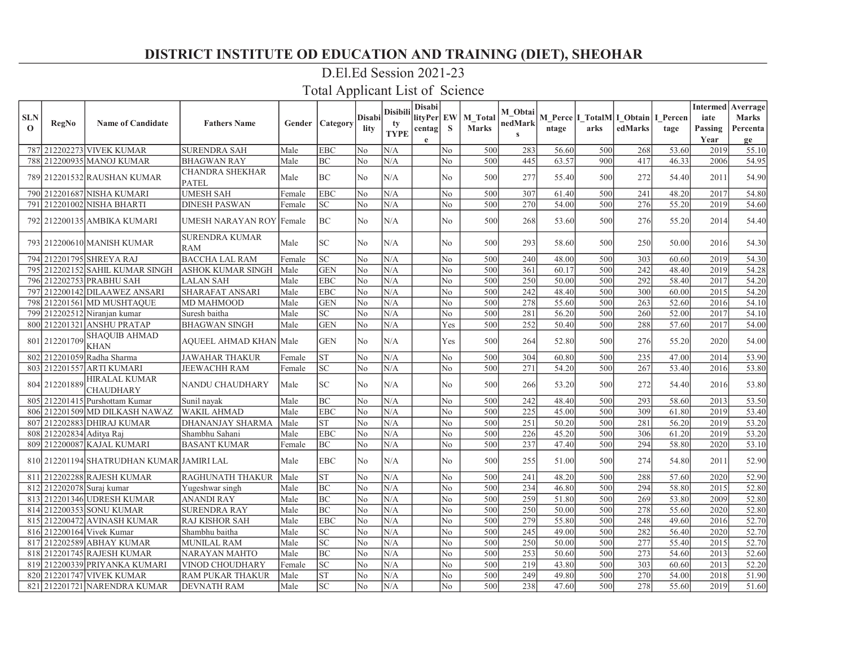### D.El.Ed Session 2021-23

| <b>SLN</b>   |                           |                                           |                                        |             |                 | <b>Disabi</b> | Disibili    | <b>Disabi</b><br>lityPer EW |                | M Total      | M Obtai      |       | M Perce I TotalM I Obtain I Percen |         |       | iate    | <b>Intermed</b> Averrage<br><b>Marks</b> |
|--------------|---------------------------|-------------------------------------------|----------------------------------------|-------------|-----------------|---------------|-------------|-----------------------------|----------------|--------------|--------------|-------|------------------------------------|---------|-------|---------|------------------------------------------|
| $\mathbf{o}$ | RegNo                     | <b>Name of Candidate</b>                  | <b>Fathers Name</b>                    | Gender      | <b>Category</b> | lity          | tv          | centag                      | <sub>S</sub>   | <b>Marks</b> | nedMark      | ntage | arks                               | edMarks | tage  | Passing | Percenta                                 |
|              |                           |                                           |                                        |             |                 |               | <b>TYPE</b> | $\mathbf e$                 |                |              | $\mathbf{s}$ |       |                                    |         |       | Year    | ge                                       |
|              |                           | 787 212202273 VIVEK KUMAR                 | SURENDRA SAH                           | Male        | <b>EBC</b>      | No            | N/A         |                             | No.            | 500          | 283          | 56.60 | 500                                | 268     | 53.60 | 2019    | 55.10                                    |
|              |                           | 788 212200935 MANOJ KUMAR                 | <b>BHAGWAN RAY</b>                     | Male        | <b>BC</b>       | No            | N/A         |                             | N <sub>o</sub> | 500          | 445          | 63.57 | 900                                | 417     | 46.33 | 2006    | 54.95                                    |
|              |                           | 789 212201532 RAUSHAN KUMAR               | <b>CHANDRA SHEKHAR</b><br><b>PATEL</b> | Male        | <b>BC</b>       | No            | N/A         |                             | No             | 500          | 277          | 55.40 | 500                                | 272     | 54.40 | 2011    | 54.90                                    |
|              |                           | 790 212201687 NISHA KUMARI                | <b>UMESH SAH</b>                       | Female      | <b>EBC</b>      | No            | N/A         |                             | No.            | 500          | 307          | 61.40 | 500                                | 241     | 48.20 | 2017    | 54.80                                    |
| 791          |                           | 212201002 NISHA BHARTI                    | DINESH PASWAN                          | Female      | <b>SC</b>       | No            | N/A         |                             | No.            | 500          | 270          | 54.00 | 500                                | 276     | 55.20 | 2019    | 54.60                                    |
|              |                           | 792   212200135   AMBIKA KUMARI           | UMESH NARAYAN ROY   Female             |             | <b>BC</b>       | No            | N/A         |                             | N <sub>o</sub> | 500          | 268          | 53.60 | 500                                | 276     | 55.20 | 2014    | 54.40                                    |
|              |                           | 793 212200610 MANISH KUMAR                | SURENDRA KUMAR<br>RAM                  | Male        | <b>SC</b>       | No            | N/A         |                             | No.            | 500          | 293          | 58.60 | 500                                | 250     | 50.00 | 2016    | 54.30                                    |
|              |                           | 794 212201795 SHREYA RAJ                  | <b>BACCHA LAL RAM</b>                  | Female      | <b>SC</b>       | No            | N/A         |                             | No.            | 500          | 240          | 48.00 | 500                                | 303     | 60.60 | 2019    | 54.30                                    |
| 795I         |                           | 212202152 SAHIL KUMAR SINGH               | <b>ASHOK KUMAR SINGH</b>               | Male        | <b>GEN</b>      | No            | N/A         |                             | No             | 500          | 361          | 60.17 | 500                                | 242     | 48.40 | 2019    | 54.28                                    |
|              |                           | 796 212202753 PRABHU SAH                  | LALAN SAH                              | Male        | <b>EBC</b>      | No            | N/A         |                             | No             | 500          | 250          | 50.00 | 500                                | 292     | 58.40 | 2017    | 54.20                                    |
| 797          |                           | 212200142 DILAAWEZ ANSARI                 | SHARAFAT ANSARI                        | Male        | <b>EBC</b>      | No            | N/A         |                             | No             | 500          | 242          | 48.40 | 500                                | 300     | 60.00 | 2015    | 54.20                                    |
| 798          |                           | 212201561 MD MUSHTAOUE                    | MD MAHMOOD                             | Male        | <b>GEN</b>      | No            | N/A         |                             | No             | 500          | 278          | 55.60 | 500                                | 263     | 52.60 | 2016    | 54.10                                    |
| 799          |                           | 212202512 Niranjan kumar                  | Suresh baitha                          | Male        | <b>SC</b>       | No            | N/A         |                             | No             | 500          | 281          | 56.20 | 500                                | 260     | 52.00 | 2017    | 54.10                                    |
|              |                           | 800 212201321 ANSHU PRATAP                | <b>BHAGWAN SINGH</b>                   | Male        | <b>GEN</b>      | No            | N/A         |                             | Yes            | 500          | 252          | 50.40 | 500                                | 288     | 57.60 | 2017    | 54.00                                    |
| 801          | 212201709                 | <b>SHAQUIB AHMAD</b><br><b>KHAN</b>       | AQUEEL AHMAD KHAN  Male                |             | <b>GEN</b>      | No            | N/A         |                             | Yes            | 500          | 264          | 52.80 | 500                                | 276     | 55.20 | 2020    | 54.00                                    |
|              |                           | 802 212201059 Radha Sharma                | <b>JAWAHAR THAKUR</b>                  | Female      | <b>ST</b>       | No            | N/A         |                             | No.            | 500          | 304          | 60.80 | 500                                | 235     | 47.00 | 2014    | 53.90                                    |
|              |                           | 803 212201557 ARTI KUMARI                 | JEEWACHH RAM                           | Female      | <b>SC</b>       | No            | N/A         |                             | No.            | 500          | 271          | 54.20 | 500                                | 267     | 53.40 | 2016    | 53.80                                    |
|              | 804 212201889             | <b>HIRALAL KUMAR</b><br><b>CHAUDHARY</b>  | NANDU CHAUDHARY                        | <b>Male</b> | <b>SC</b>       | No            | N/A         |                             | No.            | 500          | 266          | 53.20 | 500                                | 272     | 54.40 | 2016    | 53.80                                    |
|              |                           | 805 212201415 Purshottam Kumar            | Sunil navak                            | Male        | BC              | No            | N/A         |                             | No             | 500          | 242          | 48.40 | 500                                | 293     | 58.60 | 2013    | 53.50                                    |
| 806          |                           | 212201509 MD DILKASH NAWAZ                | <b>WAKIL AHMAD</b>                     | Male        | <b>EBC</b>      | No            | N/A         |                             | No             | 500          | 225          | 45.00 | 500                                | 309     | 61.80 | 2019    | 53.40                                    |
| 807          |                           | 212202883 DHIRAJ KUMAR                    | DHANANJAY SHARMA                       | Male        | <b>ST</b>       | No            | N/A         |                             | No.            | 500          | 251          | 50.20 | 500                                | 281     | 56.20 | 2019    | 53.20                                    |
| 808          | 212202834 Aditya Raj      |                                           | Shambhu Sahani                         | Male        | <b>EBC</b>      | No            | N/A         |                             | No             | 500          | 226          | 45.20 | 500                                | 306     | 61.20 | 2019    | 53.20                                    |
|              |                           | 809 212200087 KAJAL KUMARI                | <b>BASANT KUMAR</b>                    | Female      | BC              | No            | N/A         |                             | No             | 500          | 237          | 47.40 | 500                                | 294     | 58.80 | 2020    | 53.10                                    |
|              |                           | 810 212201194 SHATRUDHAN KUMAR JAMIRI LAL |                                        | Male        | <b>EBC</b>      | No            | N/A         |                             | N <sub>o</sub> | 500          | 255          | 51.00 | 500                                | 274     | 54.80 | 2011    | 52.90                                    |
|              |                           | 811 212202288 RAJESH KUMAR                | RAGHUNATH THAKUR                       | Male        | <b>ST</b>       | No            | N/A         |                             | No.            | 500          | 241          | 48.20 | 500                                | 288     | 57.60 | 2020    | 52.90                                    |
|              | 812 212202078 Suraj kumar |                                           | Yugeshwar singh                        | Male        | <b>BC</b>       | No            | N/A         |                             | No             | 500          | 234          | 46.80 | 500                                | 294     | 58.80 | 2015    | 52.80                                    |
|              |                           | 813 212201346 UDRESH KUMAR                | ANANDI RAY                             | Male        | <b>BC</b>       | No            | N/A         |                             | No             | 500          | 259          | 51.80 | 500                                | 269     | 53.80 | 2009    | 52.80                                    |
|              |                           | 814 212200353 SONU KUMAR                  | <b>SURENDRA RAY</b>                    | Male        | BC              | No            | N/A         |                             | No             | 500          | 250          | 50.00 | 500                                | 278     | 55.60 | 2020    | 52.80                                    |
| 815          |                           | 212200472 AVINASH KUMAR                   | RAJ KISHOR SAH                         | Male        | <b>EBC</b>      | No            | N/A         |                             | No             | 500          | 279          | 55.80 | 500                                | 248     | 49.60 | 2016    | 52.70                                    |
|              |                           | 816 212200164 Vivek Kumar                 | Shambhu baitha                         | Male        | <b>SC</b>       | No            | N/A         |                             | N <sub>o</sub> | 500          | 245          | 49.00 | 500                                | 282     | 56.40 | 2020    | 52.70                                    |
|              |                           | 817 212202589 ABHAY KUMAR                 | MUNILAL RAM                            | Male        | SC              | No            | N/A         |                             | No             | 500          | 250          | 50.00 | 500                                | 277     | 55.40 | 2015    | 52.70                                    |
| 818          |                           | 212201745 RAJESH KUMAR                    | NARAYAN MAHTO                          | Male        | <b>BC</b>       | No            | N/A         |                             | No             | 500          | 253          | 50.60 | 500                                | 273     | 54.60 | 2013    | 52.60                                    |
|              |                           | 819 212200339 PRIYANKA KUMARI             | <b>VINOD CHOUDHARY</b>                 | Female      | <b>SC</b>       | No            | N/A         |                             | N <sub>o</sub> | 500          | 219          | 43.80 | 500                                | 303     | 60.60 | 2013    | 52.20                                    |
| 8201         |                           | 212201747 VIVEK KUMAR                     | <b>RAM PUKAR THAKUR</b>                | Male        | <b>ST</b>       | No            | N/A         |                             | No             | 500          | 249          | 49.80 | 500                                | 270     | 54.00 | 2018    | 51.90                                    |
|              |                           | 821 212201721 NARENDRA KUMAR              | <b>DEVNATH RAM</b>                     | Male        | <b>SC</b>       | No            | N/A         |                             | No.            | 500          | 238          | 47.60 | 500                                | 278     | 55.60 | 2019    | 51.60                                    |